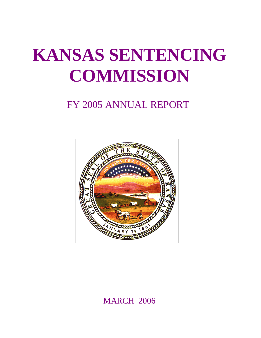# **KANSAS SENTENCING COMMISSION**

## FY 2005 ANNUAL REPORT



**MARCH 2006**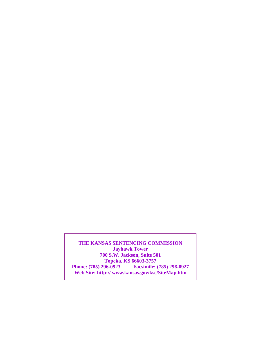**THE KANSAS SENTENCING COMMISSION Jayhawk Tower 700 S.W. Jackson, Suite 501 Topeka, KS 66603-3757<br>Phone: (785) 296-0923 Facsimile: Phone: (785) 296-0923 Facsimile: (785) 296-0927 Web Site: http:// www.kansas.gov/ksc/SiteMap.htm**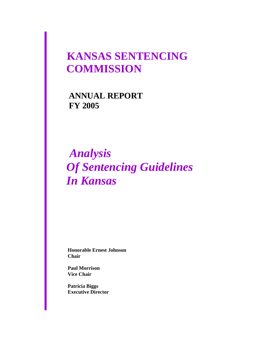## **KANSAS SENTENCING COMMISSION**

 **ANNUAL REPORT FY 2005**

## *Analysis Of Sentencing Guidelines In Kansas*

 **Honorable Ernest Johnson Chair** 

 **Paul Morrison Vice Chair**

 **Patricia Biggs Executive Director**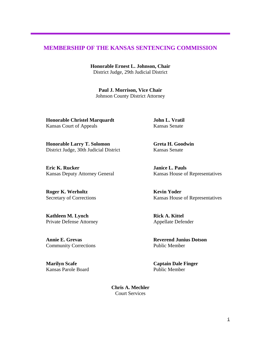#### **MEMBERSHIP OF THE KANSAS SENTENCING COMMISSION**

**Honorable Ernest L. Johnson, Chair**  District Judge, 29th Judicial District

**Paul J. Morrison, Vice Chair**  Johnson County District Attorney

**Honorable Christel Marquardt John L. Vratil** Kansas Court of Appeals Kansas Senate

**Honorable Larry T. Solomon Greta H. Goodwin** District Judge, 30th Judicial District Kansas Senate

**Eric K. Rucker Janice L. Pauls** 

**Roger K. Werholtz Kevin Yoder** 

**Kathleen M. Lynch Rick A. Kittel** Private Defense Attorney Appellate Defender

Community Corrections Public Member

Kansas Parole BoardPublic Member

Kansas Deputy Attorney General Kansas House of Representatives

Secretary of Corrections Kansas House of Representatives

**Annie E. Grevas Reverend Junius Dotson**

**Marilyn Scafe Captain Dale Finger** 

**Chris A. Mechler**  Court Services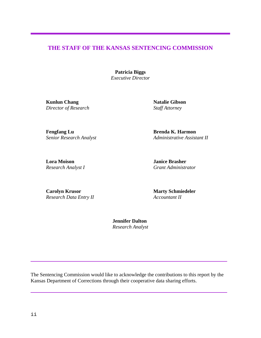#### **THE STAFF OF THE KANSAS SENTENCING COMMISSION**

**Patricia Biggs** *Executive Director*

**Kunlun Chang Natalie Gibson** *Director of Research* Staff Attorney

**Fengfang Lu Brenda K. Harmon**

*Senior Research Analyst Administrative Assistant II*

**Lora Moison Janice Brasher**

*Research Analyst I Grant Administrator* 

**Carolyn Krusor** *Marty Schmiedeler Research Data Entry II**Accountant II*

 **Jennifer Dalton** *Research Analyst*

The Sentencing Commission would like to acknowledge the contributions to this report by the Kansas Department of Corrections through their cooperative data sharing efforts.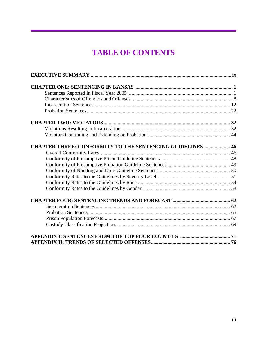## **TABLE OF CONTENTS**

| <b>CHAPTER THREE: CONFORMITY TO THE SENTENCING GUIDELINES  46</b> |  |
|-------------------------------------------------------------------|--|
|                                                                   |  |
|                                                                   |  |
|                                                                   |  |
|                                                                   |  |
|                                                                   |  |
|                                                                   |  |
|                                                                   |  |
|                                                                   |  |
|                                                                   |  |
|                                                                   |  |
|                                                                   |  |
|                                                                   |  |
|                                                                   |  |
|                                                                   |  |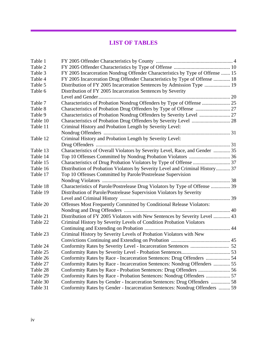## **LIST OF TABLES**

| Table 1  |                                                                               |  |
|----------|-------------------------------------------------------------------------------|--|
| Table 2  |                                                                               |  |
| Table 3  | FY 2005 Incarceration Nondrug Offender Characteristics by Type of Offense  15 |  |
| Table 4  | FY 2005 Incarceration Drug Offender Characteristics by Type of Offense  18    |  |
| Table 5  | Distribution of FY 2005 Incarceration Sentences by Admission Type  19         |  |
| Table 6  | Distribution of FY 2005 Incarceration Sentences by Severity                   |  |
|          |                                                                               |  |
| Table 7  | Characteristics of Probation Nondrug Offenders by Type of Offense  25         |  |
| Table 8  |                                                                               |  |
| Table 9  | Characteristics of Probation Nondrug Offenders by Severity Level  27          |  |
| Table 10 |                                                                               |  |
| Table 11 | Criminal History and Probation Length by Severity Level:                      |  |
|          |                                                                               |  |
| Table 12 | Criminal History and Probation Length by Severity Level:                      |  |
|          |                                                                               |  |
| Table 13 | Characteristics of Overall Violators by Severity Level, Race, and Gender  35  |  |
| Table 14 |                                                                               |  |
| Table 15 |                                                                               |  |
| Table 16 | Distribution of Probation Violators by Severity Level and Criminal History 37 |  |
| Table 17 | Top 10 Offenses Committed by Parole/Postrelease Supervision                   |  |
|          |                                                                               |  |
| Table 18 | Characteristics of Parole/Postrelease Drug Violators by Type of Offense  39   |  |
| Table 19 | Distribution of Parole/Postrelease Supervision Violators by Severity          |  |
|          |                                                                               |  |
| Table 20 | Offenses Most Frequently Committed by Conditional Release Violators:          |  |
|          |                                                                               |  |
| Table 21 | Distribution of FY 2005 Violators with New Sentences by Severity Level  43    |  |
| Table 22 | Criminal History by Severity Levels of Condition Probation Violators          |  |
|          |                                                                               |  |
| Table 23 | Criminal History by Severity Levels of Probation Violators with New           |  |
|          |                                                                               |  |
| Table 24 |                                                                               |  |
| Table 25 |                                                                               |  |
| Table 26 | Conformity Rates by Race - Incarceration Sentences: Drug Offenders  54        |  |
| Table 27 | Conformity Rates by Race - Incarceration Sentences: Nondrug Offenders  55     |  |
| Table 28 |                                                                               |  |
| Table 29 | Conformity Rates by Race - Probation Sentences: Nondrug Offenders  57         |  |
| Table 30 | Conformity Rates by Gender - Incarceration Sentences: Drug Offenders  58      |  |
| Table 31 | Conformity Rates by Gender - Incarceration Sentences: Nondrug Offenders  59   |  |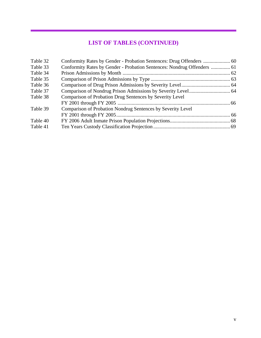## **LIST OF TABLES (CONTINUED)**

| Table 32 |                                                                         |  |
|----------|-------------------------------------------------------------------------|--|
| Table 33 | Conformity Rates by Gender - Probation Sentences: Nondrug Offenders  61 |  |
| Table 34 |                                                                         |  |
| Table 35 |                                                                         |  |
| Table 36 |                                                                         |  |
| Table 37 |                                                                         |  |
| Table 38 | Comparison of Probation Drug Sentences by Severity Level                |  |
|          |                                                                         |  |
| Table 39 | Comparison of Probation Nondrug Sentences by Severity Level             |  |
|          |                                                                         |  |
| Table 40 |                                                                         |  |
| Table 41 |                                                                         |  |
|          |                                                                         |  |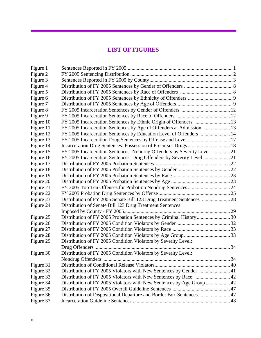### **LIST OF FIGURES**

| Figure 1  |                                                                         |  |
|-----------|-------------------------------------------------------------------------|--|
| Figure 2  |                                                                         |  |
| Figure 3  |                                                                         |  |
| Figure 4  |                                                                         |  |
| Figure 5  |                                                                         |  |
| Figure 6  |                                                                         |  |
| Figure 7  |                                                                         |  |
| Figure 8  |                                                                         |  |
| Figure 9  |                                                                         |  |
| Figure 10 |                                                                         |  |
| Figure 11 | FY 2005 Incarceration Sentences by Age of Offenders at Admission  13    |  |
| Figure 12 | FY 2005 Incarceration Sentences by Education Level of Offenders  14     |  |
| Figure 13 | FY 2005 Incarceration Drug Sentences by Offense and Level  17           |  |
| Figure 14 |                                                                         |  |
| Figure 15 | FY 2005 Incarceration Sentences: Nondrug Offenders by Severity Level 21 |  |
| Figure 16 |                                                                         |  |
| Figure 17 |                                                                         |  |
| Figure 18 |                                                                         |  |
| Figure 19 |                                                                         |  |
| Figure 20 |                                                                         |  |
| Figure 21 |                                                                         |  |
| Figure 22 |                                                                         |  |
| Figure 23 |                                                                         |  |
| Figure 24 | Distribution of Senate Bill 123 Drug Treatment Sentences                |  |
|           |                                                                         |  |
| Figure 25 | Distribution of FY 2005 Probation Sentences by Criminal History30       |  |
| Figure 26 |                                                                         |  |
| Figure 27 |                                                                         |  |
| Figure 28 |                                                                         |  |
| Figure 29 | Distribution of FY 2005 Condition Violators by Severity Level:          |  |
|           |                                                                         |  |
| Figure 30 | Distribution of FY 2005 Condition Violators by Severity Level:          |  |
|           |                                                                         |  |
| Figure 31 |                                                                         |  |
| Figure 32 | Distribution of FY 2005 Violators with New Sentences by Gender  41      |  |
| Figure 33 | Distribution of FY 2005 Violators with New Sentences by Race  42        |  |
| Figure 34 | Distribution of FY 2005 Violators with New Sentences by Age Group  42   |  |
| Figure 35 |                                                                         |  |
| Figure 36 | Distribution of Dispositional Departure and Border Box Sentences 47     |  |
| Figure 37 |                                                                         |  |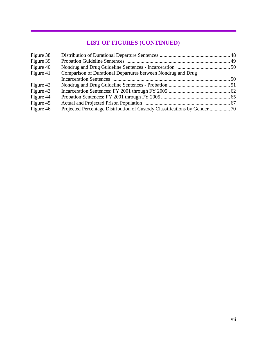## **LIST OF FIGURES (CONTINUED)**

| Figure 38 |                                                              |  |
|-----------|--------------------------------------------------------------|--|
| Figure 39 |                                                              |  |
| Figure 40 |                                                              |  |
| Figure 41 | Comparison of Durational Departures between Nondrug and Drug |  |
|           |                                                              |  |
| Figure 42 |                                                              |  |
| Figure 43 |                                                              |  |
| Figure 44 |                                                              |  |
| Figure 45 |                                                              |  |
| Figure 46 |                                                              |  |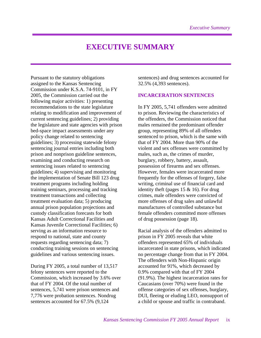## **EXECUTIVE SUMMARY**

Pursuant to the statutory obligations assigned to the Kansas Sentencing Commission under K.S.A. 74-9101, in FY 2005, the Commission carried out the following major activities: 1) presenting recommendations to the state legislature relating to modification and improvement of current sentencing guidelines; 2) providing the legislature and state agencies with prison bed-space impact assessments under any policy change related to sentencing guidelines; 3) processing statewide felony sentencing journal entries including both prison and nonprison guideline sentences, examining and conducting research on sentencing issues related to sentencing guidelines; 4) supervising and monitoring the implementation of Senate Bill 123 drug treatment programs including holding training seminars, processing and tracking treatment transactions and collecting treatment evaluation data; 5) producing annual prison population projections and custody classification forecasts for both Kansas Adult Correctional Facilities and Kansas Juvenile Correctional Facilities; 6) serving as an information resource to respond to national, state and county requests regarding sentencing data; 7) conducting training sessions on sentencing guidelines and various sentencing issues.

During FY 2005, a total number of 13,517 felony sentences were reported to the Commission, which increased by 3.6% over that of FY 2004. Of the total number of sentences, 5,741 were prison sentences and 7,776 were probation sentences. Nondrug sentences accounted for 67.5% (9,124

sentences) and drug sentences accounted for 32.5% (4,393 sentences).

#### **INCARCERATION SENTENCES**

In FY 2005, 5,741 offenders were admitted to prison. Reviewing the characteristics of the offenders, the Commission noticed that males remained the predominant offender group, representing 89% of all offenders sentenced to prison, which is the same with that of FY 2004. More than 90% of the violent and sex offenses were committed by males, such as, the crimes of murder, burglary, robbery, battery, assault, possession of firearms and sex offenses. However, females were incarcerated more frequently for the offenses of forgery, false writing, criminal use of financial card and identity theft (pages 15 & 16). For drug crimes, male offenders were convicted of more offenses of drug sales and unlawful manufactures of controlled substance but female offenders committed more offenses of drug possession (page 18).

Racial analysis of the offenders admitted to prison in FY 2005 reveals that white offenders represented 65% of individuals incarcerated in state prisons, which indicated no percentage change from that in FY 2004. The offenders with Non-Hispanic origin accounted for 91%, which decreased by 0.9% compared with that of FY 2004 (91.9%). The highest incarceration rates for Caucasians (over 70%) were found in the offense categories of sex offenses, burglary, DUI, fleeing or eluding LEO, nonsupport of a child or spouse and traffic in contraband.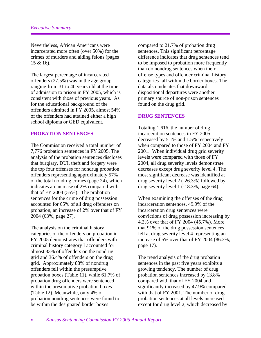Nevertheless, African Americans were incarcerated more often (over 50%) for the crimes of murders and aiding felons (pages 15 & 16).

The largest percentage of incarcerated offenders (27.5%) was in the age group ranging from 31 to 40 years old at the time of admission to prison in FY 2005, which is consistent with those of previous years. As for the educational background of the offenders admitted in FY 2005, almost 54% of the offenders had attained either a high school diploma or GED equivalent.

#### **PROBATION SENTENCES**

The Commission received a total number of 7,776 probation sentences in FY 2005. The analysis of the probation sentences discloses that burglary, DUI, theft and forgery were the top four offenses for nondrug probation offenders representing approximately 57% of the total nondrug crimes (page 24), which indicates an increase of 2% compared with that of FY 2004 (55%). The probation sentences for the crime of drug possession accounted for 65% of all drug offenders on probation, an increase of 2% over that of FY 2004 (63%, page 27).

The analysis on the criminal history categories of the offenders on probation in FY 2005 demonstrates that offenders with criminal history category I accounted for almost 33% of offenders on the nondrug grid and 36.4% of offenders on the drug grid. Approximately 88% of nondrug offenders fell within the presumptive probation boxes (Table 11), while 61.7% of probation drug offenders were sentenced within the presumptive probation boxes (Table 12). Meanwhile, only 4% of probation nondrug sentences were found to be within the designated border boxes

compared to 21.7% of probation drug sentences. This significant percentage difference indicates that drug sentences tend to be imposed to probation more frequently than do nondrug sentences when their offense types and offender criminal history categories fall within the border boxes. The data also indicates that downward dispositional departures were another primary source of non-prison sentences found on the drug grid.

#### **DRUG SENTENCES**

Totaling 1,616, the number of drug incarceration sentences in FY 2005 decreased by 5.1% and 1.5% respectively when compared to those of FY 2004 and FY 2001. When individual drug grid severity levels were compared with those of FY 2004, all drug severity levels demonstrate decreases except drug severity level 4. The most significant decrease was identified at drug severity level 2 (-26.3%) followed by drug severity level 1 (-18.3%, page 64).

When examining the offenses of the drug incarceration sentences, 49.9% of the incarceration drug sentences were convictions of drug possession increasing by 4.2% over that of FY 2004 (45.7%). More that 91% of the drug possession sentences fell at drug severity level 4 representing an increase of 5% over that of FY 2004 (86.3%, page 17).

The trend analysis of the drug probation sentences in the past five years exhibits a growing tendency. The number of drug probation sentences increased by 13.8% compared with that of FY 2004 and significantly increased by 47.9% compared with that of FY 2001. The number of drug probation sentences at all levels increased except for drug level 2, which decreased by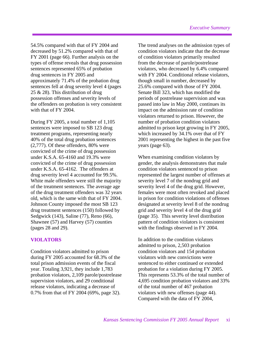54.5% compared with that of FY 2004 and decreased by 51.2% compared with that of FY 2001 (page 66). Further analysis on the types of offense reveals that drug possession sentences represented 65% of probation drug sentences in FY 2005 and approximately 71.4% of the probation drug sentences fell at drug severity level 4 (pages 25 & 28). This distribution of drug possession offenses and severity levels of the offenders on probation is very consistent with that of FY 2004.

During FY 2005, a total number of 1,105 sentences were imposed to SB 123 drug treatment programs, representing nearly 40% of the total drug probation sentences (2,777). Of these offenders, 80% were convicted of the crime of drug possession under K.S.A. 65-4160 and 19.3% were convicted of the crime of drug possession under K.S.A. 65-4162. The offenders at drug severity level 4 accounted for 99.5%. White male offenders were still the majority of the treatment sentences. The average age of the drug treatment offenders was 32 years old, which is the same with that of FY 2004. Johnson County imposed the most SB 123 drug treatment sentences (150) followed by Sedgwick (143), Saline (77), Reno (66), Shawnee (57) and Harvey (57) counties (pages 28 and 29).

#### **VIOLATORS**

Condition violators admitted to prison during FY 2005 accounted for 68.3% of the total prison admission events of the fiscal year. Totaling 3,921, they include 1,783 probation violators, 2,109 parole/postrelease supervision violators, and 29 conditional release violators, indicating a decrease of 0.7% from that of FY 2004 (69%, page 32).

The trend analyses on the admission types of condition violators indicate that the decrease of condition violators primarily resulted from the decrease of parole/postrelease violators, who decreased by 6.4% compared with FY 2004. Conditional release violators, though small in number, decreased by 25.6% compared with those of FY 2004. Senate Bill 323, which has modified the periods of postrelease supervision and was passed into law in May 2000, continues its impact on the admission rate of condition violators returned to prison. However, the number of probation condition violators admitted to prison kept growing in FY 2005, which increased by 34.1% over that of FY 2001 representing the highest in the past five years (page 63).

When examining condition violators by gender, the analysis demonstrates that male condition violators sentenced to prison represented the largest number of offenses at severity level 7 of the nondrug grid and severity level 4 of the drug grid. However, females were most often revoked and placed in prison for condition violations of offenses designated at severity level 8 of the nondrug grid and severity level 4 of the drug grid (page 35). This severity level distribution pattern of condition violators is consistent with the findings observed in FY 2004.

In addition to the condition violators admitted to prison, 2,503 probation condition violators and 154 probation violators with new convictions were sentenced to either continued or extended probation for a violation during FY 2005. This represents 53.3% of the total number of 4,695 condition probation violators and 33% of the total number of 467 probation violators with new offenses (page 44). Compared with the data of FY 2004,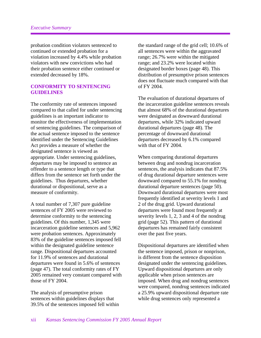probation condition violators sentenced to continued or extended probation for a violation increased by 4.4% while probation violators with new convictions who had their probation sentence either continued or extended decreased by 18%.

#### **CONFORMITY TO SENTENCING GUIDELINES**

The conformity rate of sentences imposed compared to that called for under sentencing guidelines is an important indicator to monitor the effectiveness of implementation of sentencing guidelines. The comparison of the actual sentence imposed to the sentence identified under the Sentencing Guidelines Act provides a measure of whether the designated sentence is viewed as appropriate. Under sentencing guidelines, departures may be imposed to sentence an offender to a sentence length or type that differs from the sentence set forth under the guidelines. Thus departures, whether durational or dispositional, serve as a measure of conformity.

A total number of 7,307 pure guideline sentences of FY 2005 were reviewed to determine conformity to the sentencing guidelines. Of this number, 1,345 were incarceration guideline sentences and 5,962 were probation sentences. Approximately 83% of the guideline sentences imposed fell within the designated guideline sentence range. Dispositional departures accounted for 11.9% of sentences and durational departures were found in 5.6% of sentences (page 47). The total conformity rates of FY 2005 remained very constant compared with those of FY 2004.

The analysis of presumptive prison sentences within guidelines displays that 39.5% of the sentences imposed fell within the standard range of the grid cell; 10.6% of all sentences were within the aggravated range; 26.7% were within the mitigated range; and 23.2% were located within designated border boxes (page 48). This distribution of presumptive prison sentences does not fluctuate much compared with that of FY 2004.

The evaluation of durational departures of the incarceration guideline sentences reveals that almost 68% of the durational departures were designated as downward durational departures, while 32% indicated upward durational departures (page 48). The percentage of downward durational departures decreased by 6.1% compared with that of FY 2004.

When comparing durational departures between drug and nondrug incarceration sentences, the analysis indicates that 87.5% of drug durational departure sentences were downward compared to 55.1% for nondrug durational departure sentences (page 50). Downward durational departures were most frequently identified at severity levels 1 and 2 of the drug grid. Upward durational departures were found most frequently at severity levels 1, 2, 3 and 4 of the nondrug grid (page 52). This pattern of durational departures has remained fairly consistent over the past five years.

Dispositional departures are identified when the sentence imposed, prison or nonprison, is different from the sentence disposition designated under the sentencing guidelines. Upward dispositional departures are only applicable when prison sentences are imposed. When drug and nondrug sentences were compared, nondrug sentences indicated a 25.9% upward dispositional departure rate while drug sentences only represented a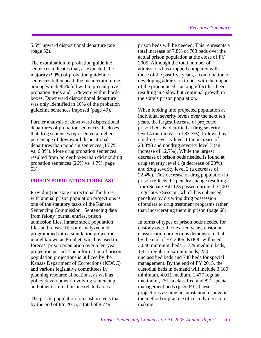5.5% upward dispositional departure rate (page 52).

The examination of probation guideline sentences indicates that, as expected, the majority (90%) of probation guideline sentences fell beneath the incarceration line, among which 85% fell within presumptive probation grids and 15% were within border boxes. Downward dispositional departure was only identified in 10% of the probation guideline sentences imposed (page 49).

Further analysis of downward dispositional departures of probation sentences discloses that drug sentences represented a higher percentage of downward dispositional departures than nondrug sentences (15.7% vs. 6.3%). More drug probation sentences resulted from border boxes than did nondrug probation sentences (26% vs. 4.7%, page 53).

#### **PRISON POPULATION FORECAST**

Providing the state correctional facilities with annual prison population projections is one of the statutory tasks of the Kansas Sentencing Commission. Sentencing data from felony journal entries, prison admission files, inmate stock population files and release files are analyzed and programmed into a simulation projection model known as Prophet, which is used to forecast prison population over a ten-year projection period. The information of prison population projections is utilized by the Kansas Department of Corrections (KDOC) and various legislative committees in planning resource allocations, as well as policy development involving sentencing and other criminal justice related areas.

The prison population forecast projects that by the end of FY 2015, a total of 9,749

prison beds will be needed. This represents a total increase of 7.8% or 703 beds over the actual prison population at the close of FY 2005. Although the total number of admissions has dropped compared with those of the past five years, a combination of developing admission trends with the impact of the pronounced stacking effect has been resulting in a slow but continual growth in the state's prison population.

When looking into projected population at individual severity levels over the next ten years, the largest increase of projected prison beds is identified at drug severity level 4 (an increase of 33.7%), followed by nondrug severity level 1 (an increase of 23.8%) and nondrug severity level 3 (an increase of 12.7%). While the largest decrease of prison beds needed is found at drug severity level 1 (a decrease of 20%) and drug severity level 2 (a decrease of 22.4%). This decrease of drug population in prison reflects the penalty change resulting from Senate Bill 123 passed during the 2003 Legislative Session, which has enhanced penalties by diverting drug possession offenders to drug treatment programs rather than incarcerating them in prison (page 68).

In terms of types of prison beds needed for custody over the next ten years, custodial classification projections demonstrate that by the end of FY 2006, KDOC will need 3,046 minimum beds, 3,729 medium beds, 1,413 regular maximum beds, 230 unclassified beds and 748 beds for special management. By the end of FY 2015, the custodial beds in demand will include 3,189 minimum, 4,011 medium, 1,477 regular maximum, 251 unclassified and 821 special management beds (page 69). These projections assume no substantial change in the method or practice of custody decision making.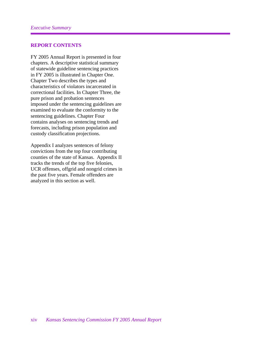#### **REPORT CONTENTS**

FY 2005 Annual Report is presented in four chapters. A descriptive statistical summary of statewide guideline sentencing practices in FY 2005 is illustrated in Chapter One. Chapter Two describes the types and characteristics of violators incarcerated in correctional facilities. In Chapter Three, the pure prison and probation sentences imposed under the sentencing guidelines are examined to evaluate the conformity to the sentencing guidelines. Chapter Four contains analyses on sentencing trends and forecasts, including prison population and custody classification projections.

Appendix I analyzes sentences of felony convictions from the top four contributing counties of the state of Kansas. Appendix II tracks the trends of the top five felonies, UCR offenses, offgrid and nongrid crimes in the past five years. Female offenders are analyzed in this section as well.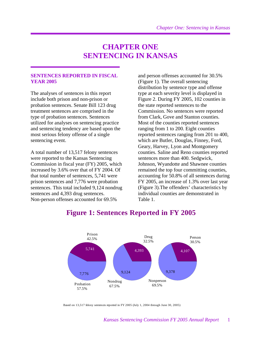## **CHAPTER ONE SENTENCING IN KANSAS**

#### **SENTENCES REPORTED IN FISCAL YEAR 2005**

The analyses of sentences in this report include both prison and non-prison or probation sentences. Senate Bill 123 drug treatment sentences are comprised in the type of probation sentences. Sentences utilized for analyses on sentencing practice and sentencing tendency are based upon the most serious felony offense of a single sentencing event.

A total number of 13,517 felony sentences were reported to the Kansas Sentencing Commission in fiscal year (FY) 2005, which increased by 3.6% over that of FY 2004. Of that total number of sentences, 5,741 were prison sentences and 7,776 were probation sentences. This total included 9,124 nondrug sentences and 4,393 drug sentences. Non-person offenses accounted for 69.5%

and person offenses accounted for 30.5% (Figure 1). The overall sentencing distribution by sentence type and offense type at each severity level is displayed in Figure 2. During FY 2005, 102 counties in the state reported sentences to the Commission. No sentences were reported from Clark, Gove and Stanton counties. Most of the counties reported sentences ranging from 1 to 200. Eight counties reported sentences ranging from 201 to 400, which are Butler, Douglas, Finney, Ford, Geary, Harvey, Lyon and Montgomery counties. Saline and Reno counties reported sentences more than 400. Sedgwick, Johnson, Wyandotte and Shawnee counties remained the top four committing counties, accounting for 50.8% of all sentences during FY 2005, an increase of 1.3% over last year (Figure 3).The offenders' characteristics by individual counties are demonstrated in Table 1.



## **Figure 1: Sentences Reported in FY 2005**

Based on 13,517 felony sentences reported in FY 2005 (July 1, 2004 through June 30, 2005)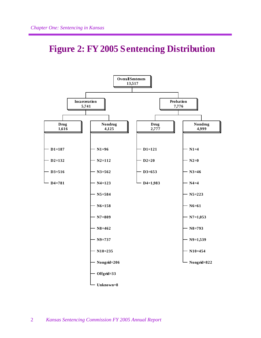## **Figure 2: FY 2005 Sentencing Distribution**

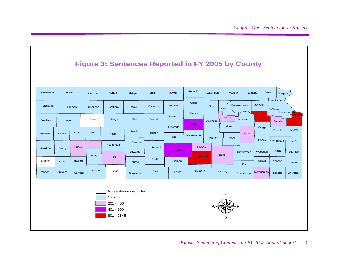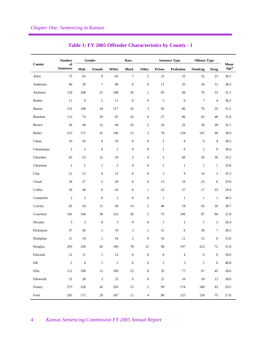|               | <b>Number</b>          | Gender           |                  |            | Race             |                  |                  | <b>Sentence Type</b> | <b>Offense Type</b> |                  |              |
|---------------|------------------------|------------------|------------------|------------|------------------|------------------|------------------|----------------------|---------------------|------------------|--------------|
| County        | of<br><b>Sentences</b> | Male             | Female           | White      | <b>Black</b>     | Other            | Prison           | <b>Probation</b>     | Nondrug             | <b>Drug</b>      | Mean<br>Age* |
| Allen         | 75                     | 65               | $\overline{9}$   | 65         | $\tau$           | $\sqrt{2}$       | 23               | 52                   | 52                  | 23               | 30.2         |
| Anderson      | 46                     | 39               | $\tau$           | 46         | $\boldsymbol{0}$ | $\boldsymbol{0}$ | 11               | 35                   | 34                  | 12               | 30.3         |
| Atchison      | 129                    | 108              | 21               | 108        | 20               | $\mathbf{1}$     | 45               | 84                   | 76                  | 53               | 31.5         |
| Barber        | 11                     | $\boldsymbol{9}$ | $\sqrt{2}$       | 11         | $\boldsymbol{0}$ | $\boldsymbol{0}$ | 5                | 6                    | $\overline{7}$      | $\overline{4}$   | 36.3         |
| Barton        | 131                    | 106              | 24               | 117        | 10               | 3                | 45               | 86                   | 76                  | 55               | 31.2         |
| Bourbon       | 113                    | 74               | 39               | 91         | 16               | 6                | 27               | 86                   | 65                  | 48               | 31.8         |
| <b>Brown</b>  | 56                     | 44               | 12               | 44         | 10               | $\mathfrak{2}$   | 24               | 32                   | 28                  | 28               | 32.1         |
| <b>Butler</b> | 213                    | 171              | 41               | 196        | 13               | 3                | 79               | 134                  | 147                 | 66               | 30.9         |
| Chase         | 10                     | 10               | $\mathbf{0}$     | 10         | $\boldsymbol{0}$ | $\boldsymbol{0}$ | $\sqrt{2}$       | 8                    | 6                   | $\overline{4}$   | 38.5         |
| Chautauqua    | $\overline{c}$         | $\sqrt{2}$       | $\mathbf{0}$     | $\sqrt{2}$ | $\boldsymbol{0}$ | $\boldsymbol{0}$ | $\boldsymbol{2}$ | $\boldsymbol{0}$     | $\overline{c}$      | $\boldsymbol{0}$ | 30.4         |
| Cherokee      | 65                     | 53               | 12               | 59         | $\overline{c}$   | 4                | 5                | 60                   | 26                  | 39               | 35.2         |
| Cheyenne      | $\overline{c}$         | $\mathbf{1}$     | $\mathbf{1}$     | $\sqrt{2}$ | $\boldsymbol{0}$ | $\boldsymbol{0}$ | $\mathbf{1}$     | $\mathbf{1}$         | $\mathbf{1}$        | $\mathbf{1}$     | 33.8         |
| Clay          | 12                     | 12               | $\mathbf{0}$     | 12         | $\boldsymbol{0}$ | $\boldsymbol{0}$ | $\mathfrak{Z}$   | 9                    | 10                  | $\overline{c}$   | 35.3         |
| Cloud         | 29                     | $27\,$           | $\overline{2}$   | 29         | $\boldsymbol{0}$ | $\boldsymbol{0}$ | 13               | 16                   | 23                  | 6                | 33.0         |
| Coffey        | 50                     | 44               | 6                | 43         | 6                | $\mathbf{1}$     | 23               | 27                   | 17                  | 33               | 29.4         |
| Comanche      | $\overline{c}$         | $\boldsymbol{2}$ | $\boldsymbol{0}$ | $\sqrt{2}$ | $\boldsymbol{0}$ | $\boldsymbol{0}$ | $\mathbf{1}$     | $\mathbf{1}$         | $\mathbf{1}$        | $\mathbf{1}$     | 48.3         |
| Cowley        | 65                     | 54               | $11\,$           | 49         | 14               | $\boldsymbol{2}$ | 46               | 19                   | 45                  | 20               | 30.7         |
| Crawford      | 181                    | 144              | 36               | 152        | 26               | $\boldsymbol{2}$ | 75               | 106                  | 87                  | 94               | 31.8         |
| Decatur       | 3                      | $\mathfrak{Z}$   | $\boldsymbol{0}$ | 3          | $\boldsymbol{0}$ | $\boldsymbol{0}$ | $\mathbf{1}$     | $\overline{c}$       | $\mathbf{1}$        | 2                | 26.4         |
| Dickinson     | 37                     | 36               | $\mathbf{1}$     | 33         | 3                | $\mathbf{1}$     | 31               | 6                    | 30                  | 7                | 28.2         |
| Doniphan      | 21                     | 19               | $\mathbf{1}$     | $18\,$     | $\overline{c}$   | $\boldsymbol{0}$ | $10\,$           | 11                   | 15                  | 6                | 33.0         |
| Douglas       | 295                    | 250              | 45               | 196        | $78\,$           | $21\,$           | 98               | 197                  | $223\,$             | $72\,$           | 31.0         |
| Edwards       | $12\,$                 | $11\,$           | $\,1\,$          | $12\,$     | $\boldsymbol{0}$ | $\boldsymbol{0}$ | $\,$ 8 $\,$      | $\overline{4}$       | $\sqrt{6}$          | 6                | 36.0         |
| $\rm{Elk}$    | $\sqrt{5}$             | $\overline{4}$   | $\,1\,$          | $\sqrt{5}$ | $\boldsymbol{0}$ | $\boldsymbol{0}$ | $\sqrt{2}$       | $\mathfrak{Z}$       | $\mathfrak s$       | $\boldsymbol{0}$ | 40.8         |
| Ellis         | 112                    | 100              | $12\,$           | $100\,$    | $12\,$           | $\boldsymbol{0}$ | 35               | $77\,$               | 67                  | 45               | 30.6         |
| Ellsworth     | $31\,$                 | $28\,$           | $\sqrt{3}$       | $25\,$     | 6                | $\boldsymbol{0}$ | $21\,$           | $10\,$               | $18\,$              | 13               | 28.0         |
| Finney        | 273                    | 228              | $45\,$           | 256        | $15\,$           | $\boldsymbol{2}$ | 99               | 174                  | 180                 | 93               | 29.5         |
| Ford          | 205                    | 173              | 29               | 187        | $11\,$           | $\overline{4}$   | $80\,$           | 125                  | 130                 | 75               | 27.8         |

#### **Table 1: FY 2005 Offender Characteristics by County - 1**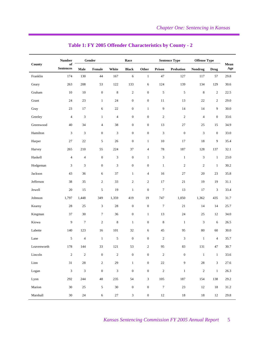|                              | <b>Number</b>               | Gender           |                             |                             | Race                        |                  |                  | <b>Sentence Type</b> | <b>Offense Type</b> |                  |             |
|------------------------------|-----------------------------|------------------|-----------------------------|-----------------------------|-----------------------------|------------------|------------------|----------------------|---------------------|------------------|-------------|
| County                       | of<br><b>Sentences</b>      | Male             | Female                      | White                       | <b>Black</b>                | Other            | Prison           | Probation            | <b>Nondrug</b>      | <b>Drug</b>      | Mean<br>Age |
| Franklin                     | 174                         | 130              | 44                          | 167                         | $\sqrt{6}$                  | $\mathbf{1}$     | $47\,$           | 127                  | 117                 | 57               | 29.8        |
| Geary                        | 263                         | 208              | 53                          | 122                         | 133                         | 6                | 124              | 139                  | 134                 | 129              | 30.6        |
| Graham                       | 10                          | $10\,$           | $\boldsymbol{0}$            | $\,$ 8 $\,$                 | $\sqrt{2}$                  | $\mathbf{0}$     | 5                | 5                    | $\,8\,$             | $\mathbf{2}$     | 22.5        |
| Grant                        | 24                          | $23\,$           | $\mathbf{1}$                | 24                          | $\boldsymbol{0}$            | $\boldsymbol{0}$ | 11               | 13                   | 22                  | $\boldsymbol{2}$ | 29.0        |
| Gray                         | 23                          | 17               | 6                           | 22                          | $\mathbf{0}$                | $\mathbf{1}$     | 9                | 14                   | 14                  | 9                | 30.0        |
| Greeley                      | $\overline{4}$              | $\mathfrak{Z}$   | $\mathbf{1}$                | $\overline{4}$              | $\boldsymbol{0}$            | $\boldsymbol{0}$ | $\sqrt{2}$       | $\boldsymbol{2}$     | $\overline{4}$      | $\boldsymbol{0}$ | 33.6        |
| Greenwood                    | 40                          | 34               | $\overline{4}$              | 38                          | $\boldsymbol{0}$            | $\boldsymbol{0}$ | 13               | $27\,$               | $25\,$              | 15               | 34.9        |
| Hamilton                     | $\mathfrak{Z}$              | $\mathfrak{Z}$   | $\boldsymbol{0}$            | $\ensuremath{\mathfrak{Z}}$ | $\boldsymbol{0}$            | $\boldsymbol{0}$ | $\mathfrak{Z}$   | $\boldsymbol{0}$     | 3                   | $\boldsymbol{0}$ | 33.0        |
| Harper                       | 27                          | 22               | 5                           | 26                          | $\boldsymbol{0}$            | $\mathbf{1}$     | $10\,$           | 17                   | 18                  | 9                | 35.4        |
| Harvey                       | 265                         | 210              | 55                          | 224                         | 37                          | $\overline{4}$   | 78               | 187                  | 128                 | 137              | 32.1        |
| Haskell                      | $\overline{4}$              | $\overline{4}$   | $\boldsymbol{0}$            | $\mathfrak{Z}$              | $\boldsymbol{0}$            | $\mathbf{1}$     | 3                | $\mathbf{1}$         | $\mathfrak{Z}$      | $\mathbf{1}$     | 23.0        |
| Hodgeman                     | 3                           | 3                | $\boldsymbol{0}$            | 3                           | $\boldsymbol{0}$            | $\boldsymbol{0}$ | $\mathbf{1}$     | $\mathfrak{2}$       | $\overline{c}$      | $\mathbf{1}$     | 30.2        |
| Jackson                      | 43                          | 36               | 6                           | 37                          | $\mathbf{1}$                | $\overline{4}$   | 16               | $27\,$               | $20\,$              | $23\,$           | 35.8        |
| Jefferson                    | 38                          | 35               | $\sqrt{2}$                  | 33                          | $\sqrt{2}$                  | $\sqrt{2}$       | $17\,$           | $21\,$               | 19                  | 19               | 31.1        |
| Jewell                       | 20                          | 15               | 5                           | 19                          | $\mathbf{1}$                | $\mathbf{0}$     | $\boldsymbol{7}$ | 13                   | 17                  | $\mathfrak{Z}$   | 33.4        |
| Johnson                      | 1,797                       | 1,448            | 349                         | 1,359                       | 419                         | 19               | 747              | 1,050                | 1,362               | 435              | 31.7        |
| Kearny                       | $28\,$                      | $25\,$           | $\ensuremath{\mathfrak{Z}}$ | $28\,$                      | $\boldsymbol{0}$            | $\mathbf{0}$     | $\boldsymbol{7}$ | $21\,$               | 14                  | 14               | 25.7        |
| Kingman                      | 37                          | $30\,$           | $\boldsymbol{7}$            | 36                          | $\boldsymbol{0}$            | $\mathbf{1}$     | 13               | 24                   | 25                  | $12\,$           | 34.0        |
| Kiowa                        | 9                           | $\boldsymbol{7}$ | $\sqrt{2}$                  | $\,8\,$                     | $\mathbf{1}$                | $\boldsymbol{0}$ | $\,$ 8 $\,$      | $\mathbf{1}$         | 3                   | 6                | 26.5        |
| Labette                      | 140                         | 123              | 16                          | 101                         | $32\,$                      | 6                | 45               | 95                   | 80                  | 60               | 30.0        |
| Lane                         | 5                           | $\overline{4}$   | $\mathbf{1}$                | 5                           | $\boldsymbol{0}$            | $\mathbf{0}$     | $\overline{c}$   | $\mathfrak{Z}$       | $\mathbf{1}$        | $\overline{4}$   | 35.7        |
| Leavenworth                  | 178                         | 144              | 33                          | 121                         | 53                          | 2                | 95               | 83                   | 131                 | 47               | 30.7        |
| Lincoln                      | $\overline{c}$              | $\sqrt{2}$       | $\boldsymbol{0}$            | $\sqrt{2}$                  | $\boldsymbol{0}$            | $\boldsymbol{0}$ | $\sqrt{2}$       | $\boldsymbol{0}$     | $\,1\,$             | $\,1\,$          | 33.6        |
| $\mathop{\rm Linn}\nolimits$ | $31\,$                      | $28\,$           | $\sqrt{2}$                  | 29                          | $\,1\,$                     | $\boldsymbol{0}$ | $22\,$           | $\overline{9}$       | $28\,$              | $\mathfrak{Z}$   | 27.6        |
| Logan                        | $\ensuremath{\mathfrak{Z}}$ | $\mathfrak 3$    | $\boldsymbol{0}$            | $\ensuremath{\mathfrak{Z}}$ | $\boldsymbol{0}$            | $\boldsymbol{0}$ | $\sqrt{2}$       | $\,1$                | $\sqrt{2}$          | $\,1\,$          | 26.3        |
| Lyon                         | 292                         | $244\,$          | $\sqrt{48}$                 | 235                         | 54                          | $\mathfrak{Z}$   | 105              | 187                  | 154                 | 138              | 29.2        |
| Marion                       | $30\,$                      | $25\,$           | $\sqrt{5}$                  | 30                          | $\boldsymbol{0}$            | $\boldsymbol{0}$ | $\boldsymbol{7}$ | $23\,$               | 12                  | $18\,$           | 31.2        |
| Marshall                     | $30\,$                      | $24\,$           | $\sqrt{6}$                  | $27\,$                      | $\ensuremath{\mathfrak{Z}}$ | $\boldsymbol{0}$ | $12\,$           | $18\,$               | $18\,$              | $12\,$           | $29.8\,$    |

#### **Table 1: FY 2005 Offender Characteristics by County - 2**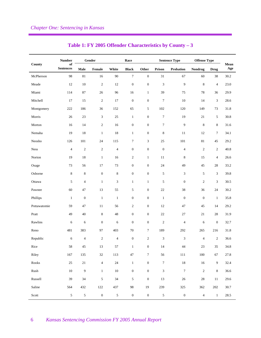|               | <b>Number</b>          | Gender                  |                             |                | Race             |                  |                             | <b>Sentence Type</b> | <b>Offense Type</b> |                  |             |
|---------------|------------------------|-------------------------|-----------------------------|----------------|------------------|------------------|-----------------------------|----------------------|---------------------|------------------|-------------|
| County        | of<br><b>Sentences</b> | Male                    | Female                      | White          | <b>Black</b>     | Other            | Prison                      | Probation            | Nondrug             | <b>Drug</b>      | Mean<br>Age |
| McPherson     | 98                     | $81\,$                  | 16                          | $90\,$         | $\boldsymbol{7}$ | $\boldsymbol{0}$ | 31                          | 67                   | 60                  | $38\,$           | 30.2        |
| Meade         | 12                     | 10                      | $\sqrt{2}$                  | 12             | $\boldsymbol{0}$ | $\boldsymbol{0}$ | 3                           | 9                    | 8                   | $\overline{4}$   | 23.0        |
| Miami         | 114                    | 87                      | 26                          | 96             | 16               | $\mathbf{1}$     | 39                          | 75                   | 78                  | 36               | 29.9        |
| Mitchell      | 17                     | 15                      | $\sqrt{2}$                  | 17             | $\boldsymbol{0}$ | $\boldsymbol{0}$ | $\boldsymbol{7}$            | 10                   | 14                  | $\mathfrak{Z}$   | 28.6        |
| Montgomery    | 222                    | 186                     | 36                          | 152            | 65               | 5                | 102                         | 120                  | 149                 | 73               | 31.8        |
| Morris        | 26                     | 23                      | $\ensuremath{\mathfrak{Z}}$ | $25\,$         | $\mathbf{1}$     | $\boldsymbol{0}$ | $\tau$                      | 19                   | 21                  | 5                | 30.8        |
| Morton        | 16                     | 14                      | $\sqrt{2}$                  | 16             | $\boldsymbol{0}$ | $\mathbf{0}$     | $\tau$                      | 9                    | 8                   | $\,$ 8 $\,$      | 31.6        |
| Nemaha        | 19                     | 18                      | $\mathbf{1}$                | 18             | $\mathbf{1}$     | $\boldsymbol{0}$ | $\,8\,$                     | 11                   | 12                  | $\tau$           | 34.1        |
| Neosho        | 126                    | 101                     | 24                          | 115            | $\boldsymbol{7}$ | 3                | 25                          | 101                  | 81                  | 45               | 29.2        |
| <b>Ness</b>   | $\overline{4}$         | $\sqrt{2}$              | $\sqrt{2}$                  | $\overline{4}$ | $\boldsymbol{0}$ | $\boldsymbol{0}$ | $\mathbf{0}$                | $\overline{4}$       | $\overline{c}$      | $\mathbf{2}$     | 40.8        |
| Norton        | 19                     | 18                      | $\mathbf{1}$                | 16             | $\sqrt{2}$       | $\mathbf{1}$     | 11                          | 8                    | 15                  | $\overline{4}$   | 26.6        |
| Osage         | 73                     | 56                      | 17                          | 73             | $\mathbf{0}$     | $\mathbf{0}$     | 24                          | 49                   | 45                  | 28               | 33.2        |
| Osborne       | 8                      | $\,$ 8 $\,$             | $\boldsymbol{0}$            | $\,$ 8 $\,$    | $\boldsymbol{0}$ | $\boldsymbol{0}$ | 5                           | 3                    | 5                   | $\mathfrak{Z}$   | 39.8        |
| Ottawa        | 5                      | $\overline{4}$          | $\mathbf{1}$                | $\mathfrak{Z}$ | $\mathbf{1}$     | $\mathbf{1}$     | 5                           | $\boldsymbol{0}$     | $\mathfrak{2}$      | 3                | 30.5        |
| Pawnee        | 60                     | 47                      | 13                          | 55             | $\sqrt{5}$       | $\boldsymbol{0}$ | $22\,$                      | 38                   | 36                  | 24               | 30.2        |
| Phillips      | $\mathbf{1}$           | $\boldsymbol{0}$        | $\mathbf{1}$                | $\mathbf{1}$   | $\boldsymbol{0}$ | $\boldsymbol{0}$ | $\mathbf 1$                 | $\boldsymbol{0}$     | $\boldsymbol{0}$    | $\mathbf{1}$     | 35.8        |
| Pottawatomie  | 59                     | 47                      | 11                          | 56             | $\sqrt{2}$       | $\boldsymbol{0}$ | 12                          | 47                   | 45                  | 14               | 29.2        |
| Pratt         | 49                     | 40                      | $\,$ 8 $\,$                 | 48             | $\boldsymbol{0}$ | $\mathbf{0}$     | 22                          | 27                   | 21                  | 28               | 31.9        |
| Rawlins       | 6                      | 6                       | $\boldsymbol{0}$            | 6              | $\boldsymbol{0}$ | $\mathbf{0}$     | $\mathfrak{2}$              | $\overline{4}$       | 6                   | $\boldsymbol{0}$ | 32.7        |
| Reno          | 481                    | 383                     | 97                          | 403            | 70               | $\tau$           | 189                         | 292                  | 265                 | 216              | 31.8        |
| Republic      | 6                      | $\overline{\mathbf{4}}$ | $\sqrt{2}$                  | $\overline{4}$ | $\boldsymbol{0}$ | $\overline{c}$   | 3                           | 3                    | $\overline{4}$      | $\mathfrak{2}$   | 36.6        |
| $\mbox{Rice}$ | $58\,$                 | $45\,$                  | 13                          | 57             | $\,1\,$          | $\mathbf{0}$     | $14\,$                      | $\bf 44$             | 23                  | $35\,$           | $34.8\,$    |
| Riley         | 167                    | 135                     | $32\,$                      | 113            | $47\,$           | $\tau$           | 56                          | $111\,$              | 100                 | 67               | 27.8        |
| ${\rm Roots}$ | $25\,$                 | $21\,$                  | $\sqrt{4}$                  | 24             | $\,1\,$          | $\boldsymbol{0}$ | $\boldsymbol{7}$            | 18                   | 16                  | $\boldsymbol{9}$ | 32.4        |
| Rush          | $10\,$                 | $\boldsymbol{9}$        | $\,1\,$                     | $10\,$         | $\boldsymbol{0}$ | $\boldsymbol{0}$ | $\ensuremath{\mathfrak{Z}}$ | $\boldsymbol{7}$     | $\sqrt{2}$          | $\,8\,$          | 36.6        |
| Russell       | 39                     | $34\,$                  | $\sqrt{5}$                  | 34             | $\mathfrak s$    | $\boldsymbol{0}$ | 13                          | $26\,$               | $28\,$              | $11\,$           | 29.6        |
| Saline        | 564                    | 432                     | $122\,$                     | 437            | 98               | $19\,$           | 239                         | 325                  | 362                 | $202\,$          | 30.7        |
| Scott         | $\sqrt{5}$             | $\sqrt{5}$              | $\boldsymbol{0}$            | $\sqrt{5}$     | $\boldsymbol{0}$ | $\boldsymbol{0}$ | $\sqrt{5}$                  | $\boldsymbol{0}$     | $\sqrt{4}$          | $\,1\,$          | 28.5        |

### **Table 1: FY 2005 Offender Characteristics by County – 3**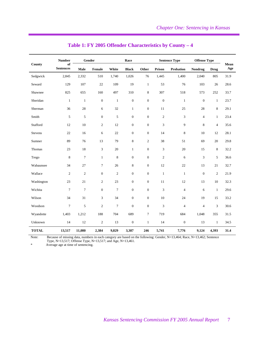|                | <b>Number</b>                           | Gender           |                  |                  | Race             |                  |                  | <b>Sentence Type</b>        |                  | <b>Offense Type</b> |             |
|----------------|-----------------------------------------|------------------|------------------|------------------|------------------|------------------|------------------|-----------------------------|------------------|---------------------|-------------|
| County         | of<br>$\label{eq:1} \textbf{Sentences}$ | Male             | Female           | White            | <b>Black</b>     | Other            | Prison           | <b>Probation</b>            | <b>Nondrug</b>   | <b>Drug</b>         | Mean<br>Age |
| Sedgwick       | 2,845                                   | 2,332            | 510              | 1,740            | 1,026            | 76               | 1,445            | 1,400                       | 2,040            | 805                 | 31.9        |
| Seward         | 129                                     | 107              | $22\,$           | 109              | 19               | $\mathbf{1}$     | 53               | 76                          | 103              | 26                  | 28.6        |
| Shawnee        | 825                                     | 655              | 160              | 497              | 310              | 8                | 307              | 518                         | 573              | 252                 | 33.7        |
| Sheridan       | $\mathbf{1}$                            | $\mathbf{1}$     | $\boldsymbol{0}$ | $\mathbf{1}$     | $\boldsymbol{0}$ | $\boldsymbol{0}$ | $\boldsymbol{0}$ | $\mathbf{1}$                | $\boldsymbol{0}$ | $\mathbf{1}$        | 23.7        |
| Sherman        | 36                                      | $28\,$           | 6                | $32\,$           | $\mathbf{1}$     | $\boldsymbol{0}$ | 11               | $25\,$                      | 28               | $\,$ 8 $\,$         | 29.1        |
| Smith          | 5                                       | 5                | $\boldsymbol{0}$ | 5                | $\boldsymbol{0}$ | $\boldsymbol{0}$ | $\mathfrak{2}$   | $\ensuremath{\mathfrak{Z}}$ | $\overline{4}$   | $\mathbf{1}$        | 23.4        |
| Stafford       | 12                                      | 10               | $\mathbf{2}$     | 12               | $\boldsymbol{0}$ | $\boldsymbol{0}$ | 3                | 9                           | 8                | $\overline{4}$      | 35.6        |
| <b>Stevens</b> | 22                                      | 16               | 6                | $22\,$           | $\boldsymbol{0}$ | $\boldsymbol{0}$ | 14               | $\,$ 8 $\,$                 | 10               | 12                  | 28.1        |
| Sumner         | 89                                      | 76               | 13               | 79               | $\,$ 8 $\,$      | $\overline{c}$   | 38               | 51                          | 69               | $20\,$              | 29.8        |
| Thomas         | 23                                      | 18               | 3                | 20               | $\mathbf{1}$     | $\boldsymbol{0}$ | 3                | $20\,$                      | 15               | 8                   | 32.2        |
| Trego          | 8                                       | $\tau$           | $\mathbf{1}$     | 8                | $\boldsymbol{0}$ | $\boldsymbol{0}$ | $\mathfrak{2}$   | 6                           | 3                | 5                   | 36.6        |
| Wabaunsee      | 34                                      | 27               | $\tau$           | $26\,$           | 8                | $\boldsymbol{0}$ | 12               | 22                          | 13               | 21                  | 32.7        |
| Wallace        | $\overline{c}$                          | $\sqrt{2}$       | $\boldsymbol{0}$ | $\overline{c}$   | $\boldsymbol{0}$ | $\boldsymbol{0}$ | $\mathbf{1}$     | $\mathbf{1}$                | $\mathbf{0}$     | $\sqrt{2}$          | 21.9        |
| Washington     | 23                                      | 21               | $\overline{c}$   | $23\,$           | $\boldsymbol{0}$ | $\boldsymbol{0}$ | 11               | 12                          | 13               | 10                  | 32.3        |
| Wichita        | $\tau$                                  | $\boldsymbol{7}$ | $\mathbf{0}$     | $\boldsymbol{7}$ | $\boldsymbol{0}$ | $\boldsymbol{0}$ | 3                | $\overline{4}$              | 6                | $\mathbf{1}$        | 29.6        |
| Wilson         | 34                                      | 31               | 3                | 34               | $\boldsymbol{0}$ | $\boldsymbol{0}$ | 10               | 24                          | 19               | 15                  | 33.2        |
| Woodson        | $\tau$                                  | 5                | $\overline{c}$   | $\tau$           | $\boldsymbol{0}$ | $\boldsymbol{0}$ | 3                | $\overline{4}$              | $\overline{4}$   | 3                   | 30.6        |
| Wyandotte      | 1,403                                   | 1,212            | 188              | 704              | 689              | $\overline{7}$   | 719              | 684                         | 1,048            | 355                 | 31.5        |
| Unknown        | 14                                      | 12               | $\mathfrak{2}$   | 13               | $\boldsymbol{0}$ | $\mathbf{1}$     | 14               | $\boldsymbol{0}$            | 13               | $\mathbf{1}$        | 34.5        |
| <b>TOTAL</b>   | 13,517                                  | 11,080           | 2,384            | 9,829            | 3,387            | 246              | 5,741            | 7,776                       | 9,124            | 4,393               | 31.4        |

#### **Table 1: FY 2005 Offender Characteristics by County – 4**

Note: Because of missing data, numbers in each category are based on the following: Gender, N=13,464; Race, N=13,462; Sentence Type, N=13,517; Offense Type, N=13,517; and Age, N=13,461.

Average age at time of sentencing.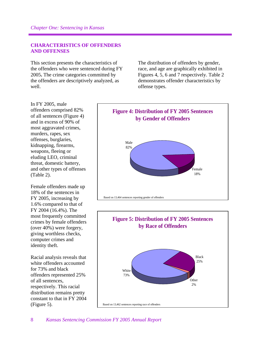#### **CHARACTERISTICS OF OFFENDERS AND OFFENSES**

This section presents the characteristics of the offenders who were sentenced during FY 2005**.** The crime categories committed by the offenders are descriptively analyzed, as well.

The distribution of offenders by gender, race, and age are graphically exhibited in Figures 4, 5, 6 and 7 respectively. Table 2 demonstrates offender characteristics by offense types.

In FY 2005, male offenders comprised 82% of all sentences (Figure 4) and in excess of 90% of most aggravated crimes, murders, rapes, sex offenses, burglaries, kidnapping, firearms, weapons, fleeing or eluding LEO, criminal threat, domestic battery, and other types of offenses (Table 2).

Female offenders made up 18% of the sentences in FY 2005, increasing by 1.6% compared to that of FY 2004 (16.4%). The most frequently committed crimes by female offenders (over 40%) were forgery, giving worthless checks, computer crimes and identity theft.

Racial analysis reveals that white offenders accounted for 73% and black offenders represented 25% of all sentences, respectively. This racial distribution remains pretty constant to that in FY 2004 (Figure 5).



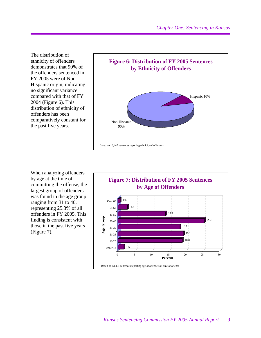The distribution of ethnicity of offenders demonstrates that 90% of the offenders sentenced in FY 2005 were of Non-Hispanic origin, indicating no significant variance compared with that of FY 2004 (Figure 6). This distribution of ethnicity of offenders has been comparatively constant for the past five years.



When analyzing offenders by age at the time of committing the offense, the largest group of offenders was found in the age group ranging from 31 to 40, representing 25.3% of all offenders in FY 2005. This finding is consistent with those in the past five years (Figure 7).

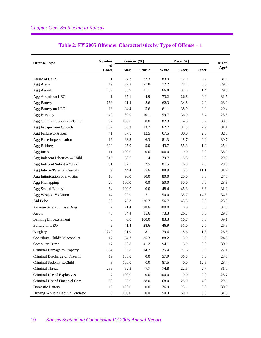| <b>Offense Type</b>               | <b>Number</b>      | Gender (%) |         |          | Race $(\% )$ |         | Mean |  |
|-----------------------------------|--------------------|------------|---------|----------|--------------|---------|------|--|
|                                   | of<br><b>Cases</b> | Male       | Female  | White    | <b>Black</b> | Other   | Age* |  |
| Abuse of Child                    | 31                 | 67.7       | 32.3    | 83.9     | 12.9         | 3.2     | 31.5 |  |
| Agg Arson                         | 19                 | 72.2       | 27.8    | 72.2     | 22.2         | 5.6     | 29.8 |  |
| Agg Assault                       | 282                | 88.9       | 11.1    | 66.8     | 31.8         | 1.4     | 29.8 |  |
| Agg Assault on LEO                | 41                 | 95.1       | 4.9     | 73.2     | 26.8         | 0.0     | 31.5 |  |
| <b>Agg Battery</b>                | 663                | 91.4       | 8.6     | 62.3     | 34.8         | 2.9     | 28.9 |  |
| Agg Battery on LEO                | 18                 | 94.4       | 5.6     | 61.1     | 38.9         | 0.0     | 29.4 |  |
| Agg Burglary                      | 149                | 89.9       | 10.1    | 59.7     | 36.9         | 3.4     | 28.5 |  |
| Agg Criminal Sodomy w/Child       | 62                 | 100.0      | 0.0     | 82.3     | 14.5         | 3.2     | 30.9 |  |
| Agg Escape from Custody           | 102                | 86.3       | 13.7    | 62.7     | 34.3         | 2.9     | 31.1 |  |
| Agg Failure to Appear             | 41                 | 87.5       | 12.5    | 67.5     | 30.0         | 2.5     | 32.8 |  |
| Agg False Impersonation           | 16                 | 93.8       | 6.3     | 81.3     | 18.7         | $0.0\,$ | 30.7 |  |
| Agg Robbery                       | 300                | 95.0       | 5.0     | 43.7     | 55.3         | 1.0     | 25.4 |  |
| Agg Incest                        | 11                 | 100.0      | 0.0     | 100.0    | 0.0          | 0.0     | 35.9 |  |
| Agg Indecent Liberties w/Child    | 345                | 98.6       | 1.4     | 79.7     | 18.3         | 2.0     | 29.2 |  |
| Agg Indecent Solicit w/Child      | 81                 | 97.5       | 2.5     | 81.5     | 16.0         | 2.5     | 29.6 |  |
| Agg Inter w/Parental Custody      | 9                  | 44.4       | 55.6    | 88.9     | 0.0          | 11.1    | 31.7 |  |
| Agg Intimidation of a Victim      | 10                 | 90.0       | 10.0    | 80.0     | 20.0         | 0.0     | 27.5 |  |
| Agg Kidnapping                    | 20                 | 100.0      | 0.0     | 50.0     | 50.0         | 0.0     | 28.8 |  |
| <b>Agg Sexual Battery</b>         | 64                 | 100.0      | 0.0     | 48.4     | 45.3         | 6.3     | 31.2 |  |
| Agg Weapon Violation              | 14                 | 92.9       | 7.1     | 50.0     | 35.7         | 14.3    | 34.8 |  |
| Aid Felon                         | 30                 | 73.3       | 26.7    | 56.7     | 43.3         | $0.0\,$ | 28.0 |  |
| Arrange Sale/Purchase Drug        | 7                  | 71.4       | 28.6    | 100.0    | 0.0          | 0.0     | 32.0 |  |
| Arson                             | 45                 | 84.4       | 15.6    | 73.3     | 26.7         | 0.0     | 29.0 |  |
| <b>Banking Embezzlement</b>       | 6                  | 0.0        | 100.0   | 83.3     | 16.7         | 0.0     | 39.1 |  |
| Battery on LEO                    | 49                 | 71.4       | 28.6    | 46.9     | 51.0         | 2.0     | 25.9 |  |
| <b>Burglary</b>                   | 1,242              | 91.9       | 8.1     | 79.6     | 18.6         | 1.8     | 26.5 |  |
| Contribute Child's Misconduct     | 17                 | 64.7       | 35.3    | 88.2     | 5.9          | 5.9     | 24.5 |  |
| Computer Crime                    | 17                 | 58.8       | 41.2    | 94.1     | 5.9          | 0.0     | 30.6 |  |
| Criminal Damage to Property       | 134                | 85.8       | 14.2    | 75.4     | 21.6         | 3.0     | 27.1 |  |
| Criminal Discharge of Firearm     | 19                 | 100.0      | $0.0\,$ | 57.9     | 36.8         | 5.3     | 23.5 |  |
| Criminal Sodomy w/Child           | 8                  | 100.0      | $0.0\,$ | 87.5     | $0.0\,$      | 12.5    | 23.4 |  |
| Criminal Threat                   | 299                | 92.3       | 7.7     | 74.8     | 22.5         | 2.7     | 31.0 |  |
| Criminal Use of Explosives        | 7                  | 100.0      | $0.0\,$ | 100.0    | $0.0\,$      | 0.0     | 25.7 |  |
| Criminal Use of Financial Card    | 50                 | 62.0       | 38.0    | 68.0     | 28.0         | 4.0     | 29.6 |  |
| <b>Domestic Battery</b>           | 13                 | $100.0\,$  | 0.0     | 76.9     | 23.1         | 0.0     | 30.8 |  |
| Driving While a Habitual Violator | $\sqrt{6}$         | 100.0      | $0.0\,$ | $50.0\,$ | $50.0\,$     | $0.0\,$ | 31.9 |  |

### **Table 2: FY 2005 Offender Characteristics by Type of Offense – 1**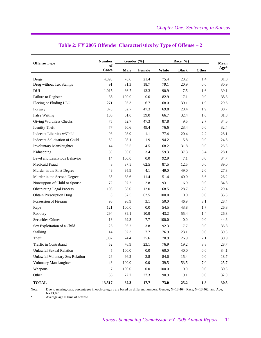| <b>Offense Type</b>              | <b>Number</b>      | Gender $(\% )$ |         |       | Race $(\% )$ |         | Mean |
|----------------------------------|--------------------|----------------|---------|-------|--------------|---------|------|
|                                  | of<br><b>Cases</b> | Male           | Female  | White | <b>Black</b> | Other   | Age* |
| Drugs                            | 4,393              | 78.6           | 21.4    | 75.4  | 23.2         | 1.4     | 31.0 |
| Drug without Tax Stamps          | 91                 | 81.3           | 18.7    | 79.1  | 20.9         | 0.0     | 30.9 |
| DUI                              | 1,015              | 86.7           | 13.3    | 90.9  | 7.5          | 1.6     | 39.1 |
| Failure to Register              | 35                 | 100.0          | 0.0     | 82.9  | 17.1         | 0.0     | 35.3 |
| Fleeing or Eluding LEO           | 271                | 93.3           | 6.7     | 68.0  | 30.1         | 1.9     | 29.5 |
| Forgery                          | 870                | 52.7           | 47.3    | 69.8  | 28.4         | 1.9     | 30.7 |
| <b>False Writing</b>             | 106                | 61.0           | 39.0    | 66.7  | 32.4         | 1.0     | 31.8 |
| Giving Worthless Checks          | 75                 | 52.7           | 47.3    | 87.8  | 9.5          | 2.7     | 34.6 |
| <b>Identity Theft</b>            | 77                 | 50.6           | 49.4    | 76.6  | 23.4         | 0.0     | 32.4 |
| Indecent Liberties w/Child       | 93                 | 98.9           | 1.1     | 77.4  | 20.4         | 2.2     | 28.1 |
| Indecent Solicitation of Child   | 52                 | 98.1           | 1.9     | 94.2  | 5.8          | 0.0     | 24.5 |
| <b>Involuntary Manslaughter</b>  | 44                 | 95.5           | 4.5     | 68.2  | 31.8         | 0.0     | 25.3 |
| Kidnapping                       | 59                 | 96.6           | 3.4     | 59.3  | 37.3         | 3.4     | 28.1 |
| Lewd and Lascivious Behavior     | 14                 | 100.0          | 0.0     | 92.9  | 7.1          | 0.0     | 34.7 |
| Medicaid Fraud                   | 8                  | 37.5           | 62.5    | 87.5  | 12.5         | 0.0     | 39.0 |
| Murder in the First Degree       | 49                 | 95.9           | 4.1     | 49.0  | 49.0         | 2.0     | 27.8 |
| Murder in the Second Degree      | 35                 | 88.6           | 11.4    | 51.4  | 40.0         | 8.6     | 26.2 |
| Nonsupport of Child or Spouse    | 72                 | 97.2           | 2.8     | 93.1  | 6.9          | 0.0     | 34.8 |
| <b>Obstructing Legal Process</b> | 108                | 88.0           | 12.0    | 68.5  | 28.7         | 2.8     | 29.4 |
| <b>Obtain Prescription Drug</b>  | 8                  | 37.5           | 62.5    | 100.0 | 0.0          | 0.0     | 35.5 |
| Possession of Firearm            | 96                 | 96.9           | 3.1     | 50.0  | 46.9         | 3.1     | 28.4 |
| Rape                             | 121                | 100.0          | 0.0     | 54.5  | 43.8         | 1.7     | 26.8 |
| Robbery                          | 294                | 89.1           | 10.9    | 43.2  | 55.4         | 1.4     | 26.8 |
| <b>Securities Crimes</b>         | 13                 | 92.3           | 7.7     | 100.0 | 0.0          | 0.0     | 44.6 |
| Sex Exploitation of a Child      | 26                 | 96.2           | 3.8     | 92.3  | 7.7          | 0.0     | 35.8 |
| Stalking                         | 14                 | 92.3           | 7.7     | 76.9  | 23.1         | 0.0     | 39.3 |
| Theft                            | 1,082              | 74.4           | 25.6    | 70.9  | 26.9         | 2.1     | 30.9 |
| Traffic in Contraband            | 52                 | 76.9           | 23.1    | 76.9  | 19.2         | 3.8     | 28.7 |
| Unlawful Sexual Relation         | 5                  | 100.0          | $0.0\,$ | 60.0  | 40.0         | 0.0     | 34.1 |
| Unlawful Voluntary Sex Relation  | 26                 | 96.2           | 3.8     | 84.6  | 15.4         | $0.0\,$ | 18.7 |
| Voluntary Manslaughter           | 43                 | 100.0          | $0.0\,$ | 39.5  | 53.5         | 7.0     | 25.7 |
| Weapons                          | 7                  | 100.0          | $0.0\,$ | 100.0 | $0.0\,$      | $0.0\,$ | 30.3 |
| Other                            | 36                 | 72.7           | 27.3    | 90.9  | 9.1          | $0.0\,$ | 32.0 |
| <b>TOTAL</b>                     | 13,517             | 82.3           | 17.7    | 73.0  | 25.2         | 1.8     | 30.5 |

#### **Table 2: FY 2005 Offender Characteristics by Type of Offense – 2**

Note: Due to missing data, percentages in each category are based on different numbers: Gender, N=13,464; Race, N=13,462; and Age, N=13,461.

\* Average age at time of offense.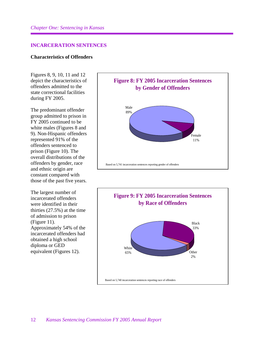#### **INCARCERATION SENTENCES**

#### **Characteristics of Offenders**

Figures 8, 9, 10, 11 and 12 depict the characteristics of offenders admitted to the state correctional facilities during FY 2005.

The predominant offender group admitted to prison in FY 2005 continued to be white males (Figures 8 and 9). Non-Hispanic offenders represented 91% of the offenders sentenced to prison (Figure 10). The overall distributions of the offenders by gender, race and ethnic origin are constant compared with those of the past five years.

The largest number of incarcerated offenders were identified in their thirties (27.5%) at the time of admission to prison (Figure 11). Approximately 54% of the incarcerated offenders had obtained a high school diploma or GED equivalent (Figures 12).



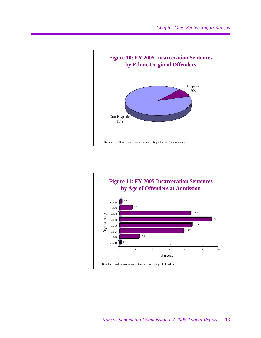

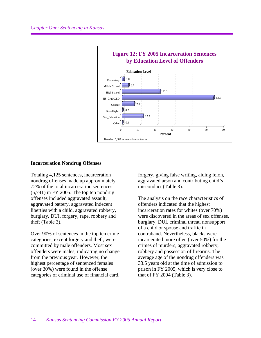

#### **Incarceration Nondrug Offenses**

Totaling 4,125 sentences, incarceration nondrug offenses made up approximately 72% of the total incarceration sentences (5,741) in FY 2005. The top ten nondrug offenses included aggravated assault, aggravated battery, aggravated indecent liberties with a child, aggravated robbery, burglary, DUI, forgery, rape, robbery and theft (Table 3).

Over 90% of sentences in the top ten crime categories, except forgery and theft, were committed by male offenders. Most sex offenders were males, indicating no change from the previous year. However, the highest percentage of sentenced females (over 30%) were found in the offense categories of criminal use of financial card,

forgery, giving false writing, aiding felon, aggravated arson and contributing child's misconduct (Table 3).

The analysis on the race characteristics of offenders indicated that the highest incarceration rates for whites (over 70%) were discovered in the areas of sex offenses, burglary, DUI, criminal threat, nonsupport of a child or spouse and traffic in contraband. Nevertheless, blacks were incarcerated more often (over 50%) for the crimes of murders, aggravated robbery, robbery and possession of firearms. The average age of the nondrug offenders was 33.5 years old at the time of admission to prison in FY 2005, which is very close to that of FY 2004 (Table 3).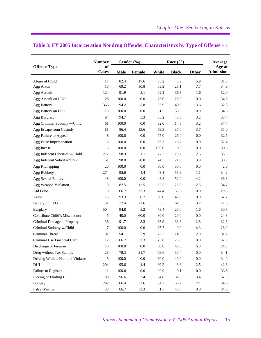|                                   | <b>Number</b>      |             | Gender $(\% )$ |       | Race $(\% )$ |         | Average                    |
|-----------------------------------|--------------------|-------------|----------------|-------|--------------|---------|----------------------------|
| <b>Offense Type</b>               | of<br><b>Cases</b> | <b>Male</b> | Female         | White | <b>Black</b> | Other   | Age at<br><b>Admission</b> |
| Abuse of Child                    | 17                 | 82.4        | 17.6           | 88.2  | 5.9          | 5.9     | 31.3                       |
| Agg Arson                         | 13                 | 69.2        | 30.8           | 69.2  | 23.1         | 7.7     | 34.9                       |
| Agg Assault                       | 124                | 91.9        | 8.1            | 62.1  | 36.3         | 1.6     | 32.0                       |
| Agg Assault on LEO                | 28                 | 100.0       | 0.0            | 75.0  | 25.0         | 0.0     | 34.6                       |
| Agg Battery                       | 365                | 94.2        | 5.8            | 55.9  | 40.5         | 3.6     | 32.3                       |
| Agg Battery on LEO                | 13                 | 100.0       | 0.0            | 61.5  | 38.5         | 0.0     | 34.6                       |
| Agg Burglary                      | 94                 | 94.7        | 5.3            | 53.2  | 43.6         | 3.2     | 33.4                       |
| Agg Criminal Sodomy w/Child       | 61                 | 100.0       | 0.0            | 82.0  | 14.8         | 3.2     | 37.7                       |
| Agg Escape from Custody           | 81                 | 86.4        | 13.6           | 59.3  | 37.0         | 3.7     | 35.0                       |
| Agg Failure to Appear             | 8                  | 100.0       | 0.0            | 75.0  | 25.0         | 0.0     | 32.5                       |
| Agg False Impersonation           | 6                  | 100.0       | 0.0            | 83.3  | 16.7         | 0.0     | 32.4                       |
| Agg Incest                        | 6                  | 100.0       | 0.0            | 100.0 | 0.0          | 0.0     | 39.6                       |
| Agg Indecent Liberties w/Child    | 272                | 98.9        | 1.1            | 77.2  | 20.2         | 2.6     | 33.8                       |
| Agg Indecent Solicit w/Child      | 51                 | 98.0        | 20.0           | 74.5  | 21.6         | 3.9     | 30.9                       |
| Agg Kidnapping                    | 20                 | 100.0       | 0.0            | 50.0  | 50.0         | 0.0     | 42.6                       |
| Agg Robbery                       | 274                | 95.6        | 4.4            | 43.1  | 55.8         | 1.1     | 34.2                       |
| <b>Agg Sexual Battery</b>         | 48                 | 100.0       | 0.0            | 43.8  | 52.0         | 4.2     | 36.3                       |
| Agg Weapon Violation              | $\,8\,$            | 87.5        | 12.5           | 62.5  | 25.0         | 12.5    | 34.7                       |
| Aid Felon                         | 9                  | 66.7        | 33.3           | 44.4  | 55.6         | 0.0     | 29.5                       |
| Arson                             | 15                 | 93.3        | 6.7            | 60.0  | 40.0         | 0.0     | 32.2                       |
| Battery on LEO                    | 31                 | 77.4        | 22.6           | 35.5  | 61.3         | 3.2     | 27.6                       |
| <b>Burglary</b>                   | 504                | 94.8        | 5.2            | 73.4  | 25.0         | 1.6     | 30.5                       |
| Contribute Child's Misconduct     | 5                  | 40.0        | 60.0           | 80.0  | 20.0         | 0.0     | 24.8                       |
| Criminal Damage to Property       | 36                 | 91.7        | 8.3            | 63.9  | 33.3         | 2.8     | 32.6                       |
| Criminal Sodomy w/Child           | 7                  | 100.0       | 0.0            | 85.7  | 0.0          | 14.3    | 26.9                       |
| Criminal Threat                   | 102                | 94.1        | 5.9            | 72.5  | 24.5         | 2.9     | 31.2                       |
| Criminal Use Financial Card       | 12                 | 66.7        | 33.3           | 75.0  | 25.0         | 0.0     | 32.9                       |
| Discharge of Firearm              | 16                 | 100.0       | 0.0            | 50.0  | 43.8         | 6.3     | 24.5                       |
| Drug without Tax Stamps           | 23                 | 78.3        | 21.7           | 69.6  | 30.4         | $0.0\,$ | 34.1                       |
| Driving While a Habitual Violator | 5                  | 100.0       | 0.0            | 60.0  | 40.0         | $0.0\,$ | 34.0                       |
| $\rm DUI$                         | 204                | 95.6        | 4.4            | 89.2  | 8.3          | 2.5     | 42.6                       |
| Failure to Register               | 11                 | 100.0       | 0.0            | 90.9  | 9.1          | 0.0     | 33.6                       |
| Fleeing or Eluding LEO            | 88                 | 96.6        | 3.4            | 64.8  | 31.8         | 3.4     | 32.5                       |
| Forgery                           | 292                | 66.4        | 33.6           | 64.7  | 33.2         | 2.1     | 34.6                       |
| <b>False Writing</b>              | 33                 | 66.7        | 33.3           | 51.5  | 48.5         | $0.0\,$ | 34.8                       |

#### **Table 3: FY 2005 Incarceration Nondrug Offender Characteristics by Type of Offense – 1**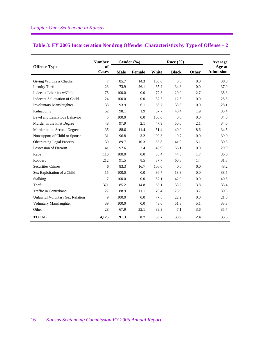|                                  | <b>Number</b>      | Gender (%)  |               | Race $(\% )$ |              |       | Average                    |
|----------------------------------|--------------------|-------------|---------------|--------------|--------------|-------|----------------------------|
| <b>Offense Type</b>              | of<br><b>Cases</b> | <b>Male</b> | <b>Female</b> | White        | <b>Black</b> | Other | Age at<br><b>Admission</b> |
| Giving Worthless Checks          | 7                  | 85.7        | 14.3          | 100.0        | 0.0          | 0.0   | 38.8                       |
| <b>Identity Theft</b>            | 23                 | 73.9        | 26.1          | 65.2         | 34.8         | 0.0   | 37.0                       |
| Indecent Liberties w/Child       | 75                 | 100.0       | 0.0           | 77.3         | 20.0         | 2.7   | 35.3                       |
| Indecent Solicitation of Child   | 24                 | 100.0       | 0.0           | 87.5         | 12.5         | 0.0   | 25.5                       |
| <b>Involuntary Manslaughter</b>  | 33                 | 93.9        | 6.1           | 66.7         | 33.3         | 0.0   | 28.1                       |
| Kidnapping                       | 52                 | 98.1        | 1.9           | 57.7         | 40.4         | 1.9   | 35.4                       |
| Lewd and Lascivious Behavior     | 5                  | 100.0       | 0.0           | 100.0        | 0.0          | 0.0   | 34.6                       |
| Murder in the First Degree       | 48                 | 97.9        | 2.1           | 47.9         | 50.0         | 2.1   | 34.0                       |
| Murder in the Second Degree      | 35                 | 88.6        | 11.4          | 51.4         | 40.0         | 8.6   | 34.5                       |
| Nonsupport of Child or Spouse    | 31                 | 96.8        | 3.2           | 90.3         | 9.7          | 0.0   | 39.0                       |
| <b>Obstructing Legal Process</b> | 39                 | 89.7        | 10.3          | 53.8         | 41.0         | 5.1   | 30.3                       |
| Possession of Firearm            | 41                 | 97.6        | 2.4           | 43.9         | 56.1         | 0.0   | 29.0                       |
| Rape                             | 116                | 100.0       | 0.0           | 53.4         | 44.8         | 1.7   | 36.0                       |
| Robbery                          | 212                | 91.5        | 8.5           | 37.7         | 60.8         | 1.4   | 31.8                       |
| <b>Securities Crimes</b>         | 6                  | 83.3        | 16.7          | 100.0        | 0.0          | 0.0   | 43.2                       |
| Sex Exploitation of a Child      | 15                 | 100.0       | 0.0           | 86.7         | 13.3         | 0.0   | 38.5                       |
| Stalking                         | 7                  | 100.0       | 0.0           | 57.1         | 42.9         | 0.0   | 40.5                       |
| Theft                            | 371                | 85.2        | 14.8          | 63.1         | 33.2         | 3.8   | 33.4                       |
| Traffic in Contraband            | 27                 | 88.9        | 11.1          | 70.4         | 25.9         | 3.7   | 30.3                       |
| Unlawful Voluntary Sex Relation  | 9                  | 100.0       | 0.0           | 77.8         | 22.2         | 0.0   | 21.0                       |
| <b>Voluntary Manslaughter</b>    | 39                 | 100.0       | 0.0           | 43.6         | 51.3         | 5.1   | 33.8                       |
| Other                            | 28                 | 67.9        | 32.1          | 89.3         | 7.1          | 3.6   | 35.7                       |
| <b>TOTAL</b>                     | 4,125              | 91.3        | 8.7           | 63.7         | 33.9         | 2.4   | 33.5                       |

#### **Table 3: FY 2005 Incarceration Nondrug Offender Characteristics by Type of Offense – 2**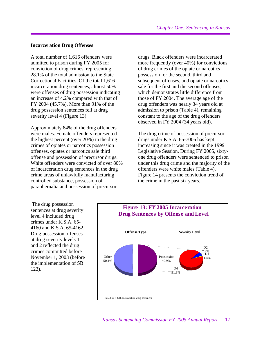#### **Incarceration Drug Offenses**

A total number of 1,616 offenders were admitted to prison during FY 2005 for conviction of drug crimes, representing 28.1% of the total admission to the State Correctional Facilities. Of the total 1,616 incarceration drug sentences, almost 50% were offenses of drug possession indicating an increase of 4.2% compared with that of FY 2004 (45.7%). More than 91% of the drug possession sentences fell at drug severity level 4 (Figure 13).

Approximately 84% of the drug offenders were males. Female offenders represented the highest percent (over 20%) in the drug crimes of opiates or narcotics possession offenses, opiates or narcotics sale third offense and possession of precursor drugs. White offenders were convicted of over 80% of incarceration drug sentences in the drug crime areas of unlawfully manufacturing controlled substance, possession of paraphernalia and possession of precursor

drugs. Black offenders were incarcerated more frequently (over 40%) for convictions of drug crimes of the opiate or narcotics possession for the second, third and subsequent offenses, and opiate or narcotics sale for the first and the second offenses, which demonstrates little difference from those of FY 2004. The average age of the drug offenders was nearly 34 years old at admission to prison (Table 4), remaining constant to the age of the drug offenders observed in FY 2004 (34 years old).

The drug crime of possession of precursor drugs under K.S.A. 65-7006 has kept increasing since it was created in the 1999 Legislative Session. During FY 2005, sixtyone drug offenders were sentenced to prison under this drug crime and the majority of the offenders were white males (Table 4). Figure 14 presents the conviction trend of the crime in the past six years.

 The drug possession sentences at drug severity level 4 included drug crimes under K.S.A. 65- 4160 and K.S.A. 65-4162. Drug possession offenses at drug severity levels 1 and 2 reflected the drug crimes committed before November 1, 2003 (before the implementation of SB 123).

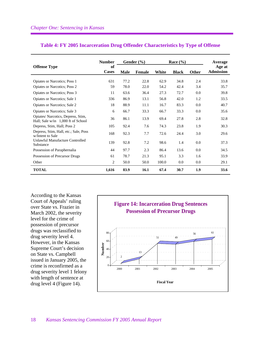|                                                                         | <b>Number</b>      | Gender $(\% )$ |               | Race $(\% )$ |              |              | Average                    |
|-------------------------------------------------------------------------|--------------------|----------------|---------------|--------------|--------------|--------------|----------------------------|
| <b>Offense Type</b>                                                     | of<br><b>Cases</b> | <b>Male</b>    | <b>Female</b> | White        | <b>Black</b> | <b>Other</b> | Age at<br><b>Admission</b> |
| Opiates or Narcotics; Poss 1                                            | 631                | 77.2           | 22.8          | 62.9         | 34.8         | 2.4          | 33.8                       |
| <b>Opiates or Narcotics</b> ; Poss 2                                    | 59                 | 78.0           | 22.0          | 54.2         | 42.4         | 3.4          | 35.7                       |
| Opiates or Narcotics; Poss 3                                            | 11                 | 63.6           | 36.4          | 27.3         | 72.7         | 0.0          | 39.8                       |
| Opiates or Narcotics; Sale 1                                            | 336                | 86.9           | 13.1          | 56.8         | 42.0         | 1.2          | 33.5                       |
| Opiates or Narcotics; Sale 2                                            | 18                 | 88.9           | 11.1          | 16.7         | 83.3         | 0.0          | 40.7                       |
| Opiates or Narcotics; Sale 3                                            | 6                  | 66.7           | 33.3          | 66.7         | 33.3         | 0.0          | 35.6                       |
| Opiates/Narcotics, Depress, Stim.<br>Hall; Sale w/in 1,000 ft of School | 36                 | 86.1           | 13.9          | 69.4         | 27.8         | 2.8          | 32.8                       |
| Depress, Stim, Hall; Poss 2                                             | 105                | 92.4           | 7.6           | 74.3         | 23.8         | 1.9          | 30.3                       |
| Depress, Stim, Hall, etc.; Sale, Poss<br>w/Intent to Sale               | 168                | 92.3           | 7.7           | 72.6         | 24.4         | 3.0          | 29.6                       |
| Unlawful Manufacture Controlled<br>Substance                            | 139                | 92.8           | 7.2           | 98.6         | 1.4          | 0.0          | 37.3                       |
| Possession of Paraphernalia                                             | 44                 | 97.7           | 2.3           | 86.4         | 13.6         | 0.0          | 34.5                       |
| Possession of Precursor Drugs                                           | 61                 | 78.7           | 21.3          | 95.1         | 3.3          | 1.6          | 33.9                       |
| Other                                                                   | $\overline{c}$     | 50.0           | 50.0          | 100.0        | $0.0\,$      | $0.0\,$      | 29.1                       |
| <b>TOTAL</b>                                                            | 1,616              | 83.9           | 16.1          | 67.4         | 30.7         | 1.9          | 33.6                       |

#### **Table 4: FY 2005 Incarceration Drug Offender Characteristics by Type of Offense**

According to the Kansas Court of Appeals' ruling over State vs. Frazier in March 2002, the severity level for the crime of possession of precursor drugs was reclassified to drug severity level 4. However, in the Kansas Supreme Court's decision on State vs. Campbell issued in January 2005, the crime is reconfirmed as a drug severity level 1 felony with length of sentence at drug level 4 (Figure 14).

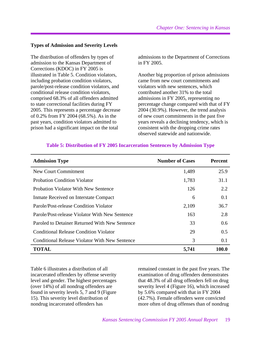#### **Types of Admission and Severity Levels**

The distribution of offenders by types of admission to the Kansas Department of Corrections (KDOC) in FY 2005 is illustrated in Table 5. Condition violators, including probation condition violators, parole/post-release condition violators, and conditional release condition violators, comprised 68.3% of all offenders admitted to state correctional facilities during FY 2005. This represents a percentage decrease of 0.2% from FY 2004 (68.5%). As in the past years, condition violators admitted to prison had a significant impact on the total

admissions to the Department of Corrections in FY 2005.

Another big proportion of prison admissions came from new court commitments and violators with new sentences, which contributed another 31% to the total admissions in FY 2005, representing no percentage change compared with that of FY 2004 (30.9%). However, the trend analysis of new court commitments in the past five years reveals a declining tendency, which is consistent with the dropping crime rates observed statewide and nationwide.

| <b>Admission Type</b>                          | <b>Number of Cases</b> | <b>Percent</b> |
|------------------------------------------------|------------------------|----------------|
| New Court Commitment                           | 1,489                  | 25.9           |
| <b>Probation Condition Violator</b>            | 1,783                  | 31.1           |
| <b>Probation Violator With New Sentence</b>    | 126                    | 2.2            |
| Inmate Received on Interstate Compact          | 6                      | 0.1            |
| Parole/Post-release Condition Violator         | 2,109                  | 36.7           |
| Parole/Post-release Violator With New Sentence | 163                    | 2.8            |
| Paroled to Detainer Returned With New Sentence | 33                     | 0.6            |
| <b>Conditional Release Condition Violator</b>  | 29                     | 0.5            |
| Conditional Release Violator With New Sentence | 3                      | 0.1            |
| <b>TOTAL</b>                                   | 5,741                  | 100.0          |

#### **Table 5: Distribution of FY 2005 Incarceration Sentences by Admission Type**

Table 6 illustrates a distribution of all incarcerated offenders by offense severity level and gender. The highest percentages (over 14%) of all nondrug offenders are found in severity levels 5, 7 and 9 (Figure 15). This severity level distribution of nondrug incarcerated offenders has

remained constant in the past five years. The examination of drug offenders demonstrates that 48.3% of all drug offenders fell on drug severity level 4 (Figure 16), which increased by 5.6% compared with that in FY 2004 (42.7%). Female offenders were convicted more often of drug offenses than of nondrug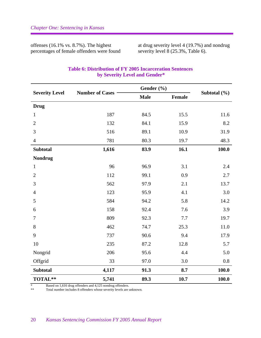offenses (16.1% vs. 8.7%). The highest percentages of female offenders were found

at drug severity level 4 (19.7%) and nondrug severity level 8 (25.3%, Table 6).

|                       |                        | Gender (%)  |        |                  |
|-----------------------|------------------------|-------------|--------|------------------|
| <b>Severity Level</b> | <b>Number of Cases</b> | <b>Male</b> | Female | Subtotal $(\% )$ |
| <b>Drug</b>           |                        |             |        |                  |
| $\mathbf{1}$          | 187                    | 84.5        | 15.5   | 11.6             |
| $\overline{2}$        | 132                    | 84.1        | 15.9   | 8.2              |
| 3                     | 516                    | 89.1        | 10.9   | 31.9             |
| $\overline{4}$        | 781                    | 80.3        | 19.7   | 48.3             |
| <b>Subtotal</b>       | 1,616                  | 83.9        | 16.1   | 100.0            |
| <b>Nondrug</b>        |                        |             |        |                  |
| $\mathbf{1}$          | 96                     | 96.9        | 3.1    | 2.4              |
| $\overline{2}$        | 112                    | 99.1        | 0.9    | 2.7              |
| 3                     | 562                    | 97.9        | 2.1    | 13.7             |
| $\overline{4}$        | 123                    | 95.9        | 4.1    | 3.0              |
| 5                     | 584                    | 94.2        | 5.8    | 14.2             |
| 6                     | 158                    | 92.4        | 7.6    | 3.9              |
| $\tau$                | 809                    | 92.3        | 7.7    | 19.7             |
| 8                     | 462                    | 74.7        | 25.3   | 11.0             |
| 9                     | 737                    | 90.6        | 9.4    | 17.9             |
| 10                    | 235                    | 87.2        | 12.8   | 5.7              |
| Nongrid               | 206                    | 95.6        | 4.4    | 5.0              |
| Offgrid               | 33                     | 97.0        | 3.0    | 0.8              |
| <b>Subtotal</b>       | 4,117                  | 91.3        | 8.7    | 100.0            |
| TOTAL**               | 5,741                  | 89.3        | 10.7   | 100.0            |

# **Table 6: Distribution of FY 2005 Incarceration Sentences by Severity Level and Gender\***

\* Based on 1,616 drug offenders and 4,125 nondrug offenders.<br>\*\* Total number includes 8 offenders whose sourity layels are used.

Total number includes 8 offenders whose severity levels are unknown.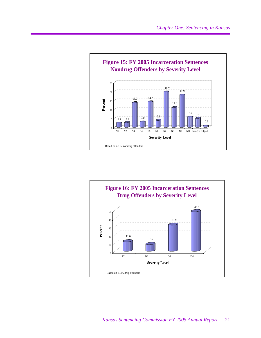

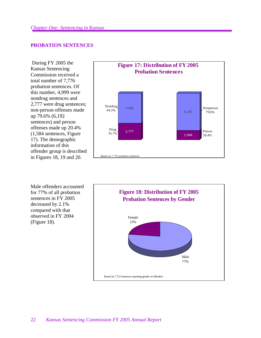#### **PROBATION SENTENCES**

 During FY 2005 the Kansas Sentencing Commission received a total number of 7,776 probation sentences. Of this number, 4,999 were nondrug sentences and 2,777 were drug sentences; non-person offenses made up 79.6% (6,192 sentences) and person offenses made up 20.4% (1,584 sentences, Figure 17). The demographic information of this offender group is described in Figures 18, 19 and 20.



Male offenders accounted for 77% of all probation sentences in FY 2005 decreased by 2.1% compared with that observed in FY 2004 (Figure 18).

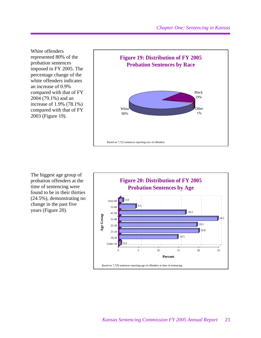White offenders represented 80% of the probation sentences imposed in FY 2005. The percentage change of the white offenders indicates an increase of 0.9% compared with that of FY 2004 (79.1%) and an increase of 1.9% (78.1%) compared with that of FY 2003 (Figure 19).



The biggest age group of probation offenders at the time of sentencing were found to be in their thirties (24.5%), demonstrating no change in the past five years (Figure 20).

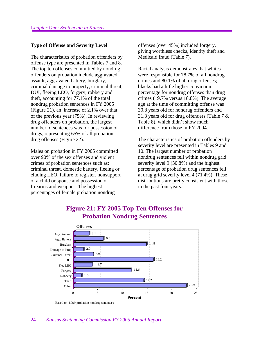#### **Type of Offense and Severity Level**

The characteristics of probation offenders by offense type are presented in Tables 7 and 8. The top ten offenses committed by nondrug offenders on probation include aggravated assault, aggravated battery, burglary, criminal damage to property, criminal threat, DUI, fleeing LEO, forgery, robbery and theft, accounting for 77.1% of the total nondrug probation sentences in FY 2005 (Figure 21), an increase of 2.1% over that of the previous year (75%). In reviewing drug offenders on probation, the largest number of sentences was for possession of drugs, representing 65% of all probation drug offenses (Figure 22).

Males on probation in FY 2005 committed over 90% of the sex offenses and violent crimes of probation sentences such as: criminal threat, domestic battery, fleeing or eluding LEO, failure to register, nonsupport of a child or spouse and possession of firearms and weapons. The highest percentages of female probation nondrug

offenses (over 45%) included forgery, giving worthless checks, identity theft and Medicaid fraud (Table 7).

Racial analysis demonstrates that whites were responsible for 78.7% of all nondrug crimes and 80.1% of all drug offenses; blacks had a little higher conviction percentage for nondrug offenses than drug crimes (19.7% versus 18.8%). The average age at the time of committing offense was 30.8 years old for nondrug offenders and 31.3 years old for drug offenders (Table 7 & Table 8), which didn't show much difference from those in FY 2004.

The characteristics of probation offenders by severity level are presented in Tables 9 and 10. The largest number of probation nondrug sentences fell within nondrug grid severity level 9 (30.8%) and the highest percentage of probation drug sentences fell at drug grid severity level 4 (71.4%). These distributions are pretty consistent with those in the past four years.



# **Figure 21: FY 2005 Top Ten Offenses for Probation Nondrug Sentences**

Based on 4,999 probation nondrug sentences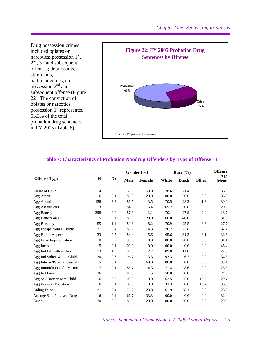

# **Table 7: Characteristics of Probation Nondrug Offenders by Type of Offense –1**

|                              |           |               |             | Gender (%) |       | Race $(\% )$ |              | <b>Offense</b>     |
|------------------------------|-----------|---------------|-------------|------------|-------|--------------|--------------|--------------------|
| <b>Offense Type</b>          | ${\bf N}$ | $\frac{0}{0}$ | <b>Male</b> | Female     | White | <b>Black</b> | <b>Other</b> | Age<br><b>Mean</b> |
| Abuse of Child               | 14        | 0.3           | 50.0        | 50.0       | 78.6  | 21.4         | 0.0          | 35.6               |
| Agg Arson                    | 6         | 0.1           | 80.0        | 20.0       | 80.0  | 20.0         | 0.0          | 36.8               |
| Agg Assault                  | 158       | 3.2           | 86.5        | 13.5       | 70.5  | 28.2         | 1.3          | 30.0               |
| Agg Assault on LEO           | 13        | 0.3           | 84.6        | 15.4       | 69.2  | 30.8         | 0.0          | 29.9               |
| Agg Battery                  | 298       | 6.0           | 87.9        | 12.1       | 70.1  | 27.9         | 2.0          | 28.7               |
| Agg Battery on LEO           | 5         | 0.1           | 80.0        | 20.0       | 60.0  | 40.0         | 0.0          | 31.6               |
| Agg Burglary                 | 55        | 1.1           | 81.8        | 18.2       | 70.9  | 25.5         | 3.6          | 27.7               |
| Agg Escape from Custody      | 21        | 0.4           | 85.7        | 14.3       | 76.2  | 23.8         | 0.0          | 32.7               |
| Agg Fail to Appear           | 33        | 0.7           | 84.4        | 15.6       | 65.6  | 31.3         | 3.1          | 33.6               |
| Agg False Impersonation      | 10        | 0.2           | 90.0        | 10.0       | 80.0  | 20.0         | 0.0          | 31.4               |
| Agg Incest                   | 5         | 0.1           | 100.0       | 0.0        | 100.0 | 0.0          | 0.0          | 45.4               |
| Agg Ind Lib with a Child     | 73        | 1.5           | 97.3        | 2.7        | 89.0  | 11.0         | 0.0          | 27.3               |
| Agg Ind Solicit with a Child | 30        | 0.6           | 96.7        | 3.3        | 93.3  | 6.7          | 0.0          | 34.8               |
| Agg Inter w/Parental Custody | 5         | 0.1           | 40.0        | 60.0       | 100.0 | 0.0          | 0.0          | 33.1               |
| Agg Intimidation of a Victim | 7         | 0.1           | 85.7        | 14.3       | 71.4  | 28.6         | 0.0          | 28.3               |
| Agg Robbery                  | 26        | 0.5           | 88.5        | 11.5       | 50.0  | 50.0         | 0.0          | 24.0               |
| Agg Sex Battery with Child   | 16        | 0.3           | 100.0       | 0.0        | 62.5  | 25.0         | 12.5         | 29.7               |
| Agg Weapon Violation         | 6         | 0.1           | 100.0       | 0.0        | 33.3  | 50.0         | 16.7         | 36.5               |
| Aiding Felon                 | 21        | 0.4           | 76.2        | 23.8       | 61.9  | 38.1         | 0.0          | 28.2               |
| Arrange Sale/Purchase Drug   | 6         | 0.1           | 66.7        | 33.3       | 100.0 | 0.0          | 0.0          | 32.4               |
| Arson                        | 30        | 0.6           | 80.0        | 20.0       | 80.0  | 20.0         | 0.0          | 29.9               |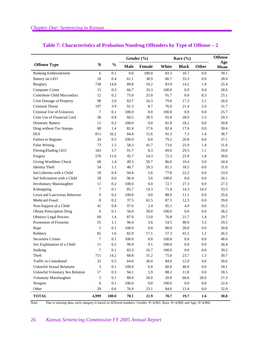|                                  |                  |               | Gender (%)  |               |       | Race $(\% )$ |         | <b>Offense</b> |
|----------------------------------|------------------|---------------|-------------|---------------|-------|--------------|---------|----------------|
| <b>Offense Type</b>              | $\mathbf N$      | $\frac{0}{0}$ | <b>Male</b> | <b>Female</b> | White | <b>Black</b> | Other   | Age<br>Mean    |
| <b>Banking Embezzlement</b>      | 6                | 0.1           | 0.0         | 100.0         | 83.3  | 16.7         | 0.0     | 39.1           |
| Battery on LEO                   | 18               | 0.4           | 61.1        | 38.9          | 66.7  | 33.3         | 0.0     | 28.0           |
| <b>Burglary</b>                  | 738              | 14.8          | 89.8        | 10.2          | 83.9  | 14.2         | 1.9     | 25.4           |
| Computer Crime                   | 15               | 0.3           | 66.7        | 33.3          | 100.0 | 0.0          | 0.0     | 28.6           |
| Contribute Child Misconduct      | 12               | 0.2           | 75.0        | 25.0          | 91.7  | 0.0          | 8.3     | 25.1           |
| Crim Damage of Property          | 98               | $2.0\,$       | 83.7        | 16.3          | 79.6  | 17.3         | 3.1     | 26.0           |
| Criminal Threat                  | 197              | 3.9           | 91.3        | 8.7           | 76.0  | 21.4         | 2.6     | 31.7           |
| Criminal Use of Exlosives        | 7                | 0.1           | 100.0       | 0.0           | 100.0 | 0.0          | $0.0\,$ | 25.7           |
| Crim Use of Financial Card       | 38               | $0.8\,$       | 60.5        | 39.5          | 65.8  | 28.9         | 5.3     | 29.3           |
| <b>Domestic Battery</b>          | 11               | 0.2           | 100.0       | 0.0           | 81.8  | 18.2         | 0.0     | 30.8           |
| Drug without Tax Stamps          | 68               | 1.4           | 82.4        | 17.6          | 82.4  | 17.6         | 0.0     | 30.4           |
| <b>DUI</b>                       | 811              | 16.2          | 84.4        | 15.6          | 91.3  | 7.3          | 1.4     | 38.7           |
| Failure to Register              | 24               | 0.5           | 100.0       | 0.0           | 79.2  | 20.8         | 0.0     | 37.1           |
| <b>False Writing</b>             | 73               | 1.5           | 58.3        | 41.7          | 73.6  | 25.0         | 1.4     | 31.6           |
| Fleeing/Eluding LEO              | 183              | 3.7           | 91.7        | 8.3           | 69.6  | 29.3         | 1.1     | 29.0           |
| Forgery                          | 578              | 11.6          | 45.7        | 54.3          | 72.3  | 25.9         | 1.8     | 30.0           |
| Giving Worthless Check           | 68               | 1.4           | 49.3        | 50.7          | 86.6  | 10.4         | 3.0     | 34.4           |
| <b>Identity Theft</b>            | 54               | 1.1           | 40.7        | 59.3          | 81.5  | 18.5         | 0.0     | 31.0           |
| Ind Liberties with a Child       | 18               | 0.4           | 94.4        | 5.6           | 77.8  | 22.2         | $0.0\,$ | 33.0           |
| Ind Solicitation with a Child    | $28\,$           | 0.6           | 96.4        | 3.6           | 100.0 | 0.0          | 0.0     | 26.1           |
| Involuntary Manslaughter         | 11               | 0.2           | 100.0       | 0.0           | 72.7  | 27.3         | 0.0     | 27.3           |
| Kidnapping                       | 7                | 0.1           | 85.7        | 14.3          | 71.4  | 14.3         | 14.3    | 33.5           |
| Lewd and Lascivious Behavior     | 9                | 0.2           | 100.0       | 0.0           | 88.9  | 11.1         | 0.0     | 35.6           |
| Medicaid Fraud                   | 8                | 0.2           | 37.5        | 62.5          | 87.5  | 12.5         | $0.0\,$ | 39.0           |
| Non-Support of a Child           | 41               | $0.8\,$       | 97.6        | 2.4           | 95.1  | 4.9          | $0.0\,$ | 35.5           |
| <b>Obtain Prescription Drug</b>  | 6                | 0.1           | 50.0        | 50.0          | 100.0 | 0.0          | 0.0     | 38.2           |
| <b>Obstruct Legal Process</b>    | 69               | 1.4           | 87.0        | 13.0          | 76.8  | 21.7         | 1.4     | 29.7           |
| Possession of Firearms           | 55               | 1.1           | 96.4        | 3.6           | 54.5  | 40.0         | 5.5     | 29.5           |
| Rape                             | 5                | 0.1           | 100.0       | 0.0           | 80.0  | 20.0         | 0.0     | 20.8           |
| Robbery                          | 82               | 1.6           | 82.9        | 17.1          | 57.3  | 41.5         | 1.2     | 26.5           |
| <b>Securities Crimes</b>         | 7                | 0.1           | 100.0       | 0.0           | 100.0 | 0.0          | $0.0\,$ | 48.6           |
| Sex Exploitation of a Child      | 11               | 0.2           | 90.9        | 9.1           | 100.0 | 0.0          | 0.0     | 36.4           |
| <b>Stalking</b>                  | $\boldsymbol{7}$ | $0.1\,$       | 83.3        | 16.7          | 100.0 | $0.0\,$      | $0.0\,$ | 39.5           |
| Theft                            | 711              | 14.2          | 68.8        | 31.2          | 75.0  | 23.7         | 1.3     | 30.7           |
| Traffic in Contraband            | $25\,$           | $0.5\,$       | 64.0        | 36.0          | 84.0  | 12.0         | $4.0\,$ | 30.6           |
| <b>Unlawful Sexual Relations</b> | $\sqrt{5}$       | 0.1           | 100.0       | $0.0\,$       | 60.0  | 40.0         | $0.0\,$ | 34.1           |
| Unlawful Voluntary Sex Relation  | 17               | 0.3           | 94.1        | 5.9           | 88.2  | 11.8         | $0.0\,$ | 18.5           |
| Voluntary Manslaughter           | $\sqrt{5}$       | $0.1\,$       | $80.0\,$    | 20.0          | 20.0  | 60.0         | 20.0    | 27.3           |
| Weapon                           | 6                | 0.1           | 100.0       | $0.0\,$       | 100.0 | $0.0\,$      | $0.0\,$ | 32.4           |
| Other                            | 29               | 0.6           | 76.9        | 23.1          | 84.6  | 15.4         | $0.0\,$ | 32.0           |
| <b>TOTAL</b>                     | 4,999            | 100.0         | 78.1        | 21.9          | 78.7  | 19.7         | 1.6     | 30.8           |

# **Table 7: Characteristics of Probation Nondrug Offenders by Type of Offense – 2**

Note: Due to missing data, each category is based on different numbers: Gender, N=4,961; Race, N=4,960; and Age, N=4,966.

# 26 *Kansas Sentencing Commission FY 2005 Annual Report*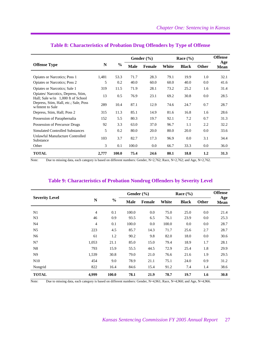|                                                                           |       |       |       | Gender $(\% )$ |       | Race $(\% )$ |              | <b>Offense</b>     |
|---------------------------------------------------------------------------|-------|-------|-------|----------------|-------|--------------|--------------|--------------------|
| <b>Offense Type</b>                                                       | N     | $\%$  | Male  | <b>Female</b>  | White | <b>Black</b> | <b>Other</b> | Age<br><b>Mean</b> |
| Opiates or Narcotics; Poss 1                                              | 1,481 | 53.3  | 71.7  | 28.3           | 79.1  | 19.9         | 1.0          | 32.1               |
| <b>Opiates or Narcotics</b> ; Poss 2                                      | 5     | 0.2   | 40.0  | 60.0           | 60.0  | 40.0         | 0.0          | 41.6               |
| Opiates or Narcotics; Sale 1                                              | 319   | 11.5  | 71.9  | 28.1           | 73.2  | 25.2         | 1.6          | 31.4               |
| Opiates/Narcotics, Depress, Stim.<br>Hall; Sale $w/in 1,000$ ft of School | 13    | 0.5   | 76.9  | 23.1           | 69.2  | 30.8         | 0.0          | 28.5               |
| Depress, Stim, Hall, etc.; Sale, Poss<br>w/Intent to Sale                 | 289   | 10.4  | 87.1  | 12.9           | 74.6  | 24.7         | 0.7          | 28.7               |
| Depress, Stim, Hall; Poss 2                                               | 315   | 11.3  | 85.1  | 14.9           | 81.6  | 16.8         | 1.6          | 28.6               |
| Possession of Paraphernalia                                               | 152   | 5.5   | 80.3  | 19.7           | 92.1  | 7.2          | 0.7          | 31.3               |
| Possession of Precursor Drugs                                             | 92    | 3.3   | 63.0  | 37.0           | 96.7  | 1.1          | 2.2          | 32.2               |
| Simulated Controlled Substances                                           | 5     | 0.2   | 80.0  | 20.0           | 80.0  | 20.0         | 0.0          | 33.6               |
| Unlawful Manufacture Controlled<br>Substance                              | 103   | 3.7   | 82.7  | 17.3           | 96.9  | 0.0          | 3.1          | 34.4               |
| Other                                                                     | 3     | 0.1   | 100.0 | 0.0            | 66.7  | 33.3         | 0.0          | 36.0               |
| <b>TOTAL</b>                                                              | 2,777 | 100.0 | 75.4  | 24.6           | 80.1  | 18.8         | 1.2          | 31.3               |

# **Table 8: Characteristics of Probation Drug Offenders by Type of Offense**

Note: Due to missing data, each category is based on different numbers: Gender, N=2,762; Race, N=2,762; and Age, N=2,762.

|                       |                |               |             | Gender $(\% )$ |       | Race $(\% )$ |              | <b>Offense</b>     |
|-----------------------|----------------|---------------|-------------|----------------|-------|--------------|--------------|--------------------|
| <b>Severity Level</b> | N              | $\frac{0}{0}$ | <b>Male</b> | <b>Female</b>  | White | <b>Black</b> | <b>Other</b> | Age<br><b>Mean</b> |
| N1                    | $\overline{4}$ | 0.1           | 100.0       | 0.0            | 75.0  | 25.0         | 0.0          | 21.4               |
| N <sub>3</sub>        | 46             | 0.9           | 93.5        | 6.5            | 76.1  | 23.9         | 0.0          | 25.3               |
| N <sub>4</sub>        | $\overline{4}$ | 0.1           | 100.0       | 0.0            | 100.0 | 0.0          | 0.0          | 28.7               |
| N <sub>5</sub>        | 223            | 4.5           | 85.7        | 14.3           | 71.7  | 25.6         | 2.7          | 28.7               |
| N <sub>6</sub>        | 61             | 1.2           | 90.2        | 9.8            | 82.0  | 18.0         | 0.0          | 30.6               |
| N7                    | 1,053          | 21.1          | 85.0        | 15.0           | 79.4  | 18.9         | 1.7          | 28.1               |
| N8                    | 793            | 15.9          | 55.5        | 44.5           | 72.9  | 25.4         | 1.8          | 29.9               |
| N <sub>9</sub>        | 1,539          | 30.8          | 79.0        | 21.0           | 76.6  | 21.6         | 1.9          | 29.5               |
| N <sub>10</sub>       | 454            | 9.0           | 78.9        | 21.1           | 75.1  | 24.0         | 0.9          | 31.2               |
| Nongrid               | 822            | 16.4          | 84.6        | 15.4           | 91.2  | 7.4          | 1.4          | 38.6               |
| <b>TOTAL</b>          | 4.999          | 100.0         | 78.1        | 21.9           | 78.7  | 19.7         | 1.6          | 30.8               |

#### **Table 9: Characteristics of Probation Nondrug Offenders by Severity Level**

Note: Due to missing data, each category is based on different numbers: Gender, N=4,961; Race, N=4,960; and Age, N=4,966.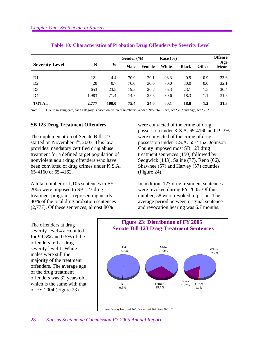|                       |       |               | Gender $(\% )$ |               | Race $(\% )$ |              |              | <b>Offense</b>     |
|-----------------------|-------|---------------|----------------|---------------|--------------|--------------|--------------|--------------------|
| <b>Severity Level</b> | N     | $\frac{6}{9}$ | <b>Male</b>    | <b>Female</b> | White        | <b>Black</b> | <b>Other</b> | Age<br><b>Mean</b> |
|                       |       |               |                |               |              |              |              |                    |
| D1                    | 121   | 4.4           | 70.9           | 29.1          | 98.3         | 0.9          | 0.9          | 33.6               |
| D2                    | 20    | 0.7           | 70.0           | 30.0          | 70.0         | 30.0         | 0.0          | 32.1               |
| D <sub>3</sub>        | 653   | 23.5          | 79.3           | 20.7          | 75.3         | 23.1         | 1.5          | 30.4               |
| D4                    | 1,983 | 71.4          | 74.5           | 25.5          | 80.6         | 18.3         | 1.1          | 31.5               |
| <b>TOTAL</b>          | 2,777 | <b>100.0</b>  | 75.4           | 24.6          | 80.1         | 18.8         | 1.2          | 31.3               |

#### **Table 10: Characteristics of Probation Drug Offenders by Severity Level**

Note: Due to missing data, each category is based on different numbers: Gender, N=2,762; Race, N=2,762 and Age, N=2,762.

#### **SB 123 Drug Treatment Offenders**

The implementation of Senate Bill 123 started on November  $1<sup>st</sup>$ , 2003. This law provides mandatory certified drug abuse treatment for a defined target population of nonviolent adult drug offenders who have been convicted of drug crimes under K.S.A. 65-4160 or 65-4162.

A total number of 1,105 sentences in FY 2005 were imposed to SB 123 drug treatment programs, representing nearly 40% of the total drug probation sentences (2,777). Of these sentences, almost 80%

were convicted of the crime of drug possession under K.S.A. 65-4160 and 19.3% were convicted of the crime of drug possession under K.S.A. 65-4162. Johnson County imposed most SB 123 drug treatment sentences (150) followed by Sedgwick (143), Saline (77), Reno (66), Shawnee (57) and Harvey (57) counties (Figure 24).

In addition, 127 drug treatment sentences were revoked during FY 2005. Of this number, 58 were revoked to prison. The average period between original sentence and revocation hearing was 6.7 months.

The offenders at drug severity level 4 accounted for 99.5% and 0.5% of the offenders fell at drug severity level 1. White males were still the majority of the treatment offenders. The average age of the drug treatment offenders was 32 years old, which is the same with that of FY 2004 (Figure 23).

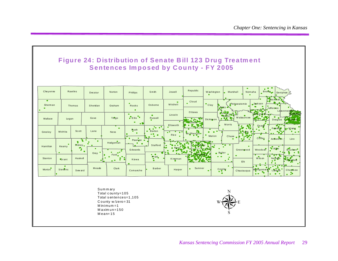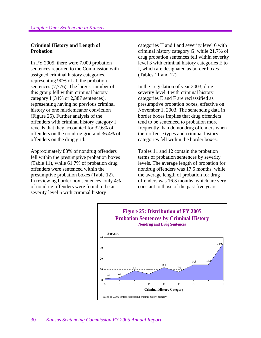#### **Criminal History and Length of Probation**

In FY 2005, there were 7,000 probation sentences reported to the Commission with assigned criminal history categories, representing 90% of all the probation sentences (7,776). The largest number of this group fell within criminal history category I (34% or 2,387 sentences), representing having no previous criminal history or one misdemeanor conviction (Figure 25). Further analysis of the offenders with criminal history category I reveals that they accounted for 32.6% of offenders on the nondrug grid and 36.4% of offenders on the drug grid.

Approximately 88% of nondrug offenders fell within the presumptive probation boxes (Table 11), while 61.7% of probation drug offenders were sentenced within the presumptive probation boxes (Table 12). In reviewing border box sentences, only 4% of nondrug offenders were found to be at severity level 5 with criminal history

categories H and I and severity level 6 with criminal history category G, while 21.7% of drug probation sentences fell within severity level 3 with criminal history categories E to I, which are designated as border boxes (Tables 11 and 12).

In the Legislation of year 2003, drug severity level 4 with criminal history categories E and F are reclassified as presumptive probation boxes, effective on November 1, 2003. The sentencing data in border boxes implies that drug offenders tend to be sentenced to probation more frequently than do nondrug offenders when their offense types and criminal history categories fell within the border boxes.

Tables 11 and 12 contain the probation terms of probation sentences by severity levels. The average length of probation for nondrug offenders was 17.5 months, while the average length of probation for drug offenders was 16.3 months, which are very constant to those of the past five years.

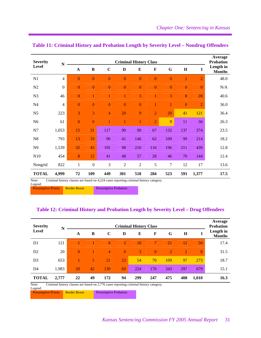| <b>Severity</b> | N            |                | <b>Criminal History Class</b> |                |                |                |                |                |                |                |                            |  |  |
|-----------------|--------------|----------------|-------------------------------|----------------|----------------|----------------|----------------|----------------|----------------|----------------|----------------------------|--|--|
| Level           |              | $\mathbf A$    | $\bf{B}$                      | $\mathbf C$    | D              | E              | $\mathbf F$    | $\mathbf G$    | $\mathbf H$    | $\mathbf I$    | Length in<br><b>Months</b> |  |  |
| N1              | 4            | $\overline{0}$ | $\overline{0}$                | $\overline{0}$ | $\overline{0}$ | $\overline{0}$ | $\overline{0}$ | $\mathbf{0}$   | $\overline{2}$ | $\overline{2}$ | 48.0                       |  |  |
| N2              | $\mathbf{0}$ | $\overline{0}$ | $\overline{0}$                | $\overline{0}$ | $\overline{0}$ | $\overline{0}$ | $\overline{0}$ | $\overline{0}$ | $\overline{0}$ | $\overline{0}$ | N/A                        |  |  |
| N <sub>3</sub>  | 46           | $\overline{0}$ | 1                             | $\overline{1}$ |                | 3              |                | 3              | 8              | 28             | 40.6                       |  |  |
| N <sub>4</sub>  | 4            | $\overline{0}$ | $\overline{0}$                | $\overline{0}$ | $\overline{0}$ | $\overline{0}$ |                | 1              | $\overline{0}$ | $\overline{2}$ | 36.0                       |  |  |
| N <sub>5</sub>  | 223          | 3              | 3                             | $\overline{4}$ | 20             | 9              | $\overline{2}$ | 20             | 41             | 121            | 36.4                       |  |  |
| N <sub>6</sub>  | 61           | $\overline{0}$ | $\overline{0}$                | $\overline{1}$ | $\overline{1}$ | 1              | $\overline{2}$ | 9              | 11             | 36             | 26.3                       |  |  |
| N7              | 1,053        | 15             | 31                            | 117            | 90             | 90             | 67             | 132            | 137            | 374            | 23.5                       |  |  |
| N8              | 793          | 13             | 19                            | 90             | 41             | 146            | 62             | 109            | 99             | 214            | 18.2                       |  |  |
| N9              | 1,539        | 32             | 43                            | 192            | 98             | 210            | 116            | 196            | 211            | 439            | 12.8                       |  |  |
| N10             | 454          | 8              | 12                            | 41             | 48             | 57             | 28             | 46             | 70             | 144            | 12.4                       |  |  |
| Nongrid         | 822          | $\mathbf{1}$   | $\boldsymbol{0}$              | 3              | $\overline{2}$ | $\overline{2}$ | 5              | $\tau$         | 12             | 17             | 13.6                       |  |  |
| <b>TOTAL</b>    | 4,999        | 72             | 109                           | 449            | 301            | 518            | 284            | 523            | 591            | 1,377          | 17.5                       |  |  |

# **Table 11: Criminal History and Probation Length by Severity Level – Nondrug Offenders**

Note: Criminal history classes are based on 4,224 cases reporting criminal history category.

Legend:<br>**Presumptive Prison Border Boxes** Presumptive Probation

# **Table 12: Criminal History and Probation Length by Severity Level – Drug Offenders**

| <b>Severity</b>           | N     |                     |    |                              |                | <b>Criminal History Class</b> |                                                                                        |                |                |       | Average<br><b>Probation</b> |
|---------------------------|-------|---------------------|----|------------------------------|----------------|-------------------------------|----------------------------------------------------------------------------------------|----------------|----------------|-------|-----------------------------|
| Level                     |       | A                   | B  | $\mathbf C$                  | D              | E                             | F                                                                                      | G              | $\bf H$        | 1     | Length in<br><b>Months</b>  |
| D1                        | 121   |                     |    | 8                            | $\overline{2}$ | 18                            | A                                                                                      | 21             | 12             | 50    | 17.4                        |
| D <sub>2</sub>            | 20    | $\theta$            |    | $\overline{4}$               | $\Omega$       | 3                             | $\Omega$                                                                               | $\overline{2}$ | $\overline{2}$ | 8     | 31.5                        |
| D <sub>3</sub>            | 653   |                     | 5  | 21                           | 23             | 54                            | 70                                                                                     | 109            | 97             | 273   | 18.7                        |
| D4                        | 1,983 | 20                  | 42 | 139                          | 69             | 224                           | 170                                                                                    | 343            | 297            | 679   | 15.1                        |
| <b>TOTAL</b>              | 2,777 | 22                  | 49 | 172                          | 94             | 299                           | 247                                                                                    | 475            | 408            | 1,010 | 16.3                        |
| Note:<br>Legend:          |       |                     |    |                              |                |                               | Criminal history classes are based on 2,776 cases reporting criminal history category. |                |                |       |                             |
| <b>Presumptive Prison</b> |       | <b>Border Boxes</b> |    | <b>Presumptive Probation</b> |                |                               |                                                                                        |                |                |       |                             |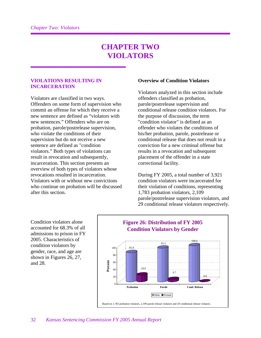# **CHAPTER TWO VIOLATORS**

#### **VIOLATIONS RESULTING IN INCARCERATION**

Violators are classified in two ways. Offenders on some form of supervision who commit an offense for which they receive a new sentence are defined as "violators with new sentences." Offenders who are on probation, parole/postrelease supervision, who violate the conditions of their supervision but do not receive a new sentence are defined as "condition violators." Both types of violations can result in revocation and subsequently, incarceration. This section presents an overview of both types of violators whose revocations resulted in incarceration. Violators with or without new convictions who continue on probation will be discussed after this section.

#### **Overview of Condition Violators**

Violators analyzed in this section include offenders classified as probation, parole/postrelease supervision and conditional release condition violators. For the purpose of discussion, the term "condition violator" is defined as an offender who violates the conditions of his/her probation, parole, postrelease or conditional release that does not result in a conviction for a new criminal offense but results in a revocation and subsequent placement of the offender in a state correctional facility.

During FY 2005, a total number of 3,921 condition violators were incarcerated for their violation of conditions, representing 1,783 probation violators, 2,109 parole/postrelease supervision violators, and 29 conditional release violators respectively.

Condition violators alone accounted for 68.3% of all admissions to prison in FY 2005. Characteristics of condition violators by gender, race, and age are shown in Figures 26, 27, and 28.

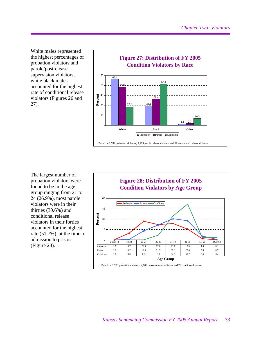White males represented the highest percentages of probation violators and parole/postrelease supervision violators, while black males accounted for the highest rate of conditional release violators (Figures 26 and 27).



The largest number of probation violators were found to be in the age group ranging from 21 to 24 (26.9%), most parole violators were in their thirties (30.6%) and conditional release violators in their forties accounted for the highest rate (51.7%) at the time of admission to prison (Figure 28).

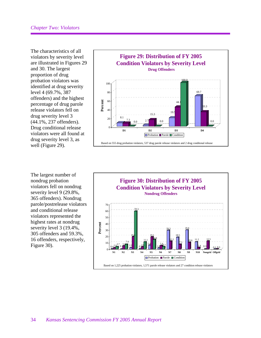The characteristics of all violators by severity level are illustrated in Figures 29 and 30. The largest proportion of drug probation violators was identified at drug severity level 4 (69.7%, 387 offenders) and the highest percentage of drug parole release violators fell on drug severity level 3 (44.1%, 237 offenders). Drug conditional release violators were all found at drug severity level 3, as well (Figure 29).

The largest number of nondrug probation violators fell on nondrug severity level 9 (29.8%, 365 offenders). Nondrug parole/postrelease violators and conditional release violators represented the highest rates at nondrug severity level 3 (19.4%, 305 offenders and 59.3%, 16 offenders, respectively, Figure 30).



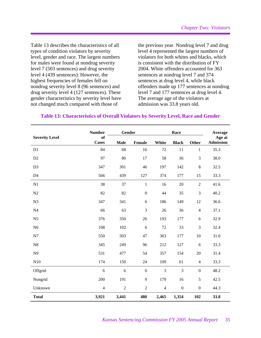Table 13 describes the characteristics of all types of condition violators by severity level, gender and race. The largest numbers for males were found at nondrug severity level 7 (503 sentences) and drug severity level 4 (439 sentences). However, the highest frequencies of females fell on nondrug severity level 8 (96 sentences) and drug severity level 4 (127 sentences). These gender characteristics by severity level have not changed much compared with those of

the previous year. Nondrug level 7 and drug level 4 represented the largest numbers of violators for both whites and blacks, which is consistent with the distribution of FY 2004. White offenders accounted for 363 sentences at nondrug level 7 and 374 sentences at drug level 4, while black offenders made up 177 sentences at nondrug level 7 and 177 sentences at drug level 4. The average age of the violators at admission was 33.8 years old.

|                       | <b>Number</b>      | Gender         |                  |                | Race           |                  | Average                    |
|-----------------------|--------------------|----------------|------------------|----------------|----------------|------------------|----------------------------|
| <b>Severity Level</b> | of<br><b>Cases</b> | <b>Male</b>    | Female           | White          | <b>Black</b>   | Other            | Age at<br><b>Admission</b> |
| D1                    | 84                 | 68             | 16               | 72             | 11             | $\mathbf{1}$     | 35.3                       |
| D2                    | 97                 | 80             | 17               | 58             | 36             | 3                | 38.0                       |
| D <sub>3</sub>        | 347                | 301            | 46               | 197            | 142            | $8\,$            | 32.5                       |
| D4                    | 566                | 439            | 127              | 374            | 177            | 15               | 33.3                       |
| N1                    | 38                 | 37             | $\mathbf{1}$     | 16             | 20             | $\overline{2}$   | 41.6                       |
| N2                    | 82                 | 82             | $\boldsymbol{0}$ | 44             | 35             | 3                | 40.2                       |
| N <sub>3</sub>        | 347                | 341            | 6                | 186            | 149            | 12               | 36.6                       |
| N <sub>4</sub>        | 66                 | 63             | 3                | 26             | 36             | $\overline{4}$   | 37.1                       |
| N <sub>5</sub>        | 376                | 350            | 26               | 193            | 177            | 6                | 32.9                       |
| N <sub>6</sub>        | 108                | 102            | 6                | 72             | 33             | 3                | 32.4                       |
| N7                    | 550                | 503            | 47               | 363            | 177            | 10               | 31.0                       |
| N8                    | 345                | 249            | 96               | 212            | 127            | 6                | 33.3                       |
| N9                    | 531                | 477            | 54               | 357            | 154            | 20               | 31.4                       |
| N10                   | 174                | 150            | 24               | 109            | 61             | $\overline{4}$   | 33.3                       |
| Offgrid               | $\sqrt{6}$         | $\sqrt{6}$     | $\boldsymbol{0}$ | 3              | 3              | $\boldsymbol{0}$ | 48.2                       |
| Nongrid               | 200                | 191            | 9                | 179            | 16             | 5                | 42.5                       |
| Unknown               | $\overline{4}$     | $\overline{2}$ | $\overline{2}$   | $\overline{4}$ | $\overline{0}$ | $\mathbf{0}$     | 44.3                       |
| <b>Total</b>          | 3,921              | 3,441          | 480              | 2,465          | 1,354          | 102              | 33.8                       |

# **Table 13: Characteristics of Overall Violators by Severity Level, Race and Gender**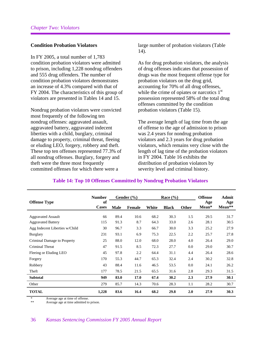#### **Condition Probation Violators**

In FY 2005, a total number of 1,783 condition probation violators were admitted to prison, including 1,228 nondrug offenders and 555 drug offenders. The number of condition probation violators demonstrates an increase of 4.3% compared with that of FY 2004. The characteristics of this group of violators are presented in Tables 14 and 15.

Nondrug probation violators were convicted most frequently of the following ten nondrug offenses: aggravated assault, aggravated battery, aggravated indecent liberties with a child, burglary, criminal damage to property, criminal threat, fleeing or eluding LEO, forgery, robbery and theft. These top ten offenses represented 77.3% of all nondrug offenses. Burglary, forgery and theft were the three most frequently committed offenses for which there were a

large number of probation violators (Table 14).

As for drug probation violators, the analysis of drug offenses indicates that possession of drugs was the most frequent offense type for probation violators on the drug grid, accounting for 70% of all drug offenses, while the crime of opiates or narcotics  $1<sup>st</sup>$ possession represented 58% of the total drug offenses committed by the condition probation violators (Table 15).

The average length of lag time from the age of offense to the age of admission to prison was 2.4 years for nondrug probation violators and 2.3 years for drug probation violators, which remains very close with the length of lag time of the probation violators in FY 2004. Table 16 exhibits the distribution of probation violators by severity level and criminal history.

|                                | <b>Number</b>      |      | Gender $(\% )$ |       | Race $(\% )$ |       | <b>Offense</b> | <b>Admit</b>  |
|--------------------------------|--------------------|------|----------------|-------|--------------|-------|----------------|---------------|
| <b>Offense Type</b>            | of<br><b>Cases</b> | Male | <b>Female</b>  | White | <b>Black</b> | Other | Age<br>Mean*   | Age<br>Mean** |
| <b>Aggravated Assault</b>      | 66                 | 89.4 | 10.6           | 68.2  | 30.3         | 1.5   | 29.5           | 31.7          |
| <b>Aggravated Battery</b>      | 115                | 91.3 | 8.7            | 64.3  | 33.0         | 2.6   | 28.1           | 30.5          |
| Agg Indecent Liberties w/Child | 30                 | 96.7 | 3.3            | 66.7  | 30.0         | 3.3   | 25.2           | 27.9          |
| <b>Burglary</b>                | 231                | 93.1 | 6.9            | 75.3  | 22.5         | 2.2   | 25.7           | 27.8          |
| Criminal Damage to Property    | 25                 | 88.0 | 12.0           | 68.0  | 28.0         | 4.0   | 26.4           | 29.0          |
| Criminal Threat                | 47                 | 91.5 | 8.5            | 72.3  | 27.7         | 0.0   | 29.0           | 30.7          |
| Fleeing or Eluding LEO         | 45                 | 97.8 | 2.2            | 64.4  | 31.1         | 4.4   | 26.4           | 28.6          |
| Forgery                        | 170                | 55.3 | 44.7           | 65.3  | 32.4         | 2.4   | 30.2           | 32.8          |
| Robbery                        | 43                 | 88.4 | 11.6           | 46.5  | 53.5         | 0.0   | 24.1           | 26.2          |
| Theft                          | 177                | 78.5 | 21.5           | 65.5  | 31.6         | 2.8   | 29.3           | 31.5          |
| <b>Subtotal</b>                | 949                | 83.0 | 17.0           | 67.4  | 30.2         | 2.3   | 27.9           | 30.1          |
| Other                          | 279                | 85.7 | 14.3           | 70.6  | 28.3         | 1.1   | 28.2           | 30.7          |
| <b>TOTAL</b>                   | 1,228              | 83.6 | 16.4           | 68.2  | 29.8         | 2.0   | 27.9           | 30.3          |

# **Table 14: Top 10 Offenses Committed by Nondrug Probation Violators**

\* Average age at time of offense.

Average age at time admitted to prison.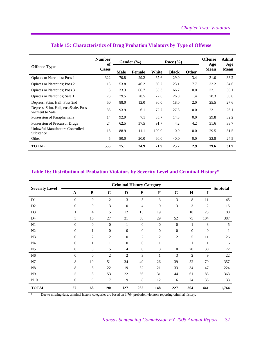|                                                            | <b>Number</b><br>of |             | Gender $(\% )$ |       | Race $(\% )$ |              | <b>Offense</b><br>Age | <b>Admit</b><br>Age |
|------------------------------------------------------------|---------------------|-------------|----------------|-------|--------------|--------------|-----------------------|---------------------|
| <b>Offense Type</b>                                        | <b>Cases</b>        | <b>Male</b> | <b>Female</b>  | White | <b>Black</b> | <b>Other</b> | <b>Mean</b>           | <b>Mean</b>         |
| Opiates or Narcotics; Poss 1                               | 322                 | 70.8        | 29.2           | 67.6  | 29.0         | 3.4          | 31.0                  | 33.2                |
| <b>Opiates or Narcotics</b> ; Poss 2                       | 13                  | 53.8        | 46.2           | 69.2  | 23.1         | 7.7          | 32.2                  | 34.6                |
| Opiates or Narcotics; Poss 3                               | 3                   | 33.3        | 66.7           | 33.3  | 66.7         | 0.0          | 33.1                  | 36.1                |
| Opiates or Narcotics; Sale 1                               | 73                  | 79.5        | 20.5           | 72.6  | 26.0         | 1.4          | 28.3                  | 30.8                |
| Depress, Stim, Hall; Poss 2nd                              | 50                  | 88.0        | 12.0           | 80.0  | 18.0         | 2.0          | 25.5                  | 27.6                |
| Depress, Stim, Hall, etc.; Ssale, Poss<br>w/Intent to Sale | 33                  | 93.9        | 6.1            | 72.7  | 27.3         | 0.0          | 23.1                  | 26.1                |
| Possession of Paraphernalia                                | 14                  | 92.9        | 7.1            | 85.7  | 14.3         | 0.0          | 29.8                  | 32.2                |
| Possession of Precursor Drugs                              | 24                  | 62.5        | 37.5           | 91.7  | 4.2          | 4.2          | 31.6                  | 33.7                |
| Unlawful Manufacture Controlled<br>Substance               | 18                  | 88.9        | 11.1           | 100.0 | 0.0          | 0.0          | 29.5                  | 31.5                |
| Other                                                      | 5                   | 80.0        | 20.0           | 60.0  | 40.0         | 0.0          | 22.8                  | 24.5                |
| <b>TOTAL</b>                                               | 555                 | 75.1        | 24.9           | 71.9  | 25.2         | 2.9          | 29.6                  | 31.9                |

# **Table 15: Characteristics of Drug Probation Violators by Type of Offense**

#### **Table 16: Distribution of Probation Violators by Severity Level and Criminal History\***

|                       |                |                |                | <b>Criminal History Category</b> |                |                  |                |                |                | <b>Subtotal</b> |
|-----------------------|----------------|----------------|----------------|----------------------------------|----------------|------------------|----------------|----------------|----------------|-----------------|
| <b>Severity Level</b> | $\mathbf{A}$   | $\bf{B}$       | $\mathbf C$    | D                                | ${\bf E}$      | $\mathbf F$      | G              | $\mathbf H$    | $\bf{I}$       |                 |
| D1                    | $\mathbf{0}$   | $\Omega$       | $\overline{2}$ | 3                                | 5              | 3                | 13             | 8              | 11             | 45              |
| D2                    | $\mathbf{0}$   | $\overline{0}$ | 3              | $\boldsymbol{0}$                 | 4              | $\mathbf{0}$     | 3              | 3              | $\overline{c}$ | 15              |
| D <sub>3</sub>        | 1              | $\overline{4}$ | 5              | 12                               | 15             | 19               | 11             | 18             | 23             | 108             |
| D <sub>4</sub>        | 5              | 16             | 27             | 21                               | 58             | 29               | 52             | 75             | 104            | 387             |
| N1                    | $\overline{0}$ | $\overline{0}$ | $\overline{0}$ | $\mathbf{1}$                     | $\mathbf{0}$   | $\overline{0}$   | $\mathbf{0}$   | 1              | 3              | 5               |
| N2                    | $\mathbf{0}$   | 1              | $\mathbf{0}$   | $\boldsymbol{0}$                 | $\mathbf{0}$   | $\boldsymbol{0}$ | $\mathbf{0}$   | $\mathbf{0}$   | $\overline{0}$ |                 |
| N3                    | $\mathbf{0}$   | $\overline{2}$ | $\overline{2}$ | $\overline{0}$                   | $\overline{2}$ | $\mathfrak{2}$   | $\overline{2}$ | 5              | 11             | 26              |
| N <sub>4</sub>        | $\mathbf{0}$   | $\mathbf{1}$   | 1              | $\mathbf{0}$                     | $\mathbf{0}$   | 1                | 1              | 1              | 1              | 6               |
| N <sub>5</sub>        | $\mathbf{0}$   | $\Omega$       | 5              | $\overline{4}$                   | $\mathbf{0}$   | 3                | 10             | 20             | 30             | 72              |
| N <sub>6</sub>        | $\Omega$       | $\Omega$       | $\overline{2}$ | $\overline{2}$                   | 3              | 1                | 3              | $\overline{2}$ | 9              | 22              |
| N7                    | 8              | 19             | 51             | 34                               | 49             | 26               | 39             | 52             | 79             | 357             |
| N8                    | 8              | 8              | 22             | 19                               | 32             | 21               | 33             | 34             | 47             | 224             |
| N <sub>9</sub>        | 5              | 8              | 53             | $22\,$                           | 56             | 31               | 44             | 61             | 83             | 363             |
| N10                   | $\mathbf{0}$   | 9              | 17             | 9                                | 8              | 12               | 16             | 24             | 38             | 133             |
| <b>TOTAL</b>          | 27             | 68             | 190            | 127                              | 232            | 148              | 227            | 304            | 441            | 1,764           |

Due to missing data, criminal history categories are based on 1,764 probation violators reporting criminal history.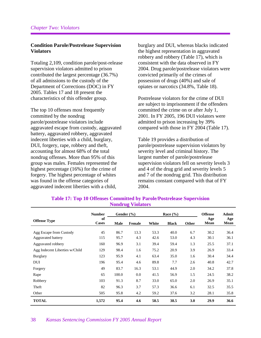#### **Condition Parole/Postrelease Supervision Violators**

Totaling 2,109, condition parole/post-release supervision violators admitted to prison contributed the largest percentage (36.7%) of all admissions to the custody of the Department of Corrections (DOC) in FY 2005. Tables 17 and 18 present the characteristics of this offender group.

The top 10 offenses most frequently committed by the nondrug parole/postrelease violators include aggravated escape from custody, aggravated battery, aggravated robbery, aggravated indecent liberties with a child, burglary, DUI, forgery, rape, robbery and theft, accounting for almost 68% of the total nondrug offenses. More than 95% of this group was males. Females represented the highest percentage (16%) for the crime of forgery. The highest percentage of whites was found in the offense categories of aggravated indecent liberties with a child,

burglary and DUI, whereas blacks indicated the highest representation in aggravated robbery and robbery (Table 17), which is consistent with the data observed in FY 2004. Drug parole/postrelease violators were convicted primarily of the crimes of possession of drugs (40%) and sale of opiates or narcotics (34.8%, Table 18).

Postrelease violators for the crime of DUI are subject to imprisonment if the offenders committed the crime on or after July 1, 2001. In FY 2005, 196 DUI violators were admitted to prison increasing by 39% compared with those in FY 2004 (Table 17).

Table 19 provides a distribution of parole/postrelease supervision violators by severity level and criminal history. The largest number of parole/postrelease supervision violators fell on severity levels 3 and 4 of the drug grid and severity levels 5 and 7 of the nondrug grid. This distribution remains constant compared with that of FY 2004.

|                                | <b>Number</b>      | Gender $(\% )$ |        |       | Race $(\% )$ |       | <b>Offense</b> | Admit       |
|--------------------------------|--------------------|----------------|--------|-------|--------------|-------|----------------|-------------|
| <b>Offense Type</b>            | of<br><b>Cases</b> | <b>Male</b>    | Female | White | <b>Black</b> | Other | Age<br>Mean    | Age<br>Mean |
| Agg Escape from Custody        | 45                 | 86.7           | 13.3   | 53.3  | 40.0         | 6.7   | 30.2           | 36.4        |
| Aggravated battery             | 115                | 95.7           | 4.3    | 42.6  | 53.0         | 4.3   | 30.1           | 36.1        |
| Aggravated robbery             | 160                | 96.9           | 3.1    | 39.4  | 59.4         | 1.3   | 25.5           | 37.1        |
| Agg Indecent Liberties w/Child | 129                | 98.4           | 1.6    | 75.2  | 20.9         | 3.9   | 26.9           | 33.4        |
| <b>Burglary</b>                | 123                | 95.9           | 4.1    | 63.4  | 35.0         | 1.6   | 30.4           | 34.4        |
| DUI                            | 196                | 95.4           | 4.6    | 89.8  | 7.7          | 2.6   | 40.8           | 42.7        |
| Forgery                        | 49                 | 83.7           | 16.3   | 53.1  | 44.9         | 2.0   | 34.2           | 37.8        |
| Rape                           | 65                 | 100.0          | 0.0    | 41.5  | 56.9         | 1.5   | 24.5           | 38.2        |
| Robbery                        | 103                | 91.3           | 8.7    | 33.0  | 65.0         | 2.0   | 26.9           | 35.1        |
| Theft                          | 82                 | 96.3           | 3.7    | 57.3  | 36.6         | 6.1   | 32.5           | 35.5        |
| Other                          | 505                | 95.8           | 4.2    | 59.2  | 37.6         | 3.2   | 28.1           | 35.8        |
| <b>TOTAL</b>                   | 1,572              | 95.4           | 4.6    | 58.5  | 38.5         | 3.0   | 29.9           | 36.6        |

#### **Table 17: Top 10 Offenses Committed by Parole/Postrelease Supervision Nondrug Violators**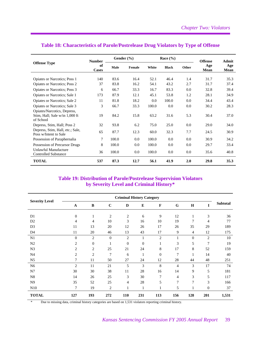|                                                                            | <b>Number</b>      |       | Gender $(\% )$ |       | Race $(\% )$ |       | <b>Offense</b> | <b>Admit</b> |
|----------------------------------------------------------------------------|--------------------|-------|----------------|-------|--------------|-------|----------------|--------------|
| <b>Offense Type</b>                                                        | of<br><b>Cases</b> | Male  | Female         | White | <b>Black</b> | Other | Age<br>Mean    | Age<br>Mean  |
| Opiates or Narcotics; Poss 1                                               | 140                | 83.6  | 16.4           | 52.1  | 46.4         | 1.4   | 31.7           | 35.3         |
| <b>Opiates or Narcotics</b> ; Poss 2                                       | 37                 | 83.8  | 16.2           | 54.1  | 43.2         | 2.7   | 31.7           | 37.4         |
| Opiates or Narcotics; Poss 3                                               | 6                  | 66.7  | 33.3           | 16.7  | 83.3         | 0.0   | 32.8           | 39.4         |
| Opiates or Narcotics; Sale 1                                               | 173                | 87.9  | 12.1           | 45.1  | 53.8         | 1.2   | 28.1           | 34.9         |
| Opiates or Narcotics; Sale 2                                               | 11                 | 81.8  | 18.2           | 0.0   | 100.0        | 0.0   | 34.4           | 43.4         |
| Opiates or Narcotics; Sale 3                                               | 3                  | 66.7  | 33.3           | 100.0 | 0.0          | 0.0   | 30.2           | 28.3         |
| Opiates/Narcotics, Depress,<br>Stim, Hall; Sale w/in 1,000 ft<br>of School | 19                 | 84.2  | 15.8           | 63.2  | 31.6         | 5.3   | 30.4           | 37.0         |
| Depress, Stim, Hall; Poss 2                                                | 32                 | 93.8  | 6.2            | 75.0  | 25.0         | 0.0   | 29.0           | 34.0         |
| Depress, Stim, Hall, etc.; Sale,<br>Poss w/Intent to Sale                  | 65                 | 87.7  | 12.3           | 60.0  | 32.3         | 7.7   | 24.5           | 30.9         |
| Possession of Paraphernalia                                                | 7                  | 100.0 | 0.0            | 100.0 | 0.0          | 0.0   | 30.9           | 34.2         |
| Possession of Precursor Drugs                                              | 8                  | 100.0 | 0.0            | 100.0 | 0.0          | 0.0   | 29.7           | 33.4         |
| Unlawful Manufacture<br><b>Controlled Substance</b>                        | 36                 | 100.0 | 0.0            | 100.0 | 0.0          | 0.0   | 35.6           | 40.8         |
| <b>TOTAL</b>                                                               | 537                | 87.3  | 12.7           | 56.1  | 41.9         | 2.0   | 29.8           | 35.3         |

# **Table 18: Characteristics of Parole/Postrelease Drug Violators by Type of Offense**

### **Table 19: Distribution of Parole/Postrelease Supervision Violators by Severity Level and Criminal History\***

|                       |                |                |                  | <b>Criminal History Category</b> |                  |                |                |                |                  |                 |
|-----------------------|----------------|----------------|------------------|----------------------------------|------------------|----------------|----------------|----------------|------------------|-----------------|
| <b>Severity Level</b> | $\mathbf{A}$   | $\, {\bf B}$   | $\mathbf C$      | $\mathbf D$                      | ${\bf E}$        | $\mathbf F$    | G              | $\mathbf H$    | 1                | <b>Subtotal</b> |
| D1                    | $\mathbf{0}$   | 1              | $\mathfrak{2}$   | 2                                | 6                | 9              | 12             | 1              | $\mathfrak{Z}$   | 36              |
| D2                    | 4              | $\overline{4}$ | 10               | 3                                | 16               | 10             | 19             | 7              | 4                | 77              |
| D <sub>3</sub>        | 11             | 13             | 20               | 12                               | 26               | 17             | 26             | 35             | 29               | 189             |
| D <sub>4</sub>        | 11             | 20             | 46               | 13                               | 43               | 17             | 9              | 4              | 12               | 175             |
| N1                    | $\mathbf{0}$   | $\overline{2}$ | $\boldsymbol{0}$ | $\overline{c}$                   | $\mathbf{1}$     | $\overline{2}$ | 1              | $\mathbf{0}$   | $\overline{2}$   | 10              |
| N <sub>2</sub>        | $\overline{2}$ | $\mathbf{0}$   | $\mathbf{1}$     | $\mathbf{0}$                     | $\boldsymbol{0}$ | $\mathbf{1}$   | 3              | 5              | 7                | 19              |
| N <sub>3</sub>        | $\overline{2}$ | 2              | 25               | 21                               | 24               | 8              | 17             | 8              | 52               | 159             |
| N <sub>4</sub>        | $\overline{2}$ | $\overline{2}$ | $\overline{7}$   | 6                                | 1                | $\theta$       | $\overline{7}$ | 1              | 14               | 40              |
| N <sub>5</sub>        | $\tau$         | 11             | 50               | 27                               | 24               | 12             | 28             | 44             | 48               | 251             |
| N <sub>6</sub>        | $\overline{2}$ | 11             | 21               | 5                                | 3                | 8              | $\overline{4}$ | 3              | 17               | 74              |
| N7                    | 30             | 30             | 38               | 11                               | 28               | 16             | 14             | 9              | 5                | 181             |
| N8                    | 14             | 26             | 25               | 3                                | 30               | $\overline{7}$ | $\overline{4}$ | 3              | 5                | 117             |
| N <sub>9</sub>        | 35             | 52             | 25               | $\overline{4}$                   | 28               | 5              | $\overline{7}$ | $\overline{7}$ | 3                | 166             |
| N10                   | 7              | 19             | $\overline{2}$   | 1                                | $\mathbf{1}$     | 1              | 5              | 1              | $\boldsymbol{0}$ | 37              |
| <b>TOTAL</b>          | 127            | 193            | 272              | 110                              | 231              | 113            | 156            | 128            | 201              | 1,531           |

\* Due to missing data, criminal history categories are based on 1,531 violators reporting criminal history.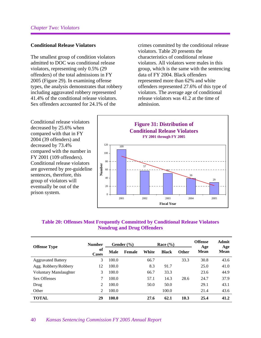#### **Conditional Release Violators**

The smallest group of condition violators admitted to DOC was conditional release violators, representing only 0.5% (29 offenders) of the total admissions in FY 2005 (Figure 29). In examining offense types, the analysis demonstrates that robbery including aggravated robbery represented 41.4% of the conditional release violators. Sex offenders accounted for 24.1% of the

crimes committed by the conditional release violators. Table 20 presents the characteristics of conditional release violators. All violators were males in this group, which is the same with the sentencing data of FY 2004. Black offenders represented more than 62% and white offenders represented 27.6% of this type of violators. The average age of conditional release violators was 41.2 at the time of admission.

Conditional release violators decreased by 25.6% when compared with that in FY 2004 (39 offenders) and decreased by 73.4% compared with the number in FY 2001 (109 offenders). Conditional release violators are governed by pre-guideline sentences, therefore, this group of violators will eventually be out of the prison system.



#### **Table 20: Offenses Most Frequently Committed by Conditional Release Violators Nondrug and Drug Offenders**

| <b>Offense Type</b>       | <b>Number</b>      |       | Gender $(\% )$ |       | Race $(\% )$ |              | <b>Offense</b><br>Age | Admit<br>Age |
|---------------------------|--------------------|-------|----------------|-------|--------------|--------------|-----------------------|--------------|
|                           | of<br><b>Cases</b> | Male  | Female         | White | <b>Black</b> | <b>Other</b> | Mean                  | Mean         |
| <b>Aggravated Battery</b> | 3                  | 100.0 |                | 66.7  |              | 33.3         | 30.8                  | 43.6         |
| Agg. Robbery/Robbery      | 12                 | 100.0 |                | 8.3   | 91.7         |              | 25.0                  | 41.0         |
| Voluntary Manslaughter    | 3                  | 100.0 |                | 66.7  | 33.3         |              | 23.6                  | 44.9         |
| <b>Sex Offenses</b>       | 7                  | 100.0 |                | 57.1  | 14.3         | 28.6         | 24.7                  | 37.9         |
| Drug                      | 2                  | 100.0 |                | 50.0  | 50.0         |              | 29.1                  | 43.1         |
| Other                     | 2                  | 100.0 |                |       | 100.0        |              | 21.4                  | 43.6         |
| <b>TOTAL</b>              | 29                 | 100.0 |                | 27.6  | 62.1         | 10.3         | 25.4                  | 41.2         |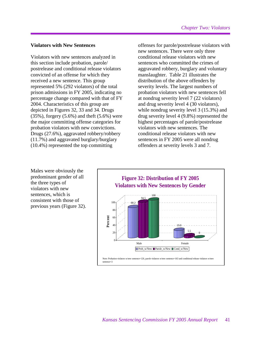#### **Violators with New Sentences**

Violators with new sentences analyzed in this section include probation, parole/ postrelease and conditional release violators convicted of an offense for which they received a new sentence. This group represented 5% (292 violators) of the total prison admissions in FY 2005, indicating no percentage change compared with that of FY 2004. Characteristics of this group are depicted in Figures 32, 33 and 34. Drugs  $(35\%)$ , forgery  $(5.6\%)$  and theft  $(5.6\%)$  were the major committing offense categories for probation violators with new convictions. Drugs (27.6%), aggravated robbery/robbery (11.7%) and aggravated burglary/burglary (10.4%) represented the top committing

offenses for parole/postrelease violators with new sentences. There were only three conditional release violators with new sentences who committed the crimes of aggravated robbery, burglary and voluntary manslaughter. Table 21 illustrates the distribution of the above offenders by severity levels. The largest numbers of probation violators with new sentences fell at nondrug severity level 7 (22 violators) and drug severity level 4 (30 violators), while nondrug severity level 3 (15.3%) and drug severity level 4 (9.8%) represented the highest percentages of parole/postrelease violators with new sentences. The conditional release violators with new sentences in FY 2005 were all nondrug offenders at severity levels 3 and 7.

Males were obviously the predominant gender of all the three types of violators with new sentences, which is consistent with those of previous years (Figure 32).

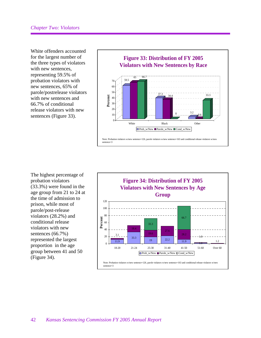White offenders accounted for the largest number of the three types of violators with new sentences, representing 59.5% of probation violators with new sentences, 65% of parole/postrelease violators with new sentences and 66.7% of conditional release violators with new sentences (Figure 33).



The highest percentage of probation violators (33.3%) were found in the age group from 21 to 24 at the time of admission to prison, while most of parole/post-release violators (28.2%) and conditional release violators with new sentences (66.7%) represented the largest proportion in the age group between 41 and 50 (Figure 34).

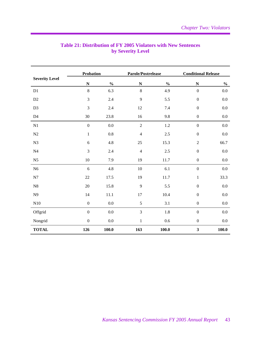|                       | <b>Probation</b> |               | Parole/Postrelease |                                    | <b>Conditional Release</b> |               |  |
|-----------------------|------------------|---------------|--------------------|------------------------------------|----------------------------|---------------|--|
| <b>Severity Level</b> | $\mathbf N$      | $\frac{0}{0}$ | $\mathbf N$        | $\mathbf{0}_{\mathbf{0}}^{\prime}$ | $\mathbf N$                | $\frac{1}{2}$ |  |
| D1                    | $\,8\,$          | 6.3           | 8                  | 4.9                                | $\boldsymbol{0}$           | 0.0           |  |
| D2                    | $\mathfrak{Z}$   | 2.4           | 9                  | 5.5                                | $\boldsymbol{0}$           | 0.0           |  |
| D <sub>3</sub>        | $\mathfrak{Z}$   | 2.4           | $12\,$             | $7.4\,$                            | $\boldsymbol{0}$           | $0.0\,$       |  |
| D4                    | 30               | 23.8          | 16                 | 9.8                                | $\boldsymbol{0}$           | $0.0\,$       |  |
| N1                    | $\boldsymbol{0}$ | 0.0           | $\sqrt{2}$         | $1.2\,$                            | $\boldsymbol{0}$           | 0.0           |  |
| ${\rm N2}$            | $1\,$            | $0.8\,$       | $\overline{4}$     | $2.5\,$                            | $\boldsymbol{0}$           | 0.0           |  |
| N3                    | $\sqrt{6}$       | 4.8           | $25\,$             | 15.3                               | $\boldsymbol{2}$           | 66.7          |  |
| N <sub>4</sub>        | $\mathfrak{Z}$   | 2.4           | $\overline{4}$     | $2.5\,$                            | $\boldsymbol{0}$           | $0.0\,$       |  |
| N <sub>5</sub>        | $10\,$           | 7.9           | 19                 | 11.7                               | $\boldsymbol{0}$           | $0.0\,$       |  |
| N <sub>6</sub>        | 6                | 4.8           | 10                 | $6.1\,$                            | $\boldsymbol{0}$           | $0.0\,$       |  |
| N7                    | $22\,$           | 17.5          | 19                 | $11.7\,$                           | $\,1\,$                    | 33.3          |  |
| ${\bf N8}$            | $20\,$           | 15.8          | 9                  | 5.5                                | $\boldsymbol{0}$           | $0.0\,$       |  |
| N <sub>9</sub>        | 14               | 11.1          | 17                 | $10.4\,$                           | $\boldsymbol{0}$           | $0.0\,$       |  |
| N10                   | $\boldsymbol{0}$ | $0.0\,$       | 5                  | 3.1                                | $\boldsymbol{0}$           | 0.0           |  |
| Offgrid               | $\boldsymbol{0}$ | 0.0           | 3                  | $1.8\,$                            | $\boldsymbol{0}$           | 0.0           |  |
| Nongrid               | $\boldsymbol{0}$ | 0.0           | $\mathbf{1}$       | 0.6                                | $\boldsymbol{0}$           | 0.0           |  |
| <b>TOTAL</b>          | 126              | 100.0         | 163                | 100.0                              | $\mathbf{3}$               | 100.0         |  |

# **Table 21: Distribution of FY 2005 Violators with New Sentences by Severity Level**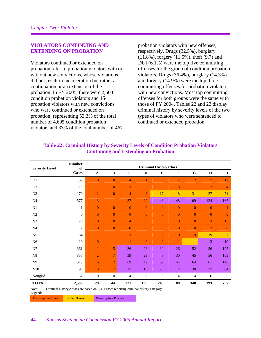#### **VIOLATORS CONTINUING AND EXTENDING ON PROBATION**

Violators continued or extended on probation refer to probation violators with or without new convictions, whose violations did not result in incarceration but rather a continuation or an extension of the probation. In FY 2005, there were 2,503 condition probation violators and 154 probation violators with new convictions who were continued or extended on probation, representing 53.3% of the total number of 4,695 condition probation violators and 33% of the total number of 467

probation violators with new offenses, respectively. Drugs (32.5%), burglary (11.8%), forgery (11.5%), theft (9.7) and DUI (6.1%) were the top five committing offenses for the group of condition probation violators. Drugs (36.4%), burglary (14.3%) and forgery (14.9%) were the top three committing offenses for probation violators with new convictions. Most top committing offenses for both groups were the same with those of FY 2004. Tables 22 and 23 display criminal history by severity levels of the two types of violators who were sentenced to continued or extended probation.

| <b>Severity Level</b>                                                                                       | <b>Number</b><br>of |                  |                  |                  |                  | <b>Criminal History Class</b> |                |                |                |                |
|-------------------------------------------------------------------------------------------------------------|---------------------|------------------|------------------|------------------|------------------|-------------------------------|----------------|----------------|----------------|----------------|
|                                                                                                             | <b>Cases</b>        | $\mathbf A$      | $\bf{B}$         | $\mathbf C$      | D                | E                             | F              | G              | H              | Ι.             |
| D1                                                                                                          | 39                  | $\overline{0}$   | $\overline{0}$   | 4                |                  | 6                             | $\overline{2}$ | $\overline{2}$ | 7              | 17             |
| D2                                                                                                          | 19                  |                  | $\boldsymbol{0}$ | 3                | $\overline{2}$   | 3                             | 3              | 1              | $\overline{2}$ | $\overline{4}$ |
| D <sub>3</sub>                                                                                              | 179                 | $\overline{2}$   | $\overline{0}$   | $\overline{4}$   | 8                | 17                            | 18             | 31             | 27             | 71             |
| D <sub>4</sub>                                                                                              | 577                 | 13               | 11               | 37               | 20               | 48                            | 48             | 109            | 124            | 165            |
| N1                                                                                                          | 1                   | $\overline{0}$   | $\overline{0}$   | $\overline{0}$   | $\overline{0}$   | $\overline{0}$                | $\overline{0}$ | $\overline{0}$ | $\overline{0}$ | 1              |
| $\mathbf{N}2$                                                                                               | $\Omega$            | $\boldsymbol{0}$ | $\boldsymbol{0}$ | $\boldsymbol{0}$ | $\mathbf{0}$     | $\mathbf{0}$                  | $\mathbf{0}$   | $\mathbf{0}$   | $\mathbf{0}$   | $\mathbf{0}$   |
| N3                                                                                                          | 20                  | $\mathbf{0}$     | $\overline{0}$   | $\overline{4}$   | $\overline{0}$   | $\mathbf{0}$                  | $\overline{0}$ | $\overline{0}$ | 3              | 13             |
| N <sub>4</sub>                                                                                              | $\overline{2}$      | $\overline{0}$   | $\overline{0}$   | $\mathbf{0}$     | $\overline{0}$   | $\overline{0}$                | $\overline{0}$ | $\overline{0}$ | $\overline{2}$ | $\overline{0}$ |
| N <sub>5</sub>                                                                                              | 64                  |                  |                  | 3                | $\overline{2}$   | $\overline{2}$                | $\overline{0}$ | 9              | 19             | 27             |
| N <sub>6</sub>                                                                                              | 19                  | $\boldsymbol{0}$ |                  | 1                | $\boldsymbol{0}$ | $\overline{2}$                | 1              | $\mathbf{1}$   | 3              | 10             |
| N7                                                                                                          | 361                 |                  | 5                | 36               | 28               | 30                            | 26             | 52             | 56             | 125            |
| ${\bf N8}$                                                                                                  | 355                 | $\overline{2}$   | $\overline{7}$   | 39               | 23               | 43                            | 30             | 45             | 56             | 109            |
| N9                                                                                                          | 515                 | 6                | 12               | 69               | 42               | 69                            | 44             | 64             | 61             | 146            |
| N10                                                                                                         | 195                 | 3                | $7\phantom{.0}$  | 17               | 10               | 25                            | 12             | 30             | 27             | 64             |
| Nongrid                                                                                                     | 157                 | $\mathbf{0}$     | $\mathbf{0}$     | 4                | $\mathbf{0}$     | $\mathbf{0}$                  | 4              | 4              | 6              | 5              |
| <b>TOTAL</b>                                                                                                | 2,503               | 29               | 44               | 221              | 136              | 245                           | 188            | 348            | 393            | 757            |
| Criminal history classes are based on 2,361 cases reporting criminal history category.<br>Note:<br>$T = -1$ |                     |                  |                  |                  |                  |                               |                |                |                |                |

# **Table 22: Criminal History by Severity Levels of Condition Probation Violators Continuing and Extending on Probation**

Legend:

Presumptive Prison Border Boxes Presumptive Probation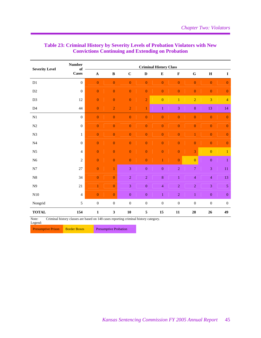| <b>Number</b>    | <b>Criminal History Class</b> |                  |                  |                  |                  |                                                                                      |                  |                  |                  |  |
|------------------|-------------------------------|------------------|------------------|------------------|------------------|--------------------------------------------------------------------------------------|------------------|------------------|------------------|--|
| <b>Cases</b>     | $\mathbf A$                   | $\, {\bf B}$     | $\mathbf C$      | $\mathbf D$      | ${\bf E}$        | $\mathbf F$                                                                          | ${\bf G}$        | $\mathbf H$      | $\mathbf I$      |  |
| $\boldsymbol{0}$ | $\boldsymbol{0}$              | $\mathbf{0}$     | $\mathbf{0}$     | $\overline{0}$   | $\mathbf{0}$     | $\mathbf{0}$                                                                         | $\overline{0}$   | $\overline{0}$   | $\mathbf{0}$     |  |
| $\boldsymbol{0}$ | $\mathbf{0}$                  | $\mathbf{0}$     | $\mathbf{0}$     | $\mathbf{0}$     | $\mathbf{0}$     | $\mathbf{0}$                                                                         | $\mathbf{0}$     | $\mathbf{0}$     | $\boldsymbol{0}$ |  |
| 12               | $\boldsymbol{0}$              | $\overline{0}$   | $\mathbf{0}$     | $\overline{2}$   | $\mathbf{0}$     | $\mathbf{1}$                                                                         | $\overline{2}$   | $\overline{3}$   | $\overline{4}$   |  |
| 44               | $\mathbf{0}$                  | $\overline{2}$   | $\overline{2}$   | $\mathbf{1}$     | $\mathbf{1}$     | $\mathfrak{Z}$                                                                       | $\bf 8$          | 13               | 14               |  |
| $\mathbf{0}$     | $\boldsymbol{0}$              | $\boldsymbol{0}$ | $\boldsymbol{0}$ | $\boldsymbol{0}$ | $\boldsymbol{0}$ | $\boldsymbol{0}$                                                                     | $\boldsymbol{0}$ | $\boldsymbol{0}$ | $\boldsymbol{0}$ |  |
| $\boldsymbol{0}$ | $\overline{0}$                | $\boldsymbol{0}$ | $\boldsymbol{0}$ | $\boldsymbol{0}$ | $\boldsymbol{0}$ | $\boldsymbol{0}$                                                                     | $\boldsymbol{0}$ | $\mathbf{0}$     | $\mathbf{0}$     |  |
| $\mathbf{1}$     | $\overline{0}$                | $\overline{0}$   | $\overline{0}$   | $\mathbf{0}$     | $\overline{0}$   | $\overline{0}$                                                                       | $\mathbf{1}$     | $\overline{0}$   | $\boldsymbol{0}$ |  |
| $\overline{0}$   | $\boldsymbol{0}$              | $\overline{0}$   | $\overline{0}$   | $\overline{0}$   | $\overline{0}$   | $\overline{0}$                                                                       | $\mathbf{0}$     | $\mathbf{0}$     | $\mathbf{0}$     |  |
| $\overline{4}$   | $\boldsymbol{0}$              | $\boldsymbol{0}$ | $\boldsymbol{0}$ | $\boldsymbol{0}$ | $\boldsymbol{0}$ | $\boldsymbol{0}$                                                                     | $\overline{3}$   | $\overline{0}$   | $\mathbf{1}$     |  |
| $\overline{c}$   | $\overline{0}$                | $\overline{0}$   | $\mathbf{0}$     | $\mathbf{0}$     | $\mathbf{1}$     | $\mathbf{0}$                                                                         | $\mathbf{0}$     | $\boldsymbol{0}$ | $\mathbf{1}$     |  |
| 27               | $\overline{0}$                | $\mathbf{1}$     | $\overline{3}$   | $\boldsymbol{0}$ | $\boldsymbol{0}$ | $\overline{2}$                                                                       | $\boldsymbol{7}$ | 3                | $11\,$           |  |
| 34               | $\overline{0}$                | $\overline{0}$   | $\overline{2}$   | $\overline{2}$   | $\overline{8}$   | $\mathbf{1}$                                                                         | $\overline{4}$   | $\overline{4}$   | 13               |  |
| 21               | $\mathbf{1}$                  | $\overline{0}$   | $\overline{3}$   | $\boldsymbol{0}$ | $\overline{4}$   | $\overline{2}$                                                                       | $\overline{2}$   | $\overline{3}$   | 5                |  |
| $\overline{4}$   | $\mathbf{0}$                  | $\overline{0}$   | $\overline{0}$   | $\mathbf{0}$     | $\mathbf{1}$     | $\sqrt{2}$                                                                           | $\mathbf{1}$     | $\boldsymbol{0}$ | $\boldsymbol{0}$ |  |
| 5                | $\boldsymbol{0}$              | $\boldsymbol{0}$ | $\boldsymbol{0}$ | $\boldsymbol{0}$ | $\boldsymbol{0}$ | $\boldsymbol{0}$                                                                     | $\boldsymbol{0}$ | $\boldsymbol{0}$ | $\boldsymbol{0}$ |  |
| 154              | $\mathbf{1}$                  | 3                | 10               | $\sqrt{5}$       | 15               | 11                                                                                   | 28               | 26               | 49               |  |
|                  | of                            |                  |                  |                  |                  | Criminal history classes are based on 148 cases reporting criminal history category. |                  |                  |                  |  |

# **Table 23: Criminal History by Severity Levels of Probation Violators with New Convictions Continuing and Extending on Probation**

Note: Criminal history classes are based on 148 cases reporting criminal history category.

Legend:

Presumptive Prison Border Boxes Presumptive Probation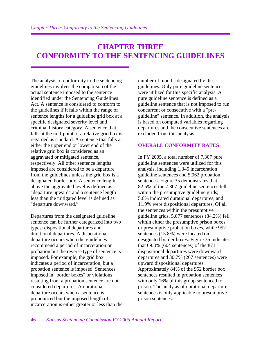# **CHAPTER THREE CONFORMITY TO THE SENTENCING GUIDELINES**

The analysis of conformity to the sentencing guidelines involves the comparison of the actual sentence imposed to the sentence identified under the Sentencing Guidelines Act. A sentence is considered to conform to the guidelines if it falls within the range of sentence lengths for a guideline grid box at a specific designated severity level and criminal history category. A sentence that falls at the mid-point of a relative grid box is regarded as standard. A sentence that falls at either the upper end or lower end of the relative grid box is considered as an aggravated or mitigated sentence, respectively. All other sentence lengths imposed are considered to be a departure from the guidelines unless the grid box is a designated border box. A sentence length above the aggravated level is defined as "departure upward" and a sentence length less than the mitigated level is defined as "departure downward."

Departures from the designated guideline sentence can be further categorized into two types: dispositional departures and durational departures. A dispositional departure occurs when the guidelines recommend a period of incarceration or probation but the reverse type of sentence is imposed. For example, the grid box indicates a period of incarceration, but a probation sentence is imposed. Sentences imposed in "border boxes" or violations resulting from a probation sentence are not considered departures. A durational departure occurs when a sentence is pronounced but the imposed length of incarceration is either greater or less than the number of months designated by the guidelines. Only pure guideline sentences were utilized for this specific analysis. A pure guideline sentence is defined as a guideline sentence that is not imposed to run concurrent or consecutive with a "preguideline" sentence. In addition, the analysis is based on computed variables regarding departures and the consecutive sentences are excluded from this analysis.

# **OVERALL CONFORMITY RATES**

In FY 2005, a total number of 7,307 pure guideline sentences were utilized for this analysis, including 1,345 incarceration guideline sentences and 5,962 probation sentences. Figure 35 demonstrates that 82.5% of the 7,307 guideline sentences fell within the presumptive guideline grids; 5.6% indicated durational departures, and 11.9% were dispositional departures. Of all the sentences within the presumptive guideline grids, 5,077 sentences (84.2%) fell within either the presumptive prison boxes or presumptive probation boxes, while 952 sentences (15.8%) were located on designated border boxes. Figure 36 indicates that 69.3% (604 sentences) of the 871 dispositional departures were downward departures and 30.7% (267 sentences) were upward dispositional departures. Approximately 84% of the 952 border box sentences resulted in probation sentences with only 16% of this group sentenced to prison. The analysis of durational departure sentences is only applicable to presumptive prison sentences.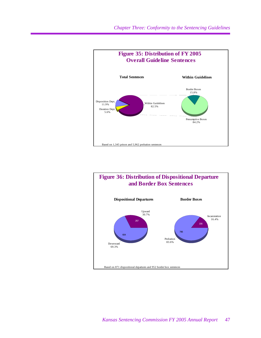

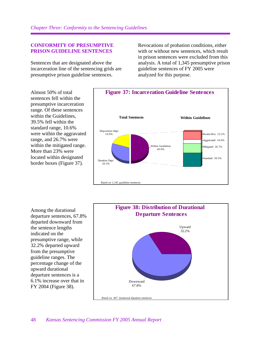#### **CONFORMITY OF PRESUMPTIVE PRISON GUIDELINE SENTENCES**

Sentences that are designated above the incarceration line of the sentencing grids are presumptive prison guideline sentences.

Revocations of probation conditions, either with or without new sentences, which result in prison sentences were excluded from this analysis. A total of 1,345 presumptive prison guideline sentences of FY 2005 were analyzed for this purpose.

Almost 50% of total sentences fell within the presumptive incarceration range. Of these sentences within the Guidelines, 39.5% fell within the standard range, 10.6% were within the aggravated range, and 26.7% were within the mitigated range. More than 23% were located within designated border boxes (Figure 37).



Among the durational departure sentences, 67.8% departed downward from the sentence lengths indicated on the presumptive range, while 32.2% departed upward from the presumptive guideline ranges. The percentage change of the upward durational departure sentences is a 6.1% increase over that in FY 2004 (Figure 38).

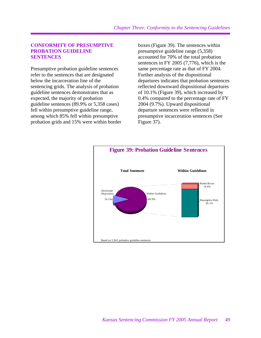#### **CONFORMITY OF PRESUMPTIVE PROBATION GUIDELINE SENTENCES**

Presumptive probation guideline sentences refer to the sentences that are designated below the incarceration line of the sentencing grids. The analysis of probation guideline sentences demonstrates that as expected, the majority of probation guideline sentences (89.9% or 5,358 cases) fell within presumptive guideline range, among which 85% fell within presumptive probation grids and 15% were within border boxes (Figure 39). The sentences within presumptive guideline range (5,358) accounted for 70% of the total probation sentences in FY 2005 (7,776), which is the same percentage rate as that of FY 2004. Further analysis of the dispositional departures indicates that probation sentences reflected downward dispositional departures of 10.1% (Figure 39), which increased by 0.4% compared to the percentage rate of FY 2004 (9.7%). Upward dispositional departure sentences were reflected in presumptive incarceration sentences (See Figure 37).

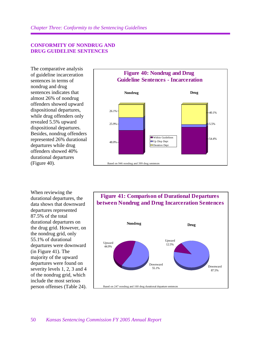#### **CONFORMITY OF NONDRUG AND DRUG GUIDELINE SENTENCES**

The comparative analysis of guideline incarceration sentences in terms of nondrug and drug sentences indicates that almost 26% of nondrug offenders showed upward dispositional departures, while drug offenders only revealed 5.5% upward dispositional departures. Besides, nondrug offenders represented 26% durational departures while drug offenders showed 40% durational departures (Figure 40).



When reviewing the durational departures, the data shows that downward departures represented 87.5% of the total durational departures on the drug grid. However, on the nondrug grid, only 55.1% of durational departures were downward (in Figure 41). The majority of the upward departures were found on severity levels 1, 2, 3 and 4 of the nondrug grid, which include the most serious person offenses (Table 24).

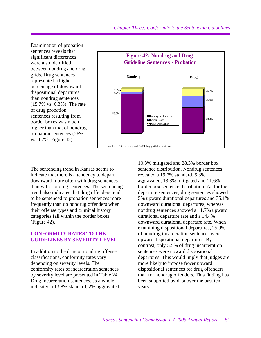Examination of probation sentences reveals that significant differences were also identified between nondrug and drug grids. Drug sentences represented a higher percentage of downward dispositional departures than nondrug sentences (15.7% vs. 6.3%). The rate of drug probation sentences resulting from border boxes was much higher than that of nondrug probation sentences (26% vs. 4.7%, Figure 42).



The sentencing trend in Kansas seems to indicate that there is a tendency to depart downward more often with drug sentences than with nondrug sentences. The sentencing trend also indicates that drug offenders tend to be sentenced to probation sentences more frequently than do nondrug offenders when their offense types and criminal history categories fall within the border boxes (Figure 42).

#### **CONFORMITY RATES TO THE GUIDELINES BY SEVERITY LEVEL**

In addition to the drug or nondrug offense classifications, conformity rates vary depending on severity levels. The conformity rates of incarceration sentences by severity level are presented in Table 24. Drug incarceration sentences, as a whole, indicated a 13.8% standard, 2% aggravated, 10.3% mitigated and 28.3% border box sentence distribution. Nondrug sentences revealed a 19.7% standard, 5.3% aggravated, 13.3% mitigated and 11.6% border box sentence distribution. As for the departure sentences, drug sentences showed 5% upward durational departures and 35.1% downward durational departures, whereas nondrug sentences showed a 11.7% upward durational departure rate and a 14.4% downward durational departure rate. When examining dispositional departures, 25.9% of nondrug incarceration sentences were upward dispositional departures. By contrast, only 5.5% of drug incarceration sentences were upward dispositional departures. This would imply that judges are more likely to impose fewer upward dispositional sentences for drug offenders than for nondrug offenders. This finding has been supported by data over the past ten years.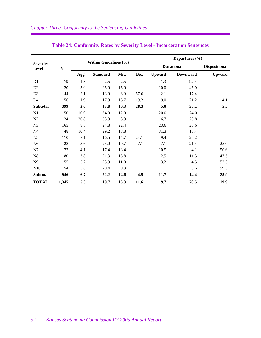|                                 |       |      |                       |      |            |               | Departures $(\% )$ |                      |
|---------------------------------|-------|------|-----------------------|------|------------|---------------|--------------------|----------------------|
| <b>Severity</b><br><b>Level</b> | N     |      | Within Guidelines (%) |      |            |               | <b>Durational</b>  | <b>Dispositional</b> |
|                                 |       | Agg. | <b>Standard</b>       | Mit. | <b>Box</b> | <b>Upward</b> | <b>Downward</b>    | <b>Upward</b>        |
| D1                              | 79    | 1.3  | 2.5                   | 2.5  |            | 1.3           | 92.4               |                      |
| D <sub>2</sub>                  | 20    | 5.0  | 25.0                  | 15.0 |            | 10.0          | 45.0               |                      |
| D <sub>3</sub>                  | 144   | 2.1  | 13.9                  | 6.9  | 57.6       | 2.1           | 17.4               |                      |
| D4                              | 156   | 1.9  | 17.9                  | 16.7 | 19.2       | 9.0           | 21.2               | 14.1                 |
| <b>Subtotal</b>                 | 399   | 2.0  | 13.8                  | 10.3 | 28.3       | 5.0           | 35.1               | 5.5                  |
| N1                              | 50    | 10.0 | 34.0                  | 12.0 |            | 20.0          | 24.0               |                      |
| N <sub>2</sub>                  | 24    | 20.8 | 33.3                  | 8.3  |            | 16.7          | 20.8               |                      |
| N <sub>3</sub>                  | 165   | 8.5  | 24.8                  | 22.4 |            | 23.6          | 20.6               |                      |
| N <sub>4</sub>                  | 48    | 10.4 | 29.2                  | 18.8 |            | 31.3          | 10.4               |                      |
| N <sub>5</sub>                  | 170   | 7.1  | 16.5                  | 14.7 | 24.1       | 9.4           | 28.2               |                      |
| N <sub>6</sub>                  | 28    | 3.6  | 25.0                  | 10.7 | 7.1        | 7.1           | 21.4               | 25.0                 |
| N7                              | 172   | 4.1  | 17.4                  | 13.4 |            | 10.5          | 4.1                | 50.6                 |
| N8                              | 80    | 3.8  | 21.3                  | 13.8 |            | 2.5           | 11.3               | 47.5                 |
| N <sub>9</sub>                  | 155   | 5.2  | 23.9                  | 11.0 |            | 3.2           | 4.5                | 52.3                 |
| N10                             | 54    | 5.6  | 20.4                  | 9.3  |            |               | 5.6                | 59.3                 |
| <b>Subtotal</b>                 | 946   | 6.7  | 22.2                  | 14.6 | 4.5        | 11.7          | 14.4               | 25.9                 |
| <b>TOTAL</b>                    | 1,345 | 5.3  | 19.7                  | 13.3 | 11.6       | 9.7           | 20.5               | 19.9                 |

# **Table 24: Conformity Rates by Severity Level - Incarceration Sentences**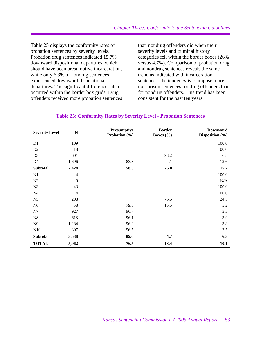Table 25 displays the conformity rates of probation sentences by severity levels. Probation drug sentences indicated 15.7% downward dispositional departures, which should have been presumptive incarceration, while only 6.3% of nondrug sentences experienced downward dispositional departures. The significant differences also occurred within the border box grids. Drug offenders received more probation sentences than nondrug offenders did when their severity levels and criminal history categories fell within the border boxes (26% versus 4.7%). Comparison of probation drug and nondrug sentences reveals the same trend as indicated with incarceration sentences: the tendency is to impose more non-prison sentences for drug offenders than for nondrug offenders. This trend has been consistent for the past ten years.

| <b>Severity Level</b> | $\mathbf N$      | Presumptive<br>Probation $(\% )$ | <b>Border</b><br>Boxes $(\% )$ | <b>Downward</b><br>Disposition (%) |
|-----------------------|------------------|----------------------------------|--------------------------------|------------------------------------|
| D1                    | 109              |                                  |                                | 100.0                              |
| D <sub>2</sub>        | 18               |                                  |                                | 100.0                              |
| D <sub>3</sub>        | 601              |                                  | 93.2                           | 6.8                                |
| D <sub>4</sub>        | 1,696            | 83.3                             | 4.1                            | 12.6                               |
| <b>Subtotal</b>       | 2,424            | 58.3                             | 26.0                           | 15.7                               |
| N1                    | $\overline{4}$   |                                  |                                | 100.0                              |
| N2                    | $\boldsymbol{0}$ |                                  |                                | N/A                                |
| N <sub>3</sub>        | 43               |                                  |                                | 100.0                              |
| N <sub>4</sub>        | $\overline{4}$   |                                  |                                | 100.0                              |
| N <sub>5</sub>        | 208              |                                  | 75.5                           | 24.5                               |
| N <sub>6</sub>        | 58               | 79.3                             | 15.5                           | 5.2                                |
| N7                    | 927              | 96.7                             |                                | 3.3                                |
| ${\bf N}8$            | 613              | 96.1                             |                                | 3.9                                |
| N <sub>9</sub>        | 1,284            | 96.2                             |                                | 3.8                                |
| N10                   | 397              | 96.5                             |                                | 3.5                                |
| <b>Subtotal</b>       | 3,538            | 89.0                             | 4.7                            | 6.3                                |
| <b>TOTAL</b>          | 5,962            | 76.5                             | 13.4                           | 10.1                               |

#### **Table 25: Conformity Rates by Severity Level - Probation Sentences**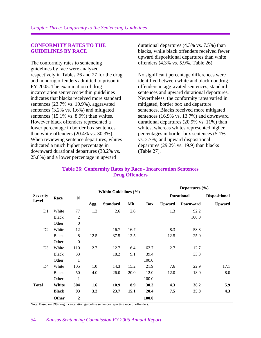#### **CONFORMITY RATES TO THE GUIDELINES BY RACE**

The conformity rates to sentencing guidelines by race were analyzed respectively in Tables 26 and 27 for the drug and nondrug offenders admitted to prison in FY 2005. The examination of drug incarceration sentences within guidelines indicates that blacks received more standard sentences (23.7% vs. 10.9%), aggravated sentences (3.2% vs. 1.6%) and mitigated sentences (15.1% vs. 8.9%) than whites. However black offenders represented a lower percentage in border box sentences than white offenders (20.4% vs. 30.3%). When reviewing sentence departures, whites indicated a much higher percentage in downward durational departures (38.2% vs. 25.8%) and a lower percentage in upward

durational departures (4.3% vs. 7.5%) than blacks, while black offenders received fewer upward dispositional departures than white offenders (4.3% vs. 5.9%, Table 26).

No significant percentage differences were identified between white and black nondrug offenders in aggravated sentences, standard sentences and upward durational departures. Nevertheless, the conformity rates varied in mitigated, border box and departure sentences. Blacks received more mitigated sentences (16.9% vs. 13.7%) and downward durational departures (20.9% vs. 11%) than whites, whereas whites represented higher percentages in border box sentences (5.1% vs. 2.7%) and upward dispositional departures (29.2% vs. 19.9) than blacks (Table 27).

|                 |              |                  | Within Guidelines (%) |                 |      |       |               | Departures $(\% )$ |                      |
|-----------------|--------------|------------------|-----------------------|-----------------|------|-------|---------------|--------------------|----------------------|
| <b>Severity</b> | Race         | N                |                       |                 |      |       |               | <b>Durational</b>  | <b>Dispositional</b> |
| <b>Level</b>    |              |                  | Agg.                  | <b>Standard</b> | Mit. | Box   | <b>Upward</b> | <b>Downward</b>    | <b>Upward</b>        |
| D <sub>1</sub>  | White        | 77               | 1.3                   | 2.6             | 2.6  |       | 1.3           | 92.2               |                      |
|                 | <b>Black</b> | $\overline{c}$   |                       |                 |      |       |               | 100.0              |                      |
|                 | Other        | $\boldsymbol{0}$ |                       |                 |      |       |               |                    |                      |
| D2              | White        | 12               |                       | 16.7            | 16.7 |       | 8.3           | 58.3               |                      |
|                 | <b>Black</b> | 8                | 12.5                  | 37.5            | 12.5 |       | 12.5          | 25.0               |                      |
|                 | Other        | $\boldsymbol{0}$ |                       |                 |      |       |               |                    |                      |
| D <sub>3</sub>  | White        | 110              | 2.7                   | 12.7            | 6.4  | 62.7  | 2.7           | 12.7               |                      |
|                 | <b>Black</b> | 33               |                       | 18.2            | 9.1  | 39.4  |               | 33.3               |                      |
|                 | Other        | $\mathbf{1}$     |                       |                 |      | 100.0 |               |                    |                      |
| D <sub>4</sub>  | White        | 105              | 1.0                   | 14.3            | 15.2 | 21.9  | 7.6           | 22.9               | 17.1                 |
|                 | <b>Black</b> | 50               | 4.0                   | 26.0            | 20.0 | 12.0  | 12.0          | 18.0               | 8.0                  |
|                 | Other        | $\mathbf{1}$     |                       |                 |      | 100.0 |               |                    |                      |
| <b>Total</b>    | White        | 304              | 1.6                   | 10.9            | 8.9  | 30.3  | 4.3           | 38.2               | 5.9                  |
|                 | <b>Black</b> | 93               | 3.2                   | 23.7            | 15.1 | 20.4  | 7.5           | 25.8               | 4.3                  |
|                 | Other        | $\mathbf{2}$     |                       |                 |      | 100.0 |               |                    |                      |

#### **Table 26: Conformity Rates by Race - Incarceration Sentences Drug Offenders**

Note: Based on 399 drug incarceration guideline sentences reporting race of offenders.

#### 54 *Kansas Sentencing Commission FY 2005 Annual Report*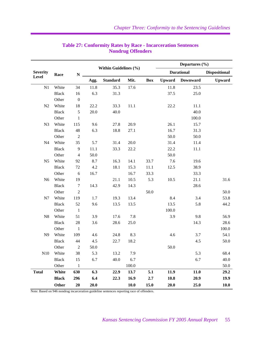|                 |              |                  | Within Guidelines (%) |                 |         |            | Departures $(\% )$ |                   |                      |  |
|-----------------|--------------|------------------|-----------------------|-----------------|---------|------------|--------------------|-------------------|----------------------|--|
| <b>Severity</b> | Race         | ${\bf N}$        |                       |                 |         |            |                    | <b>Durational</b> | <b>Dispositional</b> |  |
| Level           |              |                  | Agg.                  | <b>Standard</b> | Mit.    | <b>Box</b> | <b>Upward</b>      | <b>Downward</b>   | <b>Upward</b>        |  |
| $\mathbf{N}1$   | White        | 34               | 11.8                  | 35.3            | 17.6    |            | 11.8               | 23.5              |                      |  |
|                 | <b>Black</b> | 16               | 6.3                   | 31.3            |         |            | 37.5               | 25.0              |                      |  |
|                 | Other        | $\boldsymbol{0}$ |                       |                 |         |            |                    |                   |                      |  |
| N <sub>2</sub>  | White        | 18               | 22.2                  | 33.3            | 11.1    |            | 22.2               | 11.1              |                      |  |
|                 | <b>Black</b> | 5                | 20.0                  | 40.0            |         |            |                    | 40.0              |                      |  |
|                 | Other        | $\mathbf{1}$     |                       |                 |         |            |                    | 100.0             |                      |  |
| N <sub>3</sub>  | White        | 115              | 9.6                   | 27.8            | 20.9    |            | 26.1               | 15.7              |                      |  |
|                 | <b>Black</b> | 48               | 6.3                   | 18.8            | 27.1    |            | 16.7               | 31.3              |                      |  |
|                 | Other        | $\sqrt{2}$       |                       |                 |         |            | 50.0               | 50.0              |                      |  |
| N <sub>4</sub>  | White        | 35               | 5.7                   | 31.4            | 20.0    |            | 31.4               | 11.4              |                      |  |
|                 | <b>Black</b> | 9                | 11.1                  | 33.3            | 22.2    |            | 22.2               | 11.1              |                      |  |
|                 | Other        | $\overline{4}$   | 50.0                  |                 |         |            | 50.0               |                   |                      |  |
| N <sub>5</sub>  | White        | 92               | 8.7                   | 16.3            | 14.1    | 33.7       | 7.6                | 19.6              |                      |  |
|                 | <b>Black</b> | 72               | 4.2                   | 18.1            | 15.3    | 11.1       | 12.5               | 38.9              |                      |  |
|                 | Other        | $\sqrt{6}$       | 16.7                  |                 | 16.7    | 33.3       |                    | 33.3              |                      |  |
| N <sub>6</sub>  | White        | 19               |                       | 21.1            | 10.5    | 5.3        | 10.5               | 21.1              | 31.6                 |  |
|                 | <b>Black</b> | $\boldsymbol{7}$ | 14.3                  | 42.9            | 14.3    |            |                    | 28.6              |                      |  |
|                 | Other        | $\mathbf{2}$     |                       |                 |         | 50.0       |                    |                   | 50.0                 |  |
| N7              | White        | 119              | 1.7                   | 19.3            | 13.4    |            | 8.4                | 3.4               | 53.8                 |  |
|                 | <b>Black</b> | 52               | 9.6                   | 13.5            | 13.5    |            | 13.5               | 5.8               | 44.2                 |  |
|                 | Other        | $\mathbf{1}$     |                       |                 |         |            | 100.0              |                   |                      |  |
| N <sub>8</sub>  | White        | 51               | 3.9                   | 17.6            | $7.8\,$ |            | 3.9                | 9.8               | 56.9                 |  |
|                 | <b>Black</b> | $28\,$           | 3.6                   | 28.6            | 25.0    |            |                    | 14.3              | 28.6                 |  |
|                 | Other        | 1                |                       |                 |         |            |                    |                   | 100.0                |  |
| N <sub>9</sub>  | White        | 109              | 4.6                   | 24.8            | 8.3     |            | 4.6                | 3.7               | 54.1                 |  |
|                 | <b>Black</b> | 44               | 4.5                   | 22.7            | 18.2    |            |                    | 4.5               | 50.0                 |  |
|                 | Other        | $\sqrt{2}$       | 50.0                  |                 |         |            | 50.0               |                   |                      |  |
|                 | N10 White    | 38               | 5.3                   | 13.2            | 7.9     |            |                    | 5.3               | 68.4                 |  |
|                 | <b>Black</b> | 15               | 6.7                   | 40.0            | 6.7     |            |                    | 6.7               | 40.0                 |  |
|                 | Other        | $\mathbf{1}$     |                       |                 | 100.0   |            |                    |                   | 50.0                 |  |
| <b>Total</b>    | White        | 630              | 6.3                   | 22.9            | 13.7    | 5.1        | 11.9               | 11.0              | 29.2                 |  |
|                 | <b>Black</b> | 296              | 6.4                   | 22.3            | 16.9    | 2.7        | 10.8               | 20.9              | 19.9                 |  |
|                 | Other        | 20               | 20.0                  |                 | 10.0    | 15.0       | 20.0               | 25.0              | 10.0                 |  |

## **Table 27: Conformity Rates by Race - Incarceration Sentences Nondrug Offenders**

Note: Based on 946 nondrug incarceration guideline sentences reporting race of offenders.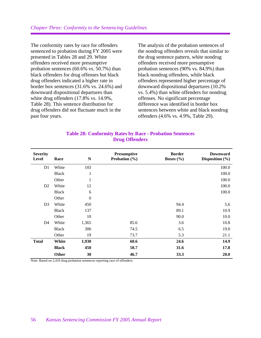The conformity rates by race for offenders sentenced to probation during FY 2005 were presented in Tables 28 and 29. White offenders received more presumptive probation sentences (60.6% vs. 50.7%) than black offenders for drug offenses but black drug offenders indicated a higher rate in border box sentences (31.6% vs. 24.6%) and downward dispositional departures than white drug offenders (17.8% vs. 14.9%, Table 28). This sentence distribution for drug offenders did not fluctuate much in the past four years.

The analysis of the probation sentences of the nondrug offenders reveals that similar to the drug sentence pattern, white nondrug offenders received more presumptive probation sentences (90% vs. 84.9%) than black nondrug offenders, while black offenders represented higher percentage of downward dispositional departures (10.2% vs. 5.4%) than white offenders for nondrug offenses. No significant percentage difference was identified in border box sentences between white and black nondrug offenders (4.6% vs. 4.9%, Table 29).

| <b>Severity</b><br>Level | Race         | N                | <b>Presumptive</b><br>Probation $(\% )$ | <b>Border</b><br>Boxes $(\% )$ | <b>Downward</b><br>Disposition $(\% )$<br>100.0 |  |
|--------------------------|--------------|------------------|-----------------------------------------|--------------------------------|-------------------------------------------------|--|
| D <sub>1</sub>           | White        | 103              |                                         |                                |                                                 |  |
|                          | <b>Black</b> | $\mathbf{1}$     |                                         |                                | 100.0                                           |  |
|                          | Other        | $\mathbf{1}$     |                                         |                                | 100.0                                           |  |
| D <sub>2</sub>           | White        | 12               |                                         |                                | 100.0                                           |  |
|                          | <b>Black</b> | 6                |                                         |                                | 100.0                                           |  |
|                          | Other        | $\boldsymbol{0}$ |                                         |                                |                                                 |  |
| D <sub>3</sub>           | White        | 450              |                                         | 94.4                           | 5.6                                             |  |
|                          | <b>Black</b> | 137              |                                         | 89.1                           | 10.9                                            |  |
|                          | Other        | 10               |                                         | 90.0                           | 10.0                                            |  |
| D <sub>4</sub>           | White        | 1,365            | 85.6                                    | 3.6                            | 10.8                                            |  |
|                          | <b>Black</b> | 306              | 74.5                                    | 6.5                            | 19.0                                            |  |
|                          | Other        | 19               | 73.7                                    | 5.3                            | 21.1                                            |  |
| <b>Total</b>             | White        | 1,930            | 60.6                                    | 24.6                           | 14.9                                            |  |
|                          | <b>Black</b> | 450              | 50.7                                    | 31.6                           | 17.8                                            |  |
|                          | Other        | 30               | 46.7                                    | 33.3                           | 20.0                                            |  |

#### **Table 28: Conformity Rates by Race - Probation Sentences Drug Offenders**

Note: Based on 2,410 drug probation sentences reporting race of offenders.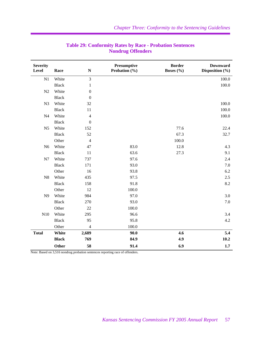| <b>Severity</b><br><b>Level</b> | Race         | $\mathbf N$      | Presumptive<br>Probation (%) | <b>Border</b><br>Boxes $(\% )$ | <b>Downward</b><br>Disposition (%) |
|---------------------------------|--------------|------------------|------------------------------|--------------------------------|------------------------------------|
| N1                              | White        | $\overline{3}$   |                              |                                | 100.0                              |
|                                 | <b>Black</b> | $\mathbf{1}$     |                              |                                | 100.0                              |
| N2                              | White        | $\boldsymbol{0}$ |                              |                                |                                    |
|                                 | <b>Black</b> | $\boldsymbol{0}$ |                              |                                |                                    |
| N <sub>3</sub>                  | White        | 32               |                              |                                | 100.0                              |
|                                 | <b>Black</b> | 11               |                              |                                | 100.0                              |
| N <sub>4</sub>                  | White        | $\overline{4}$   |                              |                                | 100.0                              |
|                                 | <b>Black</b> | $\boldsymbol{0}$ |                              |                                |                                    |
| N <sub>5</sub>                  | White        | 152              |                              | 77.6                           | 22.4                               |
|                                 | <b>Black</b> | 52               |                              | 67.3                           | 32.7                               |
|                                 | Other        | $\overline{4}$   |                              | 100.0                          |                                    |
| N <sub>6</sub>                  | White        | 47               | 83.0                         | 12.8                           | 4.3                                |
|                                 | <b>Black</b> | 11               | 63.6                         | 27.3                           | 9.1                                |
| N7                              | White        | 737              | 97.6                         |                                | 2.4                                |
|                                 | <b>Black</b> | 171              | 93.0                         |                                | 7.0                                |
|                                 | Other        | 16               | 93.8                         |                                | 6.2                                |
| N8                              | White        | 435              | 97.5                         |                                | 2.5                                |
|                                 | <b>Black</b> | 158              | 91.8                         |                                | 8.2                                |
|                                 | Other        | 12               | 100.0                        |                                |                                    |
| N9                              | White        | 984              | 97.0                         |                                | 3.0                                |
|                                 | <b>Black</b> | 270              | 93.0                         |                                | 7.0                                |
|                                 | Other        | 22               | 100.0                        |                                |                                    |
| N10                             | White        | 295              | 96.6                         |                                | 3.4                                |
|                                 | <b>Black</b> | 95               | 95.8                         |                                | 4.2                                |
|                                 | Other        | $\overline{4}$   | 100.0                        |                                |                                    |
| <b>Total</b>                    | White        | 2,689            | 90.0                         | 4.6                            | 5.4                                |
|                                 | <b>Black</b> | 769              | 84.9                         | 4.9                            | 10.2                               |
|                                 | Other        | 58               | 91.4                         | 6.9                            | 1.7                                |

## **Table 29: Conformity Rates by Race - Probation Sentences Nondrug Offenders**

Note: Based on 3,516 nondrug probation sentences reporting race of offenders.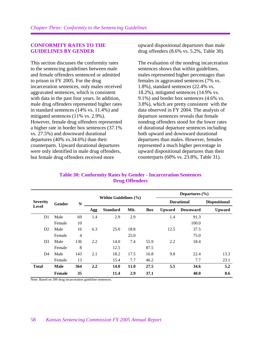#### **CONFORMITY RATES TO THE GUIDELINES BY GENDER**

This section discusses the conformity rates to the sentencing guidelines between male and female offenders sentenced or admitted to prison in FY 2005. For the drug incarceration sentences, only males received aggravated sentences, which is consistent with data in the past four years. In addition, male drug offenders represented higher rates in standard sentences (14% vs. 11.4%) and mitigated sentences (11% vs. 2.9%). However, female drug offenders represented a higher rate in border box sentences (37.1% vs. 27.5%) and downward durational departures (40% vs.34.6%) than their counterparts. Upward durational departures were only identified in male drug offenders, but female drug offenders received more

upward dispositional departures than male drug offenders (8.6% vs. 5.2%, Table 30).

The evaluation of the nondrug incarceration sentences shows that within guidelines, males represented higher percentages than females in aggravated sentences (7% vs. 1.8%), standard sentences (22.4% vs. 18.2%), mitigated sentences (14.9% vs. 9.1%) and border box sentences (4.6% vs. 3.8%), which are pretty consistent with the data observed in FY 2004. The analysis of departure sentences reveals that female nondrug offenders stood for the lower rates of durational departure sentences including both upward and downward durational departures than males. However, females represented a much higher percentage in upward dispositional departures than their counterparts (60% vs. 23.8%, Table 31).

|                                 |               |                | Within Guidelines (%) |                 |      |            | Departures $(\% )$ |                 |                      |  |
|---------------------------------|---------------|----------------|-----------------------|-----------------|------|------------|--------------------|-----------------|----------------------|--|
| <b>Severity</b><br><b>Level</b> | Gender        | N              |                       |                 |      |            | <b>Durational</b>  |                 | <b>Dispositional</b> |  |
|                                 |               |                | Agg                   | <b>Standard</b> | Mit. | <b>Box</b> | <b>Upward</b>      | <b>Downward</b> | <b>Upward</b>        |  |
| D <sub>1</sub>                  | Male          | 69             | 1.4                   | 2.9             | 2.9  |            | 1.4                | 91.3            |                      |  |
|                                 | Female        | 10             |                       |                 |      |            |                    | 100.0           |                      |  |
| D <sub>2</sub>                  | Male          | 16             | 6.3                   | 25.0            | 18.8 |            | 12.5               | 37.5            |                      |  |
|                                 | Female        | $\overline{4}$ |                       |                 | 25.0 |            |                    | 75.0            |                      |  |
| D <sub>3</sub>                  | Male          | 136            | 2.2                   | 14.0            | 7.4  | 55.9       | 2.2                | 18.4            |                      |  |
|                                 | Female        | 8              |                       | 12.5            |      | 87.5       |                    |                 |                      |  |
| D <sub>4</sub>                  | Male          | 143            | 2.1                   | 18.2            | 17.5 | 16.8       | 9.8                | 22.4            | 13.3                 |  |
|                                 | Female        | 13             |                       | 15.4            | 7.7  | 46.2       |                    | 7.7             | 23.1                 |  |
| <b>Total</b>                    | <b>Male</b>   | 364            | 2.2                   | 14.0            | 11.0 | 27.5       | 5.5                | 34.6            | 5.2                  |  |
|                                 | <b>Female</b> | 35             |                       | 11.4            | 2.9  | 37.1       |                    | 40.0            | 8.6                  |  |

**Table 30: Conformity Rates by Gender - Incarceration Sentences Drug Offenders** 

Note: Based on 399 drug incarceration guideline sentences.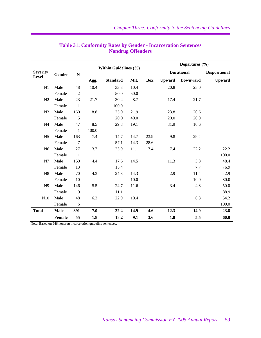|                 |             |                | Within Guidelines (%) |                 |      | Departures $(\% )$ |                   |                        |                      |
|-----------------|-------------|----------------|-----------------------|-----------------|------|--------------------|-------------------|------------------------|----------------------|
| <b>Severity</b> | Gender      | $\mathbf N$    |                       |                 |      |                    | <b>Durational</b> |                        | <b>Dispositional</b> |
| <b>Level</b>    |             |                | Agg.                  | <b>Standard</b> | Mit. | Box                |                   | <b>Upward</b> Downward | <b>Upward</b>        |
| N1              | Male        | 48             | 10.4                  | 33.3            | 10.4 |                    | 20.8              | 25.0                   |                      |
|                 | Female      | $\overline{2}$ |                       | 50.0            | 50.0 |                    |                   |                        |                      |
| N2              | Male        | 23             | 21.7                  | 30.4            | 8.7  |                    | 17.4              | 21.7                   |                      |
|                 | Female      | $\mathbf{1}$   |                       | 100.0           |      |                    |                   |                        |                      |
| N <sub>3</sub>  | Male        | 160            | 8.8                   | 25.0            | 21.9 |                    | 23.8              | 20.6                   |                      |
|                 | Female      | 5              |                       | 20.0            | 40.0 |                    | 20.0              | 20.0                   |                      |
| N <sub>4</sub>  | Male        | 47             | 8.5                   | 29.8            | 19.1 |                    | 31.9              | 10.6                   |                      |
|                 | Female      | $\mathbf{1}$   | 100.0                 |                 |      |                    |                   |                        |                      |
| N <sub>5</sub>  | Male        | 163            | 7.4                   | 14.7            | 14.7 | 23.9               | 9.8               | 29.4                   |                      |
|                 | Female      | $\tau$         |                       | 57.1            | 14.3 | 28.6               |                   |                        |                      |
| N <sub>6</sub>  | Male        | 27             | 3.7                   | 25.9            | 11.1 | 7.4                | 7.4               | 22.2                   | 22.2                 |
|                 | Female      | $\mathbf{1}$   |                       |                 |      |                    |                   |                        | 100.0                |
| N7              | Male        | 159            | 4.4                   | 17.6            | 14.5 |                    | 11.3              | 3.8                    | 48.4                 |
|                 | Female      | 13             |                       | 15.4            |      |                    |                   | 7.7                    | 76.9                 |
| N8              | Male        | 70             | 4.3                   | 24.3            | 14.3 |                    | 2.9               | 11.4                   | 42.9                 |
|                 | Female      | 10             |                       |                 | 10.0 |                    |                   | 10.0                   | 80.0                 |
| N <sub>9</sub>  | Male        | 146            | 5.5                   | 24.7            | 11.6 |                    | 3.4               | 4.8                    | 50.0                 |
|                 | Female      | 9              |                       | 11.1            |      |                    |                   |                        | 88.9                 |
| N10             | Male        | 48             | 6.3                   | 22.9            | 10.4 |                    |                   | 6.3                    | 54.2                 |
|                 | Female      | $\sqrt{6}$     |                       |                 |      |                    |                   |                        | 100.0                |
| <b>Total</b>    | <b>Male</b> | 891            | 7.0                   | 22.4            | 14.9 | 4.6                | 12.3              | 14.9                   | 23.8                 |
|                 | Female      | 55             | 1.8                   | 18.2            | 9.1  | 3.6                | 1.8               | 5.5                    | 60.0                 |

# **Table 31: Conformity Rates by Gender - Incarceration Sentences Nondrug Offenders**

Note: Based on 946 nondrug incarceration guideline sentences.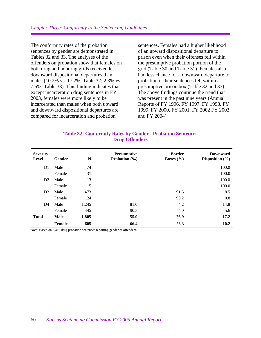The conformity rates of the probation sentences by gender are demonstrated in Tables 32 and 33. The analyses of the offenders on probation show that females on both drug and nondrug grids received less downward dispositional departures than males (10.2% vs. 17.2%, Table 32; 2.3% vs. 7.6%, Table 33). This finding indicates that except incarceration drug sentences in FY 2003, females were more likely to be incarcerated than males when both upward and downward dispositional departures are compared for incarceration and probation

sentences. Females had a higher likelihood of an upward dispositional departure to prison even when their offenses fell within the presumptive probation portion of the grid (Table 30 and Table 31). Females also had less chance for a downward departure to probation if their sentences fell within a presumptive prison box (Table 32 and 33). The above findings continue the trend that was present in the past nine years (Annual Reports of FY 1996, FY 1997, FY 1998, FY 1999, FY 2000, FY 2001, FY 2002 FY 2003 and FY 2004).

| <b>Table 32: Conformity Rates by Gender - Probation Sentences</b> |  |                       |  |
|-------------------------------------------------------------------|--|-----------------------|--|
|                                                                   |  | <b>Drug Offenders</b> |  |

| <b>Severity</b><br><b>Level</b> | Gender      | N     | <b>Presumptive</b><br>Probation $(\% )$ | <b>Border</b><br>Boxes $(\% )$ | <b>Downward</b><br>Disposition $(\% )$ |
|---------------------------------|-------------|-------|-----------------------------------------|--------------------------------|----------------------------------------|
| D <sub>1</sub>                  | Male        | 74    |                                         |                                | 100.0                                  |
|                                 | Female      | 31    |                                         |                                | 100.0                                  |
| D2                              | Male        | 13    |                                         |                                | 100.0                                  |
|                                 | Female      | 5     |                                         |                                | 100.0                                  |
| D <sub>3</sub>                  | Male        | 473   |                                         | 91.5                           | 8.5                                    |
|                                 | Female      | 124   |                                         | 99.2                           | 0.8                                    |
| D4                              | Male        | 1,245 | 81.0                                    | 4.2                            | 14.8                                   |
|                                 | Female      | 445   | 90.3                                    | 4.0                            | 5.6                                    |
| <b>Total</b>                    | <b>Male</b> | 1,805 | 55.9                                    | 26.9                           | 17.2                                   |
|                                 | Female      | 605   | 66.4                                    | 23.3                           | 10.2                                   |

Note: Based on 2,410 drug probation sentences reporting gender of offenders.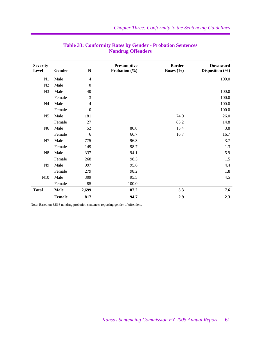| <b>Severity</b><br>Level | Gender      | $\mathbf N$      | Presumptive<br>Probation (%) | <b>Border</b><br>Boxes (%) | <b>Downward</b><br>Disposition (%) |
|--------------------------|-------------|------------------|------------------------------|----------------------------|------------------------------------|
| N1                       | Male        | $\overline{4}$   |                              |                            | 100.0                              |
| N2                       | Male        | $\boldsymbol{0}$ |                              |                            |                                    |
| N <sub>3</sub>           | Male        | 40               |                              |                            | 100.0                              |
|                          | Female      | 3                |                              |                            | 100.0                              |
| N <sub>4</sub>           | Male        | $\overline{4}$   |                              |                            | 100.0                              |
|                          | Female      | $\boldsymbol{0}$ |                              |                            | 100.0                              |
| N <sub>5</sub>           | Male        | 181              |                              | 74.0                       | 26.0                               |
|                          | Female      | 27               |                              | 85.2                       | 14.8                               |
| N <sub>6</sub>           | Male        | 52               | 80.8                         | 15.4                       | 3.8                                |
|                          | Female      | 6                | 66.7                         | 16.7                       | 16.7                               |
| N7                       | Male        | 775              | 96.3                         |                            | 3.7                                |
|                          | Female      | 149              | 98.7                         |                            | 1.3                                |
| N8                       | Male        | 337              | 94.1                         |                            | 5.9                                |
|                          | Female      | 268              | 98.5                         |                            | 1.5                                |
| N9                       | Male        | 997              | 95.6                         |                            | 4.4                                |
|                          | Female      | 279              | 98.2                         |                            | 1.8                                |
| N10                      | Male        | 309              | 95.5                         |                            | 4.5                                |
|                          | Female      | 85               | 100.0                        |                            |                                    |
| <b>Total</b>             | <b>Male</b> | 2,699            | 87.2                         | 5.3                        | 7.6                                |
|                          | Female      | 817              | 94.7                         | 2.9                        | 2.3                                |

## **Table 33: Conformity Rates by Gender - Probation Sentences Nondrug Offenders**

Note: Based on 3,516 nondrug probation sentences reporting gender of offenders.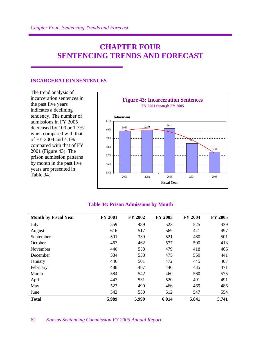# **CHAPTER FOUR SENTENCING TRENDS AND FORECAST**

#### **INCARCERATION SENTENCES**

The trend analysis of incarceration sentences in the past five years indicates a declining tendency. The number of admissions in FY 2005 decreased by 100 or 1.7% when compared with that of FY 2004 and 4.1% compared with that of FY 2001 (Figure 43). The prison admission patterns by month in the past five years are presented in Table 34.



#### **Table 34: Prison Admissions by Month**

| <b>Month by Fiscal Year</b> | <b>FY 2001</b> | <b>FY 2002</b> | <b>FY 2003</b> | <b>FY 2004</b> | <b>FY 2005</b> |
|-----------------------------|----------------|----------------|----------------|----------------|----------------|
| July                        | 559            | 489            | 523            | 525            | 439            |
| August                      | 616            | 517            | 569            | 441            | 497            |
| September                   | 501            | 339            | 521            | 460            | 501            |
| October                     | 463            | 462            | 577            | 500            | 413            |
| November                    | 440            | 558            | 479            | 418            | 466            |
| December                    | 384            | 533            | 475            | 550            | 441            |
| January                     | 446            | 501            | 472            | 445            | 407            |
| February                    | 488            | 487            | 440            | 435            | 471            |
| March                       | 584            | 542            | 460            | 560            | 575            |
| April                       | 443            | 531            | 520            | 491            | 491            |
| May                         | 523            | 490            | 466            | 469            | 486            |
| June                        | 542            | 550            | 512            | 547            | 554            |
| <b>Total</b>                | 5,989          | 5,999          | 6,014          | 5,841          | 5,741          |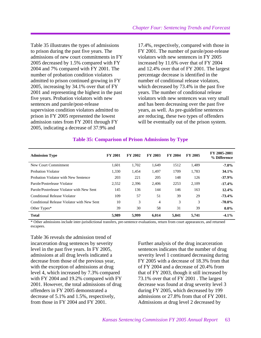Table 35 illustrates the types of admissions to prison during the past five years. The admissions of new court commitments in FY 2005 decreased by 1.5% compared with FY 2004 and 7% compared with FY 2001. The number of probation condition violators admitted to prison continued growing in FY 2005, increasing by 34.1% over that of FY 2001 and representing the highest in the past five years. Probation violators with new sentences and parole/post-release supervision condition violators admitted to prison in FY 2005 represented the lowest admission rates from FY 2001 through FY 2005, indicating a decrease of 37.9% and

17.4%, respectively, compared with those in FY 2001. The number of parole/post-release violators with new sentences in FY 2005 increased by 11.6% over that of FY 2004 and 12.4% over that of FY 2001. The largest percentage decrease is identified in the number of conditional release violators, which decreased by 73.4% in the past five years. The number of conditional release violators with new sentences was very small and has been decreasing over the past five years, as well. As pre-guideline sentences are reducing, these two types of offenders will be eventually out of the prison system.

| <b>Admission Type</b>                      | <b>FY 2001</b> | <b>FY 2002</b> | <b>FY 2003</b> | <b>FY 2004</b> | <b>FY 2005</b> | FY 2005-2001<br>% Difference |
|--------------------------------------------|----------------|----------------|----------------|----------------|----------------|------------------------------|
| New Court Commitment                       | 1,601          | 1,702          | 1,649          | 1512           | 1,489          | $-7.0\%$                     |
| Probation Violator                         | 1,330          | 1,454          | 1,497          | 1709           | 1,783          | 34.1%                        |
| Probation Violator with New Sentence       | 203            | 221            | 205            | 148            | 126            | $-37.9%$                     |
| Parole/Postrelease Violator                | 2,552          | 2.396          | 2.406          | 2253           | 2,109          | $-17.4%$                     |
| Parole/Postrelease Violator with New Sent  | 145            | 136            | 144            | 146            | 163            | $12.4\%$                     |
| Conditional Release Violator               | 109            | 57             | 51             | 39             | 29             | $-73.4%$                     |
| Conditional Release Violator with New Sent | 10             | 3              | 4              | 3              | 3              | $-70.0\%$                    |
| Other Types*                               | 39             | 30             | 58             | 31             | 39             | $0.0\%$                      |
| <b>Total</b>                               | 5.989          | 5.999          | 6.014          | 5.841          | 5.741          | $-4.1\%$                     |

#### **Table 35: Comparison of Prison Admissions by Type**

\* Other admissions include inter-jurisdictional transfers, pre-sentence evaluations, return from court appearances, and returned escapees.

Table 36 reveals the admission trend of incarceration drug sentences by severity level in the past five years. In FY 2005, admissions at all drug levels indicated a decrease from those of the previous year, with the exception of admissions at drug level 4, which increased by 7.3% compared with FY 2004 and 19.2% compared with FY 2001. However, the total admissions of drug offenders in FY 2005 demonstrated a decrease of 5.1% and 1.5%, respectively, from those in FY 2004 and FY 2001.

Further analysis of the drug incarceration sentences indicates that the number of drug severity level 1 continued decreasing during FY 2005 with a decrease of 18.3% from that of FY 2004 and a decrease of 20.4% from that of FY 2003, though it still increased by 73.1% over that of FY 2001 . The largest decrease was found at drug severity level 3 during FY 2005, which decreased by 199 admissions or 27.8% from that of FY 2001. Admissions at drug level 2 decreased by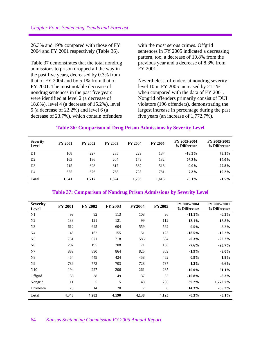26.3% and 19% compared with those of FY 2004 and FY 2001 respectively (Table 36).

Table 37 demonstrates that the total nondrug admissions to prison dropped all the way in the past five years, decreased by 0.3% from that of FY 2004 and by 5.1% from that of FY 2001. The most notable decrease of nondrug sentences in the past five years were identified at level 2 (a decrease of 18.8%), level 4 (a decrease of 15.2%), level 5 (a decrease of 22.2%) and level 6 (a decrease of 23.7%), which contain offenders with the most serous crimes. Offgrid sentences in FY 2005 indicated a decreasing pattern, too, a decrease of 10.8% from the previous year and a decrease of 8.3% from FY 2001.

Nevertheless, offenders at nondrug severity level 10 in FY 2005 increased by 21.1% when compared with the data of FY 2001. Nongrid offenders primarily consist of DUI violators (196 offenders), demonstrating the largest increase in percentage during the past five years (an increase of 1,772.7%).

#### **Table 36: Comparison of Drug Prison Admissions by Severity Level**

| <b>Severity</b><br>Level | <b>FY 2001</b> | <b>FY 2002</b> | <b>FY 2003</b> | <b>FY 2004</b> | <b>FY 2005</b> | FY 2005-2004<br>% Difference | FY 2005-2001<br>% Difference |
|--------------------------|----------------|----------------|----------------|----------------|----------------|------------------------------|------------------------------|
| D1                       | 108            | 227            | 235            | 229            | 187            | $-18.3%$                     | 73.1%                        |
| D2                       | 163            | 186            | 204            | 179            | 132            | $-26.3%$                     | $-19.0\%$                    |
| D <sub>3</sub>           | 715            | 628            | 617            | 567            | 516            | $-9.0\%$                     | $-27.8%$                     |
| D <sub>4</sub>           | 655            | 676            | 768            | 728            | 781            | 7.3%                         | $19.2\%$                     |
| <b>Total</b>             | 1.641          | 1.717          | 1.824          | 1.703          | 1,616          | $-5.1\%$                     | $-1.5\%$                     |

#### **Table 37: Comparison of Nondrug Prison Admissions by Severity Level**

| <b>Severity</b><br>Level | <b>FY 2001</b> | <b>FY 2002</b> | <b>FY 2003</b> | <b>FY2004</b> | <b>FY2005</b> | FY 2005-2004<br>% Difference | FY 2005-2001<br>% Difference |
|--------------------------|----------------|----------------|----------------|---------------|---------------|------------------------------|------------------------------|
| N1                       | 99             | 92             | 113            | 108           | 96            | $-11.1%$                     | $-0.3%$                      |
| N <sub>2</sub>           | 138            | 121            | 121            | 99            | 112           | 13.1%                        | $-18.8%$                     |
| N <sub>3</sub>           | 612            | 645            | 604            | 559           | 562           | $0.5\%$                      | $-8.2\%$                     |
| N <sub>4</sub>           | 145            | 162            | 155            | 151           | 123           | $-18.5%$                     | $-15.2\%$                    |
| N <sub>5</sub>           | 751            | 671            | 718            | 586           | 584           | $-0.3%$                      | $-22.2%$                     |
| N <sub>6</sub>           | 207            | 195            | 208            | 171           | 158           | $-7.6%$                      | $-23.7%$                     |
| N7                       | 889            | 890            | 864            | 825           | 809           | $-1.9\%$                     | $-9.0\%$                     |
| N <sub>8</sub>           | 454            | 449            | 424            | 458           | 462           | $0.9\%$                      | 1.8%                         |
| N <sub>9</sub>           | 789            | 773            | 703            | 728           | 737           | $1.2\%$                      | $-6.6\%$                     |
| N10                      | 194            | 227            | 206            | 261           | 235           | $-10.0\%$                    | 21.1%                        |
| Offgrid                  | 36             | 38             | 49             | 37            | 33            | $-10.8\%$                    | $-8.3\%$                     |
| Nongrid                  | 11             | 5              | 5              | 148           | 206           | 39.2%                        | 1,772.7%                     |
| Unknown                  | 23             | 14             | 20             | 7             | 8             | 14.3%                        | $-65.2\%$                    |
| <b>Total</b>             | 4,348          | 4,282          | 4,190          | 4,138         | 4,125         | $-0.3%$                      | $-5.1\%$                     |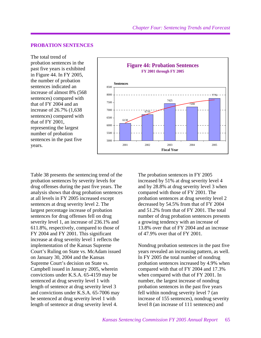#### **PROBATION SENTENCES**

The total trend of probation sentences in the past five years is exhibited in Figure 44. In FY 2005, the number of probation sentences indicated an increase of almost 8% (568 sentences) compared with that of FY 2004 and an increase of 26.7% (1,638 sentences) compared with that of FY 2001, representing the largest number of probation sentences in the past five years.



Table 38 presents the sentencing trend of the probation sentences by severity levels for drug offenses during the past five years. The analysis shows that drug probation sentences at all levels in FY 2005 increased except sentences at drug severity level 2. The largest percentage increase of probation sentences for drug offenses fell on drug severity level 1, an increase of 236.1% and 611.8%, respectively, compared to those of FY 2004 and FY 2001. This significant increase at drug severity level 1 reflects the implementation of the Kansas Supreme Court's Ruling on State vs. McAdam issued on January 30, 2004 and the Kansas Supreme Court's decision on State vs. Campbell issued in January 2005, wherein convictions under K.S.A. 65-4159 may be sentenced at drug severity level 1 with length of sentence at drug severity level 3 and convictions under K.S.A. 65-7006 may be sentenced at drug severity level 1 with length of sentence at drug severity level 4.

The probation sentences in FY 2005 increased by 51% at drug severity level 4 and by 28.8% at drug severity level 3 when compared with those of FY 2001. The probation sentences at drug severity level 2 decreased by 54.5% from that of FY 2004 and 51.2% from that of FY 2001. The total number of drug probation sentences presents a growing tendency with an increase of 13.8% over that of FY 2004 and an increase of 47.9% over that of FY 2001.

Nondrug probation sentences in the past five years revealed an increasing pattern, as well. In FY 2005 the total number of nondrug probation sentences increased by 4.9% when compared with that of FY 2004 and 17.3% when compared with that of FY 2001. In number, the largest increase of nondrug probation sentences in the past five years fell within nondrug severity level 7 (an increase of 155 sentences), nondrug severity level 8 (an increase of 111 sentences) and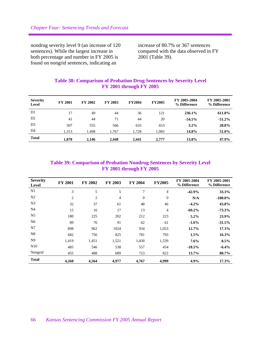nondrug severity level 9 (an increase of 120 sentences). While the largest increase in both percentage and number in FY 2005 is found on nongrid sentences, indicating an

increase of 80.7% or 367 sentences compared with the data observed in FY 2001 (Table 39).

| <b>Severity</b><br>Level | <b>FY 2001</b> | FY 2002 | <b>FY 2003</b> | <b>FY2004</b> | <b>FY2005</b> | FY 2005-2004<br>% Difference | FY 2005-2001<br>% Difference |
|--------------------------|----------------|---------|----------------|---------------|---------------|------------------------------|------------------------------|
| D1                       | 17             | 49      | 44             | 36            | 121           | 236.1%                       | 611.8%                       |
| D <sub>2</sub>           | 41             | 44      | 71             | 44            | 20            | $-54.5%$                     | $-51.2\%$                    |
| D <sub>3</sub>           | 507            | 555     | 566            | 633           | 653           | $3.2\%$                      | 28.8%                        |
| D <sub>4</sub>           | 1,313          | 1.498   | 1.767          | 1,728         | 1,983         | 14.8%                        | 51.0%                        |
| <b>Total</b>             | 1,878          | 2,146   | 2,448          | 2,441         | 2,777         | 13.8%                        | 47.9%                        |

## **Table 38: Comparison of Probation Drug Sentences by Severity Level FY 2001 through FY 2005**

### **Table 39: Comparison of Probation Nondrug Sentences by Severity Level FY 2001 through FY 2005**

| <b>Severity</b><br><b>Level</b> | <b>FY 2001</b> | <b>FY 2002</b> | FY 2003        | <b>FY 2004</b> | <b>FY2005</b>  | FY 2005-2004<br>% Difference | FY 2005-2001<br>% Difference |
|---------------------------------|----------------|----------------|----------------|----------------|----------------|------------------------------|------------------------------|
| N1                              | 3              | 5              | 5              | 7              | $\overline{4}$ | $-42.9%$                     | 33.3%                        |
| N <sub>2</sub>                  | $\overline{2}$ | 2              | $\overline{4}$ | 0              | $\Omega$       | N/A                          | $-100.0\%$                   |
| N <sub>3</sub>                  | 32             | 37             | 61             | 48             | 46             | $-4.2%$                      | 43.8%                        |
| N4                              | 15             | 16             | 17             | 13             | 4              | $-69.2%$                     | $-73.3%$                     |
| N <sub>5</sub>                  | 180            | 225            | 202            | 212            | 223            | 5.2%                         | 23.9%                        |
| N <sub>6</sub>                  | 89             | 76             | 91             | 62             | 61             | $-1.6%$                      | $-31.5%$                     |
| N7                              | 898            | 962            | 1024           | 934            | 1,053          | 12.7%                        | 17.3%                        |
| N <sub>8</sub>                  | 682            | 756            | 825            | 781            | 793            | 1.5%                         | 16.3%                        |
| N <sub>9</sub>                  | 1,419          | 1,451          | 1,521          | 1,430          | 1,539          | $7.6\%$                      | 8.5%                         |
| N10                             | 485            | 546            | 538            | 557            | 454            | $-18.5%$                     | $-6.4%$                      |
| Nongrid                         | 455            | 488            | 689            | 723            | 822            | 13.7%                        | 80.7%                        |
| <b>Total</b>                    | 4,260          | 4,564          | 4,977          | 4,767          | 4,999          | 4.9%                         | 17.3%                        |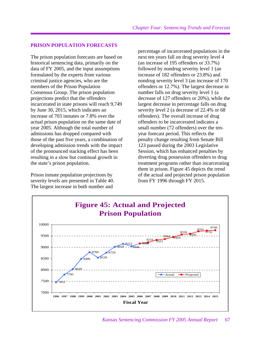#### **PRISON POPULATION FORECASTS**

The prison population forecasts are based on historical sentencing data, primarily on the data of FY 2005, and the input assumptions formulated by the experts from various criminal justice agencies, who are the members of the Prison Population Consensus Group. The prison population projections predict that the offenders incarcerated in state prisons will reach 9,749 by June 30, 2015, which indicates an increase of 703 inmates or 7.8% over the actual prison population on the same date of year 2005. Although the total number of admissions has dropped compared with those of the past five years, a combination of developing admission trends with the impact of the pronounced stacking effect has been resulting in a slow but continual growth in the state's prison population.

Prison inmate population projections by severity levels are presented in Table 40. The largest increase in both number and

percentage of incarcerated populations in the next ten years fall on drug severity level 4 (an increase of 195 offenders or 33.7%) followed by nondrug severity level 1 (an increase of 182 offenders or 23.8%) and nondrug severity level 3 (an increase of 170 offenders or 12.7%). The largest decrease in number falls on drug severity level 1 (a decrease of 127 offenders or 20%), while the largest decrease in percentage falls on drug severity level 2 (a decrease of 22.4% or 68 offenders). The overall increase of drug offenders to be incarcerated indicates a small number (72 offenders) over the tenyear forecast period. This reflects the penalty change resulting from Senate Bill 123 passed during the 2003 Legislative Session, which has enhanced penalties by diverting drug possession offenders to drug treatment programs rather than incarcerating them in prison. Figure 45 depicts the trend of the actual and projected prison population from FY 1996 through FY 2015.

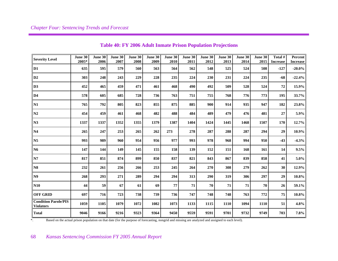| <b>Severity Level</b>                           | June 30<br>2005* | June $30$<br>2006 | <b>June 30</b><br>2007 | June 30<br>2008 | June 30<br>2009 | June 30<br>2010 | <b>June 30</b><br>2011 | June 30<br>2012 | June 30<br>2013 | June 30<br>2014 | June 30<br>2015 | Total #<br><b>Increase</b> | Percent<br><b>Increase</b> |
|-------------------------------------------------|------------------|-------------------|------------------------|-----------------|-----------------|-----------------|------------------------|-----------------|-----------------|-----------------|-----------------|----------------------------|----------------------------|
| D1                                              | 635              | 595               | 579                    | 560             | 563             | 564             | 562                    | 548             | 525             | 524             | 508             | $-127$                     | $-20.0\%$                  |
| D2                                              | 303              | 248               | 243                    | 229             | 228             | 235             | 224                    | 230             | 231             | 224             | 235             | $-68$                      | $-22.4%$                   |
| D3                                              | 452              | 465               | 459                    | 471             | 461             | 468             | 490                    | 492             | 509             | 528             | 524             | 72                         | 15.9%                      |
| D4                                              | 578              | 605               | 685                    | 728             | 736             | 763             | 751                    | 755             | 768             | 776             | 773             | 195                        | 33.7%                      |
| N1                                              | 765              | 792               | 805                    | 823             | 855             | 875             | 885                    | 900             | 914             | 935             | 947             | 182                        | 23.8%                      |
| N2                                              | 454              | 459               | 461                    | 468             | 482             | 488             | 484                    | 489             | 479             | 476             | 481             | 27                         | 5.9%                       |
| N3                                              | 1337             | 1337              | 1352                   | 1355            | 1379            | 1387            | 1404                   | 1424            | 1445            | 1468            | 1507            | 170                        | 12.7%                      |
| N4                                              | 265              | 247               | 253                    | 265             | 262             | 273             | 278                    | 287             | 288             | 287             | 294             | 29                         | 10.9%                      |
| N <sub>5</sub>                                  | 993              | 989               | 960                    | 954             | 956             | 977             | 993                    | 978             | 968             | 994             | 950             | $-43$                      | $-4.3%$                    |
| <b>N6</b>                                       | 147              | 144               | 149                    | 145             | 155             | 158             | 139                    | 152             | 151             | 168             | 161             | 14                         | 9.5%                       |
| N7                                              | 817              | 851               | 874                    | 899             | 850             | 837             | 821                    | 843             | 867             | 839             | 858             | 41                         | $5.0\%$                    |
| N8                                              | 232              | 261               | 256                    | 266             | 253             | 245             | 264                    | 270             | 308             | 279             | 262             | 30                         | 12.9%                      |
| N9                                              | 268              | 293               | 271                    | 289             | 294             | 294             | 313                    | 290             | 319             | 306             | 297             | 29                         | $10.8\%$                   |
| N10                                             | 44               | 59                | 67                     | 61              | 69              | 77              | 71                     | 70              | 71              | 71              | 70              | 26                         | 59.1%                      |
| <b>OFF GRID</b>                                 | 697              | 716               | 723                    | 738             | 739             | 736             | 747                    | 748             | 748             | 763             | 772             | 75                         | $10.8\%$                   |
| <b>Condition Parole/PIS</b><br><b>Violators</b> | 1059             | 1105              | 1079                   | 1072            | 1082            | 1073            | 1133                   | 1115            | 1110            | 1094            | 1110            | 51                         | 4.8%                       |
| <b>Total</b>                                    | 9046             | 9166              | 9216                   | 9323            | 9364            | 9450            | 9559                   | 9591            | 9701            | 9732            | 9749            | 703                        | $7.8\%$                    |

## **Table 40: FY 2006 Adult Inmate Prison Population Projections**

\*. Based on the actual prison population on that date (for the purpose of forecasting, nongrid and missing are analyzed and assigned to each level).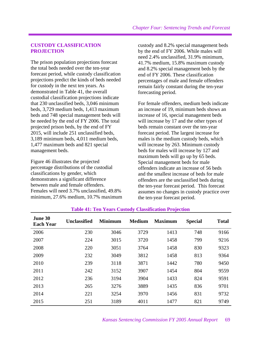#### **CUSTODY CLASSIFICATION PROJECTION**

The prison population projections forecast the total beds needed over the ten-year forecast period, while custody classification projections predict the kinds of beds needed for custody in the next ten years. As demonstrated in Table 41, the overall custodial classification projections indicate that 230 unclassified beds, 3,046 minimum beds, 3,729 medium beds, 1,413 maximum beds and 748 special management beds will be needed by the end of FY 2006. The total projected prison beds, by the end of FY 2015, will include 251 unclassified beds, 3,189 minimum beds, 4,011 medium beds, 1,477 maximum beds and 821 special management beds.

Figure 46 illustrates the projected percentage distributions of the custodial classifications by gender, which demonstrates a significant difference between male and female offenders. Females will need 3.7% unclassified, 49.8% minimum, 27.6% medium, 10.7% maximum custody and 8.2% special management beds by the end of FY 2006. While males will need 2.4% unclassified, 31.9% minimum, 41.7% medium, 15.8% maximum custody and 8.2% special management beds by the end of FY 2006. These classification percentages of male and female offenders remain fairly constant during the ten-year forecasting period.

For female offenders, medium beds indicate an increase of 19, minimum beds shows an increase of 16, special management beds will increase by 17 and the other types of beds remain constant over the ten-year forecast period. The largest increase for males is the medium custody beds, which will increase by 263. Minimum custody beds for males will increase by 127 and maximum beds will go up by 65 beds. Special management beds for male offenders indicate an increase of 56 beds and the smallest increase of beds for male offenders are the unclassified beds during the ten-year forecast period. This forecast assumes no changes in custody practice over the ten-year forecast period.

| June 30<br><b>Each Year</b> | <b>Unclassified</b> | <b>Minimum</b> | <b>Medium</b> | <b>Maximum</b> | <b>Special</b> | <b>Total</b> |
|-----------------------------|---------------------|----------------|---------------|----------------|----------------|--------------|
| 2006                        | 230                 | 3046           | 3729          | 1413           | 748            | 9166         |
| 2007                        | 224                 | 3015           | 3720          | 1458           | 799            | 9216         |
| 2008                        | 220                 | 3051           | 3764          | 1458           | 830            | 9323         |
| 2009                        | 232                 | 3049           | 3812          | 1458           | 813            | 9364         |
| 2010                        | 239                 | 3118           | 3871          | 1442           | 780            | 9450         |
| 2011                        | 242                 | 3152           | 3907          | 1454           | 804            | 9559         |
| 2012                        | 236                 | 3194           | 3904          | 1433           | 824            | 9591         |
| 2013                        | 265                 | 3276           | 3889          | 1435           | 836            | 9701         |
| 2014                        | 221                 | 3254           | 3970          | 1456           | 831            | 9732         |
| 2015                        | 251                 | 3189           | 4011          | 1477           | 821            | 9749         |

#### **Table 41: Ten Years Custody Classification Projection**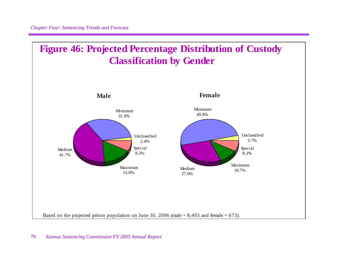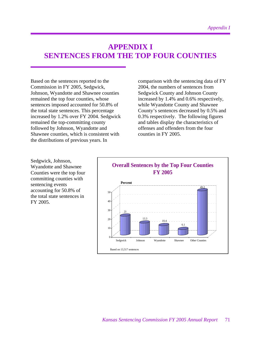# **APPENDIX I SENTENCES FROM THE TOP FOUR COUNTIES**

Based on the sentences reported to the Commission in FY 2005, Sedgwick, Johnson, Wyandotte and Shawnee counties remained the top four counties, whose sentences imposed accounted for 50.8% of the total state sentences. This percentage increased by 1.2% over FY 2004. Sedgwick remained the top-committing county followed by Johnson, Wyandotte and Shawnee counties, which is consistent with the distributions of previous years. In

comparison with the sentencing data of FY 2004, the numbers of sentences from Sedgwick County and Johnson County increased by 1.4% and 0.6% respectively, while Wyandotte County and Shawnee County's sentences decreased by 0.5% and 0.3% respectively. The following figures and tables display the characteristics of offenses and offenders from the four counties in FY 2005.

Sedgwick, Johnson, Wyandotte and Shawnee Counties were the top four committing counties with sentencing events accounting for 50.8% of the total state sentences in FY 2005.

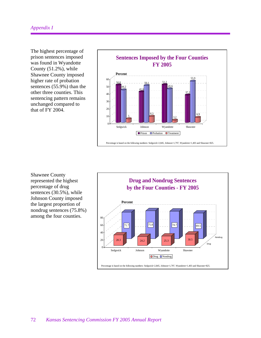## *Appendix I*

The highest percentage of prison sentences imposed was found in Wyandotte County (51.2%), while Shawnee County imposed higher rate of probation sentences (55.9%) than the other three counties. This sentencing pattern remains unchanged compared to that of FY 2004.



Shawnee County represented the highest percentage of drug sentences (30.5%), while Johnson County imposed the largest proportion of nondrug sentences (75.8%) among the four counties.

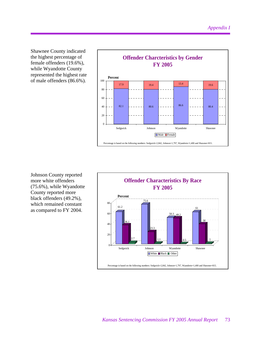Shawnee County indicated the highest percentage of female offenders (19.6%), while Wyandotte County represented the highest rate of male offenders (86.6%).



Johnson County reported more white offenders (75.6%), while Wyandotte County reported more black offenders (49.2%), which remained constant as compared to FY 2004.

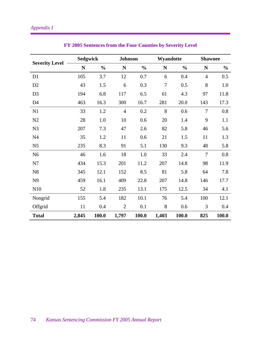|                       | <b>Sedgwick</b> |               |                | <b>Johnson</b> |             | Wyandotte     |                | <b>Shawnee</b> |  |
|-----------------------|-----------------|---------------|----------------|----------------|-------------|---------------|----------------|----------------|--|
| <b>Severity Level</b> | ${\bf N}$       | $\frac{0}{0}$ | ${\bf N}$      | $\frac{0}{0}$  | $\mathbf N$ | $\frac{0}{0}$ | ${\bf N}$      | $\frac{0}{0}$  |  |
| D <sub>1</sub>        | 105             | 3.7           | 12             | 0.7            | 6           | 0.4           | $\overline{4}$ | 0.5            |  |
| D <sub>2</sub>        | 43              | 1.5           | 6              | 0.3            | $\tau$      | 0.5           | 8              | 1.0            |  |
| D <sub>3</sub>        | 194             | 6.8           | 117            | 6.5            | 61          | 4.3           | 97             | 11.8           |  |
| D4                    | 463             | 16.3          | 300            | 16.7           | 281         | 20.0          | 143            | 17.3           |  |
| N1                    | 33              | 1.2           | $\overline{4}$ | 0.2            | 8           | 0.6           | $\overline{7}$ | 0.8            |  |
| N2                    | 28              | 1.0           | 10             | 0.6            | 20          | 1.4           | 9              | 1.1            |  |
| N <sub>3</sub>        | 207             | 7.3           | 47             | 2.6            | 82          | 5.8           | 46             | 5.6            |  |
| N <sub>4</sub>        | 35              | 1.2           | 11             | 0.6            | 21          | 1.5           | 11             | 1.3            |  |
| N <sub>5</sub>        | 235             | 8.3           | 91             | 5.1            | 130         | 9.3           | 48             | 5.8            |  |
| N <sub>6</sub>        | 46              | 1.6           | 18             | 1.0            | 33          | 2.4           | $\overline{7}$ | 0.8            |  |
| N7                    | 434             | 15.3          | 201            | 11.2           | 207         | 14.8          | 98             | 11.9           |  |
| ${\bf N}8$            | 345             | 12.1          | 152            | 8.5            | 81          | 5.8           | 64             | 7.8            |  |
| N <sub>9</sub>        | 459             | 16.1          | 409            | 22.8           | 207         | 14.8          | 146            | 17.7           |  |
| N10                   | 52              | 1.8           | 235            | 13.1           | 175         | 12.5          | 34             | 4.1            |  |
| Nongrid               | 155             | 5.4           | 182            | 10.1           | 76          | 5.4           | 100            | 12.1           |  |
| Offgrid               | 11              | 0.4           | $\overline{2}$ | 0.1            | 8           | 0.6           | 3              | 0.4            |  |
| <b>Total</b>          | 2,845           | 100.0         | 1,797          | 100.0          | 1,403       | 100.0         | 825            | 100.0          |  |

# **FY 2005 Sentences from the Four Counties by Severity Level**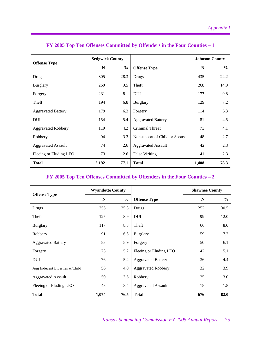|                           | <b>Sedgwick County</b> |               |                               | <b>Johnson County</b> |               |  |
|---------------------------|------------------------|---------------|-------------------------------|-----------------------|---------------|--|
| <b>Offense Type</b>       | N                      | $\frac{0}{0}$ | <b>Offense Type</b>           | N                     | $\frac{6}{6}$ |  |
| Drugs                     | 805                    | 28.3          | <b>Drugs</b>                  | 435                   | 24.2          |  |
| <b>Burglary</b>           | 269                    | 9.5           | Theft                         | 268                   | 14.9          |  |
| Forgery                   | 231                    | 8.1           | <b>DUI</b>                    | 177                   | 9.8           |  |
| Theft                     | 194                    | 6.8           | <b>Burglary</b>               | 129                   | 7.2           |  |
| <b>Aggravated Battery</b> | 179                    | 6.3           | Forgery                       | 114                   | 6.3           |  |
| <b>DUI</b>                | 154                    | 5.4           | <b>Aggravated Battery</b>     | 81                    | 4.5           |  |
| <b>Aggravated Robbery</b> | 119                    | 4.2           | Criminal Threat               | 73                    | 4.1           |  |
| Robbery                   | 94                     | 3.3           | Nonsupport of Child or Spouse | 48                    | 2.7           |  |
| <b>Aggravated Assault</b> | 74                     | 2.6           | <b>Aggravated Assault</b>     | 42                    | 2.3           |  |
| Fleeing or Eluding LEO    | 73                     | 2.6           | <b>False Writing</b>          | 41                    | 2.3           |  |
| <b>Total</b>              | 2,192                  | 77.1          | <b>Total</b>                  | 1,408                 | 78.3          |  |

# **FY 2005 Top Ten Offenses Committed by Offenders in the Four Counties – 1**

# **FY 2005 Top Ten Offenses Committed by Offenders in the Four Counties – 2**

|                                | <b>Wyandotte County</b> |               |                           | <b>Shawnee County</b> |               |  |
|--------------------------------|-------------------------|---------------|---------------------------|-----------------------|---------------|--|
| <b>Offense Type</b>            | N                       | $\frac{0}{0}$ | <b>Offense Type</b>       | N                     | $\frac{0}{0}$ |  |
| Drugs                          | 355                     | 25.3          | Drugs                     | 252                   | 30.5          |  |
| Theft                          | 125                     | 8.9           | <b>DUI</b>                | 99                    | 12.0          |  |
| <b>Burglary</b>                | 117                     | 8.3           | Theft                     | 66                    | 8.0           |  |
| Robbery                        | 91                      | 6.5           | <b>Burglary</b>           | 59                    | 7.2           |  |
| <b>Aggravated Battery</b>      | 83                      | 5.9           | Forgery                   | 50                    | 6.1           |  |
| Forgery                        | 73                      | 5.2           | Fleeing or Eluding LEO    | 42                    | 5.1           |  |
| <b>DUI</b>                     | 76                      | 5.4           | <b>Aggravated Battery</b> | 36                    | 4.4           |  |
| Agg Indecent Liberties w/Child | 56                      | 4.0           | <b>Aggravated Robbery</b> | 32                    | 3.9           |  |
| <b>Aggravated Assault</b>      | 50                      | 3.6           | Robbery                   | 25                    | 3.0           |  |
| Fleeing or Eluding LEO         | 48                      | 3.4           | <b>Aggravated Assault</b> | 15                    | 1.8           |  |
| <b>Total</b>                   | 1,074                   | 76.5          | <b>Total</b>              | 676                   | 82.0          |  |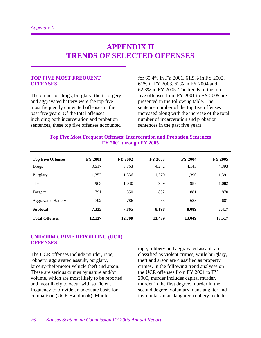# **APPENDIX II TRENDS OF SELECTED OFFENSES**

#### **TOP FIVE MOST FREQUENT OFFENSES**

The crimes of drugs, burglary, theft, forgery and aggravated battery were the top five most frequently convicted offenses in the past five years. Of the total offenses including both incarceration and probation sentences, these top five offenses accounted

for 60.4% in FY 2001, 61.9% in FY 2002, 61% in FY 2003, 62% in FY 2004 and 62.3% in FY 2005. The trends of the top five offenses from FY 2001 to FY 2005 are presented in the following table. The sentence number of the top five offenses increased along with the increase of the total number of incarceration and probation sentences in the past five years.

| <b>Top Five Most Frequent Offenses: Incarceration and Probation Sentences</b> |
|-------------------------------------------------------------------------------|
| <b>FY 2001 through FY 2005</b>                                                |

| <b>Top Five Offenses</b>  | <b>FY 2001</b> | <b>FY 2002</b> | FY 2003 | <b>FY 2004</b> | <b>FY 2005</b> |
|---------------------------|----------------|----------------|---------|----------------|----------------|
| Drugs                     | 3,517          | 3,863          | 4,272   | 4,143          | 4,393          |
| <b>Burglary</b>           | 1,352          | 1,336          | 1,370   | 1,390          | 1,391          |
| Theft                     | 963            | 1,030          | 959     | 987            | 1,082          |
| Forgery                   | 791            | 850            | 832     | 881            | 870            |
| <b>Aggravated Battery</b> | 702            | 786            | 765     | 688            | 681            |
| <b>Subtotal</b>           | 7,325          | 7,865          | 8,198   | 8,089          | 8,417          |
| <b>Total Offenses</b>     | 12,127         | 12,709         | 13,439  | 13,049         | 13,517         |

#### **UNIFORM CRIME REPORTING (UCR) OFFENSES**

The UCR offenses include murder, rape, robbery, aggravated assault, burglary, larceny-theft/motor vehicle theft and arson. These are serious crimes by nature and/or volume, which are most likely to be reported and most likely to occur with sufficient frequency to provide an adequate basis for comparison (UCR Handbook). Murder,

rape, robbery and aggravated assault are classified as violent crimes, while burglary, theft and arson are classified as property crimes. In the following trend analyses on the UCR offenses from FY 2001 to FY 2005, murder includes capital murder, murder in the first degree, murder in the second degree, voluntary manslaughter and involuntary manslaughter; robbery includes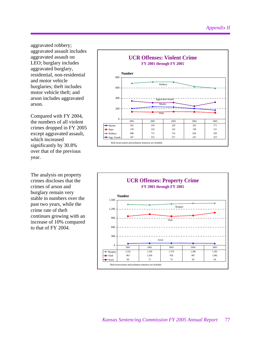aggravated robbery; aggravated assault includes aggravated assault on LEO; burglary includes aggravated burglary, residential, non-residential and motor vehicle burglaries; theft includes motor vehicle theft; and arson includes aggravated arson.

Compared with FY 2004, the numbers of all violent crimes dropped in FY 2005 except aggravated assault, which increased significantly by 30.8% over that of the previous year.

The analysis on property crimes discloses that the crimes of arson and burglary remain very stable in numbers over the past two years, while the crime rate of theft continues growing with an increase of 10% compared to that of FY 2004.



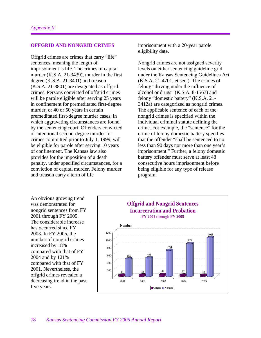#### **OFFGRID AND NONGRID CRIMES**

Offgrid crimes are crimes that carry "life" sentences, meaning the length of imprisonment is life. The crimes of capital murder (K.S.A. 21-3439), murder in the first degree (K.S.A. 21-3401) and treason (K.S.A. 21-3801) are designated as offgrid crimes. Persons convicted of offgrid crimes will be parole eligible after serving 25 years in confinement for premeditated first-degree murder, or 40 or 50 years in certain premeditated first-degree murder cases, in which aggravating circumstances are found by the sentencing court. Offenders convicted of intentional second-degree murder for crimes committed prior to July 1, 1999, will be eligible for parole after serving 10 years of confinement. The Kansas law also provides for the imposition of a death penalty, under specified circumstances, for a conviction of capital murder. Felony murder and treason carry a term of life

imprisonment with a 20-year parole eligibility date.

Nongrid crimes are not assigned severity levels on either sentencing guideline grid under the Kansas Sentencing Guidelines Act (K.S.A. 21-4701, et seq.). The crimes of felony "driving under the influence of alcohol or drugs" (K.S.A. 8-1567) and felony "domestic battery" (K.S.A. 21- 3412a) are categorized as nongrid crimes. The applicable sentence of each of the nongrid crimes is specified within the individual criminal statute defining the crime. For example, the "sentence" for the crime of felony domestic battery specifies that the offender "shall be sentenced to no less than 90 days nor more than one year's imprisonment." Further, a felony domestic battery offender must serve at least 48 consecutive hours imprisonment before being eligible for any type of release program.

An obvious growing trend was demonstrated for nongrid sentences from FY 2001 through FY 2005. The considerable increase has occurred since FY 2003. In FY 2005, the number of nongrid crimes increased by 18% compared with that of FY 2004 and by 121% compared with that of FY 2001. Nevertheless, the offgrid crimes revealed a decreasing trend in the past five years.